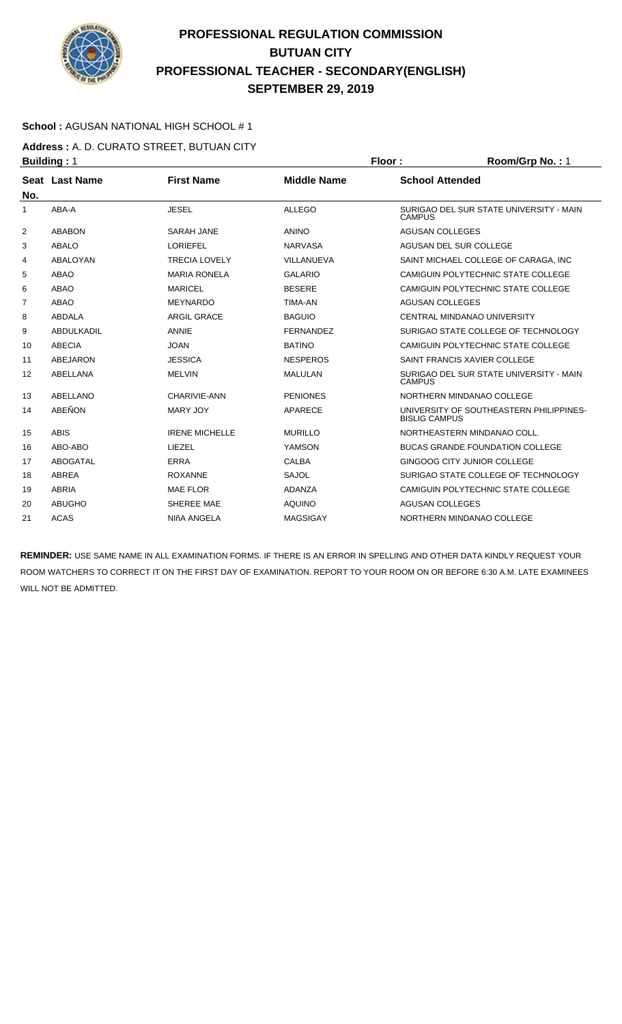

### **School :** AGUSAN NATIONAL HIGH SCHOOL # 1

**Address :** A. D. CURATO STREET, BUTUAN CITY **Building : 1 Floor : Room/Grp No. : 1** 

| No.            | Seat Last Name | <b>First Name</b>     | <b>Middle Name</b> | <b>School Attended</b>                                          |
|----------------|----------------|-----------------------|--------------------|-----------------------------------------------------------------|
| 1              | ABA-A          | <b>JESEL</b>          | <b>ALLEGO</b>      | SURIGAO DEL SUR STATE UNIVERSITY - MAIN<br><b>CAMPUS</b>        |
| 2              | <b>ABABON</b>  | <b>SARAH JANE</b>     | <b>ANINO</b>       | <b>AGUSAN COLLEGES</b>                                          |
| 3              | <b>ABALO</b>   | <b>LORIEFEL</b>       | <b>NARVASA</b>     | AGUSAN DEL SUR COLLEGE                                          |
| 4              | ABALOYAN       | <b>TRECIA LOVELY</b>  | VILLANUEVA         | SAINT MICHAEL COLLEGE OF CARAGA. INC.                           |
| 5              | <b>ABAO</b>    | <b>MARIA RONELA</b>   | <b>GALARIO</b>     | CAMIGUIN POLYTECHNIC STATE COLLEGE                              |
| 6              | <b>ABAO</b>    | <b>MARICEL</b>        | <b>BESERE</b>      | CAMIGUIN POLYTECHNIC STATE COLLEGE                              |
| $\overline{7}$ | <b>ABAO</b>    | <b>MEYNARDO</b>       | <b>TIMA-AN</b>     | <b>AGUSAN COLLEGES</b>                                          |
| 8              | <b>ABDALA</b>  | <b>ARGIL GRACE</b>    | <b>BAGUIO</b>      | <b>CENTRAL MINDANAO UNIVERSITY</b>                              |
| 9              | ABDULKADIL     | <b>ANNIE</b>          | <b>FERNANDEZ</b>   | SURIGAO STATE COLLEGE OF TECHNOLOGY                             |
| 10             | ABECIA         | <b>JOAN</b>           | <b>BATINO</b>      | CAMIGUIN POLYTECHNIC STATE COLLEGE                              |
| 11             | ABEJARON       | <b>JESSICA</b>        | <b>NESPEROS</b>    | SAINT FRANCIS XAVIER COLLEGE                                    |
| 12             | ABELLANA       | <b>MELVIN</b>         | <b>MALULAN</b>     | SURIGAO DEL SUR STATE UNIVERSITY - MAIN<br><b>CAMPUS</b>        |
| 13             | ABELLANO       | CHARIVIE-ANN          | <b>PENIONES</b>    | NORTHERN MINDANAO COLLEGE                                       |
| 14             | ABEÑON         | MARY JOY              | APARECE            | UNIVERSITY OF SOUTHEASTERN PHILIPPINES-<br><b>BISLIG CAMPUS</b> |
| 15             | <b>ABIS</b>    | <b>IRENE MICHELLE</b> | <b>MURILLO</b>     | NORTHEASTERN MINDANAO COLL.                                     |
| 16             | ABO-ABO        | LIEZEL                | YAMSON             | <b>BUCAS GRANDE FOUNDATION COLLEGE</b>                          |
| 17             | ABOGATAL       | <b>ERRA</b>           | <b>CALBA</b>       | GINGOOG CITY JUNIOR COLLEGE                                     |
| 18             | ABREA          | <b>ROXANNE</b>        | SAJOL              | SURIGAO STATE COLLEGE OF TECHNOLOGY                             |
| 19             | <b>ABRIA</b>   | <b>MAE FLOR</b>       | <b>ADANZA</b>      | CAMIGUIN POLYTECHNIC STATE COLLEGE                              |
| 20             | <b>ABUGHO</b>  | SHEREE MAE            | <b>AQUINO</b>      | <b>AGUSAN COLLEGES</b>                                          |
| 21             | <b>ACAS</b>    | NIñA ANGELA           | <b>MAGSIGAY</b>    | NORTHERN MINDANAO COLLEGE                                       |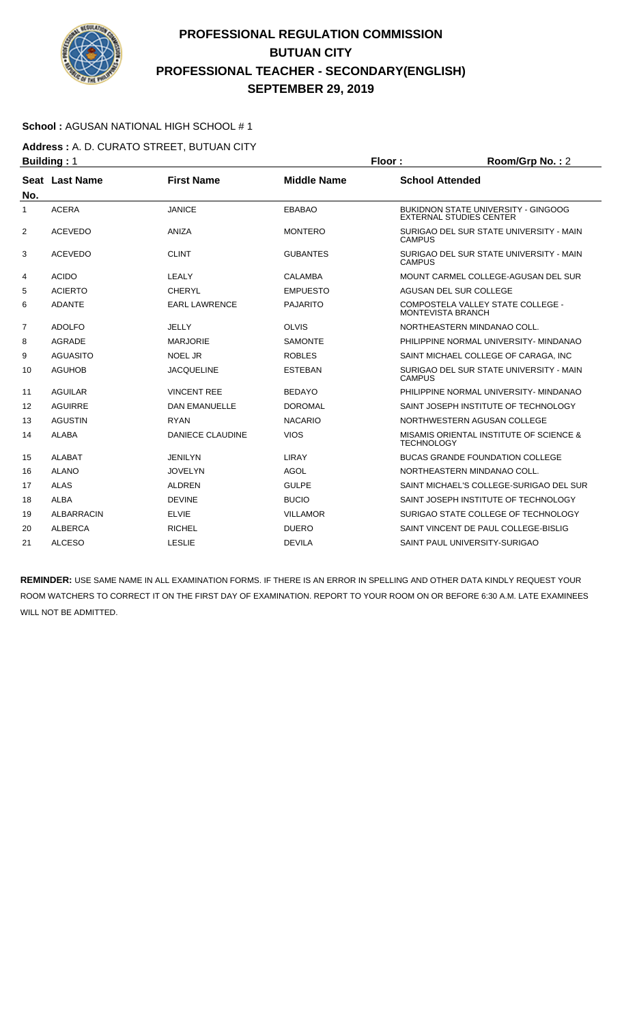

### **School :** AGUSAN NATIONAL HIGH SCHOOL # 1

**Address :** A. D. CURATO STREET, BUTUAN CITY **Building : 1 Floor : Room/Grp No. : 2** 

| No. | Seat Last Name    | <b>First Name</b>       | <b>Middle Name</b> | <b>School Attended</b>                                                |
|-----|-------------------|-------------------------|--------------------|-----------------------------------------------------------------------|
| 1   | <b>ACERA</b>      | <b>JANICE</b>           | <b>EBABAO</b>      | BUKIDNON STATE UNIVERSITY - GINGOOG<br><b>EXTERNAL STUDIES CENTER</b> |
| 2   | <b>ACEVEDO</b>    | <b>ANIZA</b>            | <b>MONTERO</b>     | SURIGAO DEL SUR STATE UNIVERSITY - MAIN<br><b>CAMPUS</b>              |
| 3   | <b>ACEVEDO</b>    | <b>CLINT</b>            | <b>GUBANTES</b>    | SURIGAO DEL SUR STATE UNIVERSITY - MAIN<br><b>CAMPUS</b>              |
| 4   | <b>ACIDO</b>      | <b>LEALY</b>            | <b>CALAMBA</b>     | MOUNT CARMEL COLLEGE-AGUSAN DEL SUR                                   |
| 5   | <b>ACIERTO</b>    | <b>CHERYL</b>           | <b>EMPUESTO</b>    | AGUSAN DEL SUR COLLEGE                                                |
| 6   | <b>ADANTE</b>     | <b>EARL LAWRENCE</b>    | <b>PAJARITO</b>    | COMPOSTELA VALLEY STATE COLLEGE -<br><b>MONTEVISTA BRANCH</b>         |
| 7   | <b>ADOLFO</b>     | <b>JELLY</b>            | <b>OLVIS</b>       | NORTHEASTERN MINDANAO COLL.                                           |
| 8   | <b>AGRADE</b>     | <b>MARJORIE</b>         | <b>SAMONTE</b>     | PHILIPPINE NORMAL UNIVERSITY- MINDANAO                                |
| 9   | <b>AGUASITO</b>   | <b>NOEL JR</b>          | <b>ROBLES</b>      | SAINT MICHAEL COLLEGE OF CARAGA. INC.                                 |
| 10  | <b>AGUHOB</b>     | <b>JACQUELINE</b>       | <b>ESTEBAN</b>     | SURIGAO DEL SUR STATE UNIVERSITY - MAIN<br><b>CAMPUS</b>              |
| 11  | <b>AGUILAR</b>    | <b>VINCENT REE</b>      | <b>BEDAYO</b>      | PHILIPPINE NORMAL UNIVERSITY- MINDANAO                                |
| 12  | <b>AGUIRRE</b>    | <b>DAN EMANUELLE</b>    | <b>DOROMAL</b>     | SAINT JOSEPH INSTITUTE OF TECHNOLOGY                                  |
| 13  | <b>AGUSTIN</b>    | <b>RYAN</b>             | <b>NACARIO</b>     | NORTHWESTERN AGUSAN COLLEGE                                           |
| 14  | <b>ALABA</b>      | <b>DANIECE CLAUDINE</b> | <b>VIOS</b>        | MISAMIS ORIENTAL INSTITUTE OF SCIENCE &<br><b>TECHNOLOGY</b>          |
| 15  | <b>ALABAT</b>     | <b>JENILYN</b>          | LIRAY              | <b>BUCAS GRANDE FOUNDATION COLLEGE</b>                                |
| 16  | <b>ALANO</b>      | <b>JOVELYN</b>          | AGOL               | NORTHEASTERN MINDANAO COLL.                                           |
| 17  | <b>ALAS</b>       | <b>ALDREN</b>           | <b>GULPE</b>       | SAINT MICHAEL'S COLLEGE-SURIGAO DEL SUR                               |
| 18  | <b>ALBA</b>       | <b>DEVINE</b>           | <b>BUCIO</b>       | SAINT JOSEPH INSTITUTE OF TECHNOLOGY                                  |
| 19  | <b>ALBARRACIN</b> | <b>ELVIE</b>            | <b>VILLAMOR</b>    | SURIGAO STATE COLLEGE OF TECHNOLOGY                                   |
| 20  | <b>ALBERCA</b>    | <b>RICHEL</b>           | <b>DUERO</b>       | SAINT VINCENT DE PAUL COLLEGE-BISLIG                                  |
| 21  | <b>ALCESO</b>     | <b>LESLIE</b>           | <b>DEVILA</b>      | SAINT PAUL UNIVERSITY-SURIGAO                                         |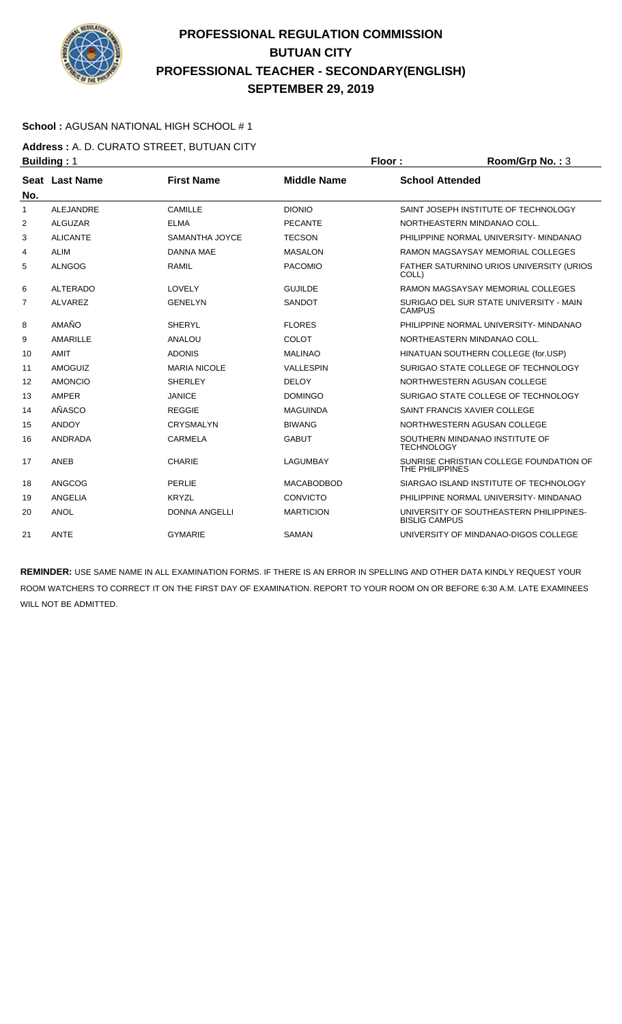

### **School :** AGUSAN NATIONAL HIGH SCHOOL # 1

**Address :** A. D. CURATO STREET, BUTUAN CITY **Building : 1 Floor : Room/Grp No. : 3** 

| No.          | Seat Last Name   | <b>First Name</b>    | <b>Middle Name</b> | <b>School Attended</b>                                          |
|--------------|------------------|----------------------|--------------------|-----------------------------------------------------------------|
| $\mathbf{1}$ | <b>ALEJANDRE</b> | CAMILLE              | <b>DIONIO</b>      | SAINT JOSEPH INSTITUTE OF TECHNOLOGY                            |
| 2            | <b>ALGUZAR</b>   | <b>ELMA</b>          | <b>PECANTE</b>     | NORTHEASTERN MINDANAO COLL.                                     |
| 3            | <b>ALICANTE</b>  | SAMANTHA JOYCE       | <b>TECSON</b>      | PHILIPPINE NORMAL UNIVERSITY- MINDANAO                          |
| 4            | <b>ALIM</b>      | <b>DANNA MAE</b>     | <b>MASALON</b>     | RAMON MAGSAYSAY MEMORIAL COLLEGES                               |
| 5            | <b>ALNGOG</b>    | <b>RAMIL</b>         | <b>PACOMIO</b>     | FATHER SATURNINO URIOS UNIVERSITY (URIOS<br>COLL)               |
| 6            | <b>ALTERADO</b>  | LOVELY               | <b>GUJILDE</b>     | RAMON MAGSAYSAY MEMORIAL COLLEGES                               |
| 7            | <b>ALVAREZ</b>   | <b>GENELYN</b>       | <b>SANDOT</b>      | SURIGAO DEL SUR STATE UNIVERSITY - MAIN<br><b>CAMPUS</b>        |
| 8            | AMAÑO            | <b>SHERYL</b>        | <b>FLORES</b>      | PHILIPPINE NORMAL UNIVERSITY- MINDANAO                          |
| 9            | AMARILLE         | <b>ANALOU</b>        | <b>COLOT</b>       | NORTHEASTERN MINDANAO COLL.                                     |
| 10           | <b>AMIT</b>      | <b>ADONIS</b>        | <b>MALINAO</b>     | HINATUAN SOUTHERN COLLEGE (for.USP)                             |
| 11           | <b>AMOGUIZ</b>   | <b>MARIA NICOLE</b>  | <b>VALLESPIN</b>   | SURIGAO STATE COLLEGE OF TECHNOLOGY                             |
| 12           | <b>AMONCIO</b>   | <b>SHERLEY</b>       | <b>DELOY</b>       | NORTHWESTERN AGUSAN COLLEGE                                     |
| 13           | AMPER            | <b>JANICE</b>        | <b>DOMINGO</b>     | SURIGAO STATE COLLEGE OF TECHNOLOGY                             |
| 14           | AÑASCO           | <b>REGGIE</b>        | <b>MAGUINDA</b>    | SAINT FRANCIS XAVIER COLLEGE                                    |
| 15           | <b>ANDOY</b>     | <b>CRYSMALYN</b>     | <b>BIWANG</b>      | NORTHWESTERN AGUSAN COLLEGE                                     |
| 16           | ANDRADA          | <b>CARMELA</b>       | <b>GABUT</b>       | SOUTHERN MINDANAO INSTITUTE OF<br><b>TECHNOLOGY</b>             |
| 17           | ANEB             | <b>CHARIE</b>        | <b>LAGUMBAY</b>    | SUNRISE CHRISTIAN COLLEGE FOUNDATION OF<br>THE PHILIPPINES      |
| 18           | ANGCOG           | <b>PERLIE</b>        | <b>MACABODBOD</b>  | SIARGAO ISLAND INSTITUTE OF TECHNOLOGY                          |
| 19           | ANGELIA          | <b>KRYZL</b>         | CONVICTO           | PHILIPPINE NORMAL UNIVERSITY- MINDANAO                          |
| 20           | <b>ANOL</b>      | <b>DONNA ANGELLI</b> | <b>MARTICION</b>   | UNIVERSITY OF SOUTHEASTERN PHILIPPINES-<br><b>BISLIG CAMPUS</b> |
| 21           | <b>ANTE</b>      | <b>GYMARIE</b>       | <b>SAMAN</b>       | UNIVERSITY OF MINDANAO-DIGOS COLLEGE                            |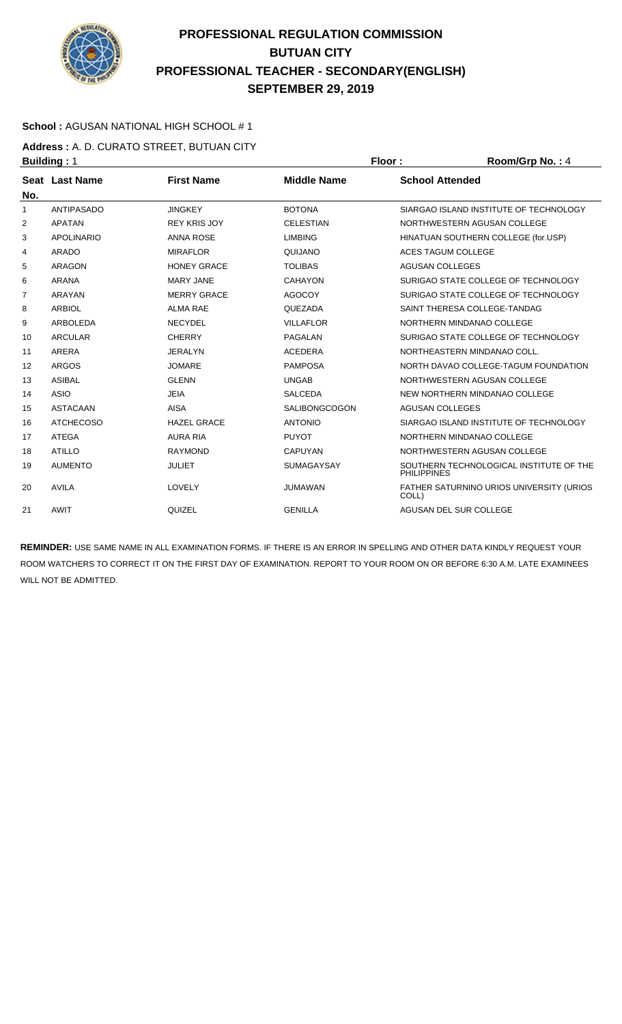

### **School :** AGUSAN NATIONAL HIGH SCHOOL # 1

**Address :** A. D. CURATO STREET, BUTUAN CITY **Building : 1 Floor : Room/Grp No. : 4 Floor : Room/Grp No. : 4** 

| No. | Seat Last Name    | <b>First Name</b>   | <b>Middle Name</b>   | <b>School Attended</b>                                        |
|-----|-------------------|---------------------|----------------------|---------------------------------------------------------------|
| 1   | <b>ANTIPASADO</b> | <b>JINGKEY</b>      | <b>BOTONA</b>        | SIARGAO ISLAND INSTITUTE OF TECHNOLOGY                        |
| 2   | <b>APATAN</b>     | <b>REY KRIS JOY</b> | <b>CELESTIAN</b>     | NORTHWESTERN AGUSAN COLLEGE                                   |
| 3   | <b>APOLINARIO</b> | <b>ANNA ROSE</b>    | <b>LIMBING</b>       | HINATUAN SOUTHERN COLLEGE (for.USP)                           |
| 4   | <b>ARADO</b>      | <b>MIRAFLOR</b>     | QUIJANO              | <b>ACES TAGUM COLLEGE</b>                                     |
| 5   | <b>ARAGON</b>     | <b>HONEY GRACE</b>  | <b>TOLIBAS</b>       | <b>AGUSAN COLLEGES</b>                                        |
| 6   | <b>ARANA</b>      | <b>MARY JANE</b>    | <b>CAHAYON</b>       | SURIGAO STATE COLLEGE OF TECHNOLOGY                           |
| 7   | ARAYAN            | <b>MERRY GRACE</b>  | <b>AGOCOY</b>        | SURIGAO STATE COLLEGE OF TECHNOLOGY                           |
| 8   | <b>ARBIOL</b>     | <b>ALMA RAE</b>     | QUEZADA              | SAINT THERESA COLLEGE-TANDAG                                  |
| 9   | <b>ARBOLEDA</b>   | <b>NECYDEL</b>      | <b>VILLAFLOR</b>     | NORTHERN MINDANAO COLLEGE                                     |
| 10  | <b>ARCULAR</b>    | <b>CHERRY</b>       | <b>PAGALAN</b>       | SURIGAO STATE COLLEGE OF TECHNOLOGY                           |
| 11  | ARERA             | <b>JERALYN</b>      | <b>ACEDERA</b>       | NORTHEASTERN MINDANAO COLL.                                   |
| 12  | <b>ARGOS</b>      | <b>JOMARE</b>       | <b>PAMPOSA</b>       | NORTH DAVAO COLLEGE-TAGUM FOUNDATION                          |
| 13  | <b>ASIBAL</b>     | <b>GLENN</b>        | <b>UNGAB</b>         | NORTHWESTERN AGUSAN COLLEGE                                   |
| 14  | <b>ASIO</b>       | <b>JEIA</b>         | <b>SALCEDA</b>       | NEW NORTHERN MINDANAO COLLEGE                                 |
| 15  | <b>ASTACAAN</b>   | <b>AISA</b>         | <b>SALIBONGCOGON</b> | <b>AGUSAN COLLEGES</b>                                        |
| 16  | <b>ATCHECOSO</b>  | <b>HAZEL GRACE</b>  | <b>ANTONIO</b>       | SIARGAO ISLAND INSTITUTE OF TECHNOLOGY                        |
| 17  | <b>ATEGA</b>      | <b>AURA RIA</b>     | <b>PUYOT</b>         | NORTHERN MINDANAO COLLEGE                                     |
| 18  | <b>ATILLO</b>     | <b>RAYMOND</b>      | <b>CAPUYAN</b>       | NORTHWESTERN AGUSAN COLLEGE                                   |
| 19  | <b>AUMENTO</b>    | <b>JULIET</b>       | <b>SUMAGAYSAY</b>    | SOUTHERN TECHNOLOGICAL INSTITUTE OF THE<br><b>PHILIPPINES</b> |
| 20  | <b>AVILA</b>      | LOVELY              | <b>JUMAWAN</b>       | <b>FATHER SATURNINO URIOS UNIVERSITY (URIOS)</b><br>COLL)     |
| 21  | AWIT              | QUIZEL              | <b>GENILLA</b>       | AGUSAN DEL SUR COLLEGE                                        |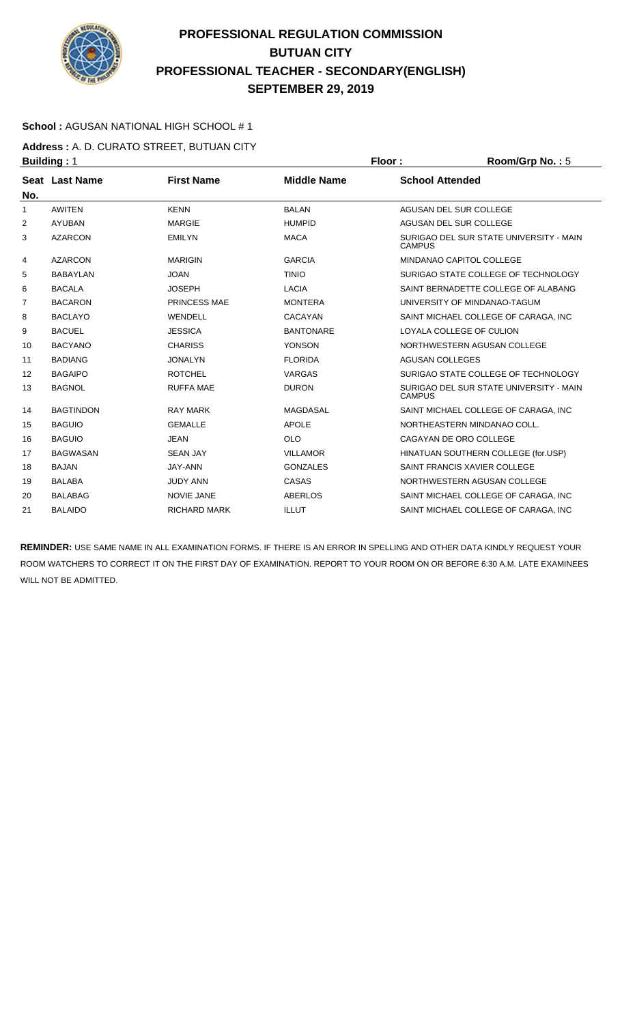

### **School :** AGUSAN NATIONAL HIGH SCHOOL # 1

**Address :** A. D. CURATO STREET, BUTUAN CITY **Building : 1 Floor : Room/Grp No. : 5** 

| No. | Seat Last Name   | <b>First Name</b>   | <b>Middle Name</b> | <b>School Attended</b>                                   |
|-----|------------------|---------------------|--------------------|----------------------------------------------------------|
| 1   | <b>AWITEN</b>    | <b>KENN</b>         | <b>BALAN</b>       | AGUSAN DEL SUR COLLEGE                                   |
| 2   | <b>AYUBAN</b>    | <b>MARGIE</b>       | <b>HUMPID</b>      | AGUSAN DEL SUR COLLEGE                                   |
| 3   | <b>AZARCON</b>   | <b>EMILYN</b>       | <b>MACA</b>        | SURIGAO DEL SUR STATE UNIVERSITY - MAIN<br><b>CAMPUS</b> |
| 4   | <b>AZARCON</b>   | <b>MARIGIN</b>      | <b>GARCIA</b>      | MINDANAO CAPITOL COLLEGE                                 |
| 5   | <b>BABAYLAN</b>  | <b>JOAN</b>         | <b>TINIO</b>       | SURIGAO STATE COLLEGE OF TECHNOLOGY                      |
| 6   | <b>BACALA</b>    | <b>JOSEPH</b>       | <b>LACIA</b>       | SAINT BERNADETTE COLLEGE OF ALABANG                      |
| 7   | <b>BACARON</b>   | <b>PRINCESS MAE</b> | <b>MONTERA</b>     | UNIVERSITY OF MINDANAO-TAGUM                             |
| 8   | <b>BACLAYO</b>   | WENDELL             | CACAYAN            | SAINT MICHAEL COLLEGE OF CARAGA. INC                     |
| 9   | <b>BACUEL</b>    | <b>JESSICA</b>      | <b>BANTONARE</b>   | LOYALA COLLEGE OF CULION                                 |
| 10  | <b>BACYANO</b>   | <b>CHARISS</b>      | <b>YONSON</b>      | NORTHWESTERN AGUSAN COLLEGE                              |
| 11  | <b>BADIANG</b>   | <b>JONALYN</b>      | <b>FLORIDA</b>     | <b>AGUSAN COLLEGES</b>                                   |
| 12  | <b>BAGAIPO</b>   | <b>ROTCHEL</b>      | <b>VARGAS</b>      | SURIGAO STATE COLLEGE OF TECHNOLOGY                      |
| 13  | <b>BAGNOL</b>    | <b>RUFFA MAE</b>    | <b>DURON</b>       | SURIGAO DEL SUR STATE UNIVERSITY - MAIN<br><b>CAMPUS</b> |
| 14  | <b>BAGTINDON</b> | <b>RAY MARK</b>     | MAGDASAL           | SAINT MICHAEL COLLEGE OF CARAGA. INC                     |
| 15  | <b>BAGUIO</b>    | <b>GEMALLE</b>      | <b>APOLE</b>       | NORTHEASTERN MINDANAO COLL.                              |
| 16  | <b>BAGUIO</b>    | <b>JEAN</b>         | <b>OLO</b>         | CAGAYAN DE ORO COLLEGE                                   |
| 17  | <b>BAGWASAN</b>  | <b>SEAN JAY</b>     | <b>VILLAMOR</b>    | HINATUAN SOUTHERN COLLEGE (for.USP)                      |
| 18  | <b>BAJAN</b>     | JAY-ANN             | <b>GONZALES</b>    | SAINT FRANCIS XAVIER COLLEGE                             |
| 19  | <b>BALABA</b>    | <b>JUDY ANN</b>     | CASAS              | NORTHWESTERN AGUSAN COLLEGE                              |
| 20  | <b>BALABAG</b>   | <b>NOVIE JANE</b>   | <b>ABERLOS</b>     | SAINT MICHAEL COLLEGE OF CARAGA. INC                     |
| 21  | <b>BALAIDO</b>   | <b>RICHARD MARK</b> | <b>ILLUT</b>       | SAINT MICHAEL COLLEGE OF CARAGA, INC                     |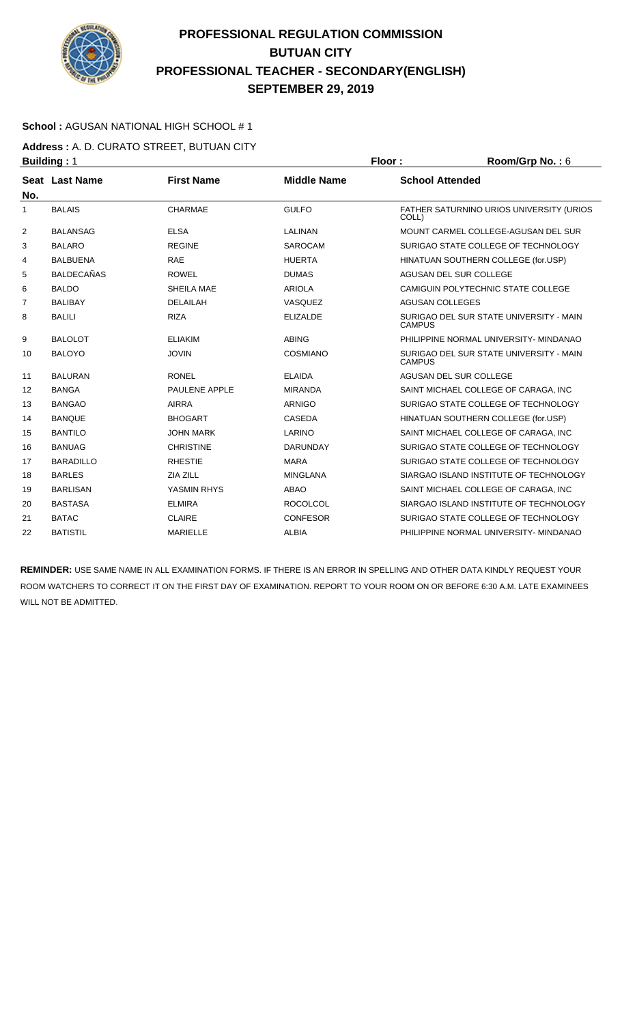

### **School :** AGUSAN NATIONAL HIGH SCHOOL # 1

**Address :** A. D. CURATO STREET, BUTUAN CITY **Building : 1 Floor : Room/Grp No. : 6** 

| No. | Seat Last Name    | <b>First Name</b>    | <b>Middle Name</b> | <b>School Attended</b>                                   |
|-----|-------------------|----------------------|--------------------|----------------------------------------------------------|
| 1   | <b>BALAIS</b>     | CHARMAE              | <b>GULFO</b>       | FATHER SATURNINO URIOS UNIVERSITY (URIOS<br>COLL)        |
| 2   | <b>BALANSAG</b>   | <b>ELSA</b>          | LALINAN            | MOUNT CARMEL COLLEGE-AGUSAN DEL SUR                      |
| 3   | <b>BALARO</b>     | <b>REGINE</b>        | <b>SAROCAM</b>     | SURIGAO STATE COLLEGE OF TECHNOLOGY                      |
| 4   | <b>BALBUENA</b>   | <b>RAE</b>           | <b>HUERTA</b>      | HINATUAN SOUTHERN COLLEGE (for.USP)                      |
| 5   | <b>BALDECAÑAS</b> | <b>ROWEL</b>         | <b>DUMAS</b>       | AGUSAN DEL SUR COLLEGE                                   |
| 6   | <b>BALDO</b>      | SHEILA MAE           | ARIOLA             | CAMIGUIN POLYTECHNIC STATE COLLEGE                       |
| 7   | <b>BALIBAY</b>    | <b>DELAILAH</b>      | VASQUEZ            | <b>AGUSAN COLLEGES</b>                                   |
| 8   | <b>BALILI</b>     | <b>RIZA</b>          | <b>ELIZALDE</b>    | SURIGAO DEL SUR STATE UNIVERSITY - MAIN<br><b>CAMPUS</b> |
| 9   | <b>BALOLOT</b>    | <b>ELIAKIM</b>       | <b>ABING</b>       | PHILIPPINE NORMAL UNIVERSITY- MINDANAO                   |
| 10  | <b>BALOYO</b>     | <b>JOVIN</b>         | <b>COSMIANO</b>    | SURIGAO DEL SUR STATE UNIVERSITY - MAIN<br><b>CAMPUS</b> |
| 11  | <b>BALURAN</b>    | <b>RONEL</b>         | <b>ELAIDA</b>      | AGUSAN DEL SUR COLLEGE                                   |
| 12  | <b>BANGA</b>      | <b>PAULENE APPLE</b> | <b>MIRANDA</b>     | SAINT MICHAEL COLLEGE OF CARAGA, INC                     |
| 13  | <b>BANGAO</b>     | <b>AIRRA</b>         | <b>ARNIGO</b>      | SURIGAO STATE COLLEGE OF TECHNOLOGY                      |
| 14  | <b>BANQUE</b>     | <b>BHOGART</b>       | <b>CASEDA</b>      | HINATUAN SOUTHERN COLLEGE (for.USP)                      |
| 15  | <b>BANTILO</b>    | <b>JOHN MARK</b>     | LARINO             | SAINT MICHAEL COLLEGE OF CARAGA, INC.                    |
| 16  | <b>BANUAG</b>     | <b>CHRISTINE</b>     | <b>DARUNDAY</b>    | SURIGAO STATE COLLEGE OF TECHNOLOGY                      |
| 17  | <b>BARADILLO</b>  | <b>RHESTIE</b>       | <b>MARA</b>        | SURIGAO STATE COLLEGE OF TECHNOLOGY                      |
| 18  | <b>BARLES</b>     | ZIA ZILL             | <b>MINGLANA</b>    | SIARGAO ISLAND INSTITUTE OF TECHNOLOGY                   |
| 19  | <b>BARLISAN</b>   | YASMIN RHYS          | ABAO               | SAINT MICHAEL COLLEGE OF CARAGA, INC                     |
| 20  | <b>BASTASA</b>    | <b>ELMIRA</b>        | <b>ROCOLCOL</b>    | SIARGAO ISLAND INSTITUTE OF TECHNOLOGY                   |
| 21  | <b>BATAC</b>      | <b>CLAIRE</b>        | <b>CONFESOR</b>    | SURIGAO STATE COLLEGE OF TECHNOLOGY                      |
| 22  | <b>BATISTIL</b>   | <b>MARIELLE</b>      | <b>ALBIA</b>       | PHILIPPINE NORMAL UNIVERSITY- MINDANAO                   |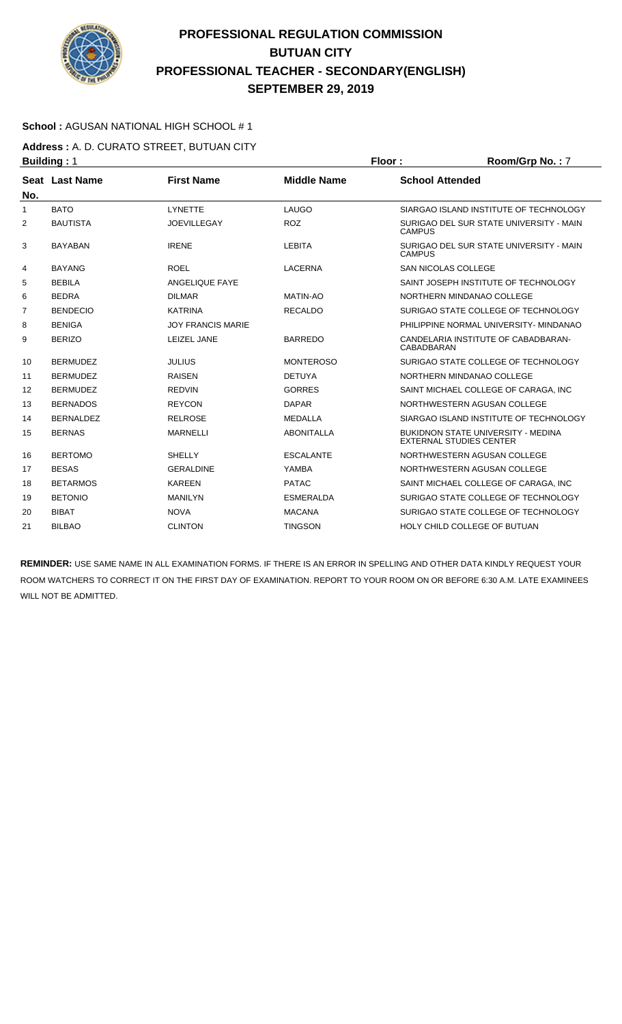

### **School :** AGUSAN NATIONAL HIGH SCHOOL # 1

**Address :** A. D. CURATO STREET, BUTUAN CITY **Building : 1 Floor : Room/Grp No. : 7** 

| No. | Seat Last Name   | <b>First Name</b>        | <b>Middle Name</b> | <b>School Attended</b>                                               |
|-----|------------------|--------------------------|--------------------|----------------------------------------------------------------------|
| 1   | <b>BATO</b>      | <b>LYNETTE</b>           | LAUGO              | SIARGAO ISLAND INSTITUTE OF TECHNOLOGY                               |
| 2   | <b>BAUTISTA</b>  | <b>JOEVILLEGAY</b>       | <b>ROZ</b>         | SURIGAO DEL SUR STATE UNIVERSITY - MAIN<br><b>CAMPUS</b>             |
| 3   | <b>BAYABAN</b>   | <b>IRENE</b>             | <b>LEBITA</b>      | SURIGAO DEL SUR STATE UNIVERSITY - MAIN<br><b>CAMPUS</b>             |
| 4   | <b>BAYANG</b>    | <b>ROEL</b>              | <b>LACERNA</b>     | <b>SAN NICOLAS COLLEGE</b>                                           |
| 5   | <b>BEBILA</b>    | ANGELIQUE FAYE           |                    | SAINT JOSEPH INSTITUTE OF TECHNOLOGY                                 |
| 6   | <b>BEDRA</b>     | <b>DILMAR</b>            | <b>MATIN-AO</b>    | NORTHERN MINDANAO COLLEGE                                            |
| 7   | <b>BENDECIO</b>  | <b>KATRINA</b>           | <b>RECALDO</b>     | SURIGAO STATE COLLEGE OF TECHNOLOGY                                  |
| 8   | <b>BENIGA</b>    | <b>JOY FRANCIS MARIE</b> |                    | PHILIPPINE NORMAL UNIVERSITY- MINDANAO                               |
| 9   | <b>BERIZO</b>    | LEIZEL JANE              | <b>BARREDO</b>     | CANDELARIA INSTITUTE OF CABADBARAN-<br>CABADBARAN                    |
| 10  | <b>BERMUDEZ</b>  | <b>JULIUS</b>            | <b>MONTEROSO</b>   | SURIGAO STATE COLLEGE OF TECHNOLOGY                                  |
| 11  | <b>BERMUDEZ</b>  | <b>RAISEN</b>            | <b>DETUYA</b>      | NORTHERN MINDANAO COLLEGE                                            |
| 12  | <b>BERMUDEZ</b>  | <b>REDVIN</b>            | <b>GORRES</b>      | SAINT MICHAEL COLLEGE OF CARAGA, INC                                 |
| 13  | <b>BERNADOS</b>  | <b>REYCON</b>            | <b>DAPAR</b>       | NORTHWESTERN AGUSAN COLLEGE                                          |
| 14  | <b>BERNALDEZ</b> | <b>RELROSE</b>           | <b>MEDALLA</b>     | SIARGAO ISLAND INSTITUTE OF TECHNOLOGY                               |
| 15  | <b>BERNAS</b>    | <b>MARNELLI</b>          | <b>ABONITALLA</b>  | BUKIDNON STATE UNIVERSITY - MEDINA<br><b>EXTERNAL STUDIES CENTER</b> |
| 16  | <b>BERTOMO</b>   | <b>SHELLY</b>            | <b>ESCALANTE</b>   | NORTHWESTERN AGUSAN COLLEGE                                          |
| 17  | <b>BESAS</b>     | <b>GERALDINE</b>         | YAMBA              | NORTHWESTERN AGUSAN COLLEGE                                          |
| 18  | <b>BETARMOS</b>  | <b>KAREEN</b>            | <b>PATAC</b>       | SAINT MICHAEL COLLEGE OF CARAGA. INC                                 |
| 19  | <b>BETONIO</b>   | <b>MANILYN</b>           | <b>ESMERALDA</b>   | SURIGAO STATE COLLEGE OF TECHNOLOGY                                  |
| 20  | <b>BIBAT</b>     | <b>NOVA</b>              | <b>MACANA</b>      | SURIGAO STATE COLLEGE OF TECHNOLOGY                                  |
| 21  | <b>BILBAO</b>    | <b>CLINTON</b>           | <b>TINGSON</b>     | HOLY CHILD COLLEGE OF BUTUAN                                         |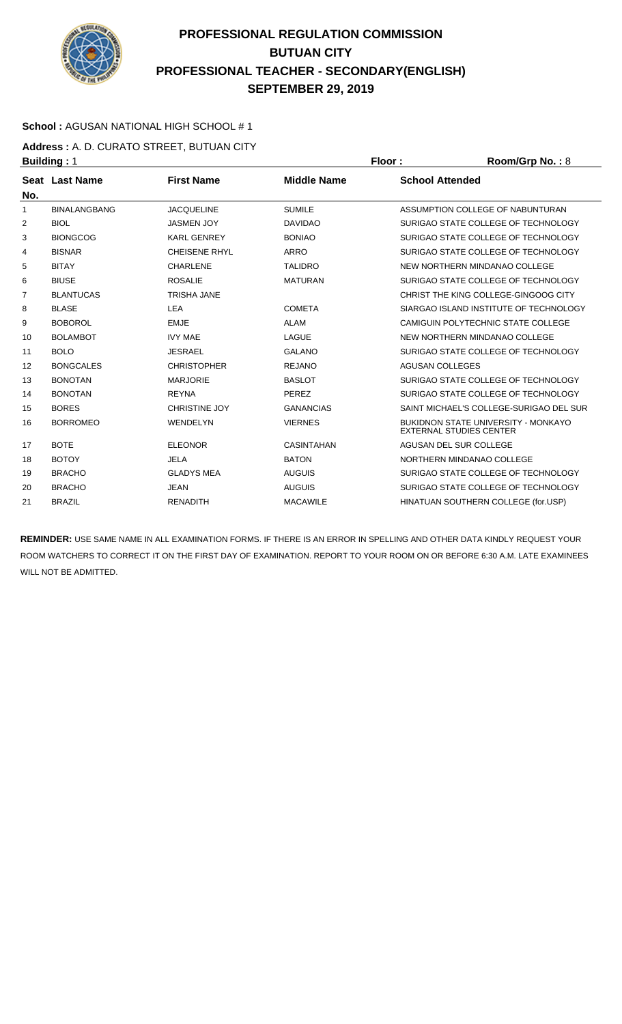

### **School :** AGUSAN NATIONAL HIGH SCHOOL # 1

**Address :** A. D. CURATO STREET, BUTUAN CITY **Building : 1 Floor : Room/Grp No. : 8** 

| No. | Seat Last Name      | <b>First Name</b>    | <b>Middle Name</b> | <b>School Attended</b>                                                       |
|-----|---------------------|----------------------|--------------------|------------------------------------------------------------------------------|
| 1   | <b>BINALANGBANG</b> | <b>JACQUELINE</b>    | <b>SUMILE</b>      | ASSUMPTION COLLEGE OF NABUNTURAN                                             |
| 2   | <b>BIOL</b>         | <b>JASMEN JOY</b>    | <b>DAVIDAO</b>     | SURIGAO STATE COLLEGE OF TECHNOLOGY                                          |
| 3   | <b>BIONGCOG</b>     | <b>KARL GENREY</b>   | <b>BONIAO</b>      | SURIGAO STATE COLLEGE OF TECHNOLOGY                                          |
| 4   | <b>BISNAR</b>       | <b>CHEISENE RHYL</b> | <b>ARRO</b>        | SURIGAO STATE COLLEGE OF TECHNOLOGY                                          |
| 5   | <b>BITAY</b>        | <b>CHARLENE</b>      | <b>TALIDRO</b>     | NEW NORTHERN MINDANAO COLLEGE                                                |
| 6   | <b>BIUSE</b>        | <b>ROSALIE</b>       | <b>MATURAN</b>     | SURIGAO STATE COLLEGE OF TECHNOLOGY                                          |
| 7   | <b>BLANTUCAS</b>    | <b>TRISHA JANE</b>   |                    | CHRIST THE KING COLLEGE-GINGOOG CITY                                         |
| 8   | <b>BLASE</b>        | LEA                  | <b>COMETA</b>      | SIARGAO ISLAND INSTITUTE OF TECHNOLOGY                                       |
| 9   | <b>BOBOROL</b>      | <b>EMJE</b>          | <b>ALAM</b>        | CAMIGUIN POLYTECHNIC STATE COLLEGE                                           |
| 10  | <b>BOLAMBOT</b>     | <b>IVY MAE</b>       | LAGUE              | NEW NORTHERN MINDANAO COLLEGE                                                |
| 11  | <b>BOLO</b>         | <b>JESRAEL</b>       | <b>GALANO</b>      | SURIGAO STATE COLLEGE OF TECHNOLOGY                                          |
| 12  | <b>BONGCALES</b>    | <b>CHRISTOPHER</b>   | <b>REJANO</b>      | <b>AGUSAN COLLEGES</b>                                                       |
| 13  | <b>BONOTAN</b>      | <b>MARJORIE</b>      | <b>BASLOT</b>      | SURIGAO STATE COLLEGE OF TECHNOLOGY                                          |
| 14  | <b>BONOTAN</b>      | <b>REYNA</b>         | PEREZ              | SURIGAO STATE COLLEGE OF TECHNOLOGY                                          |
| 15  | <b>BORES</b>        | <b>CHRISTINE JOY</b> | <b>GANANCIAS</b>   | SAINT MICHAEL'S COLLEGE-SURIGAO DEL SUR                                      |
| 16  | <b>BORROMEO</b>     | WENDELYN             | <b>VIERNES</b>     | <b>BUKIDNON STATE UNIVERSITY - MONKAYO</b><br><b>EXTERNAL STUDIES CENTER</b> |
| 17  | <b>BOTE</b>         | <b>ELEONOR</b>       | <b>CASINTAHAN</b>  | AGUSAN DEL SUR COLLEGE                                                       |
| 18  | <b>BOTOY</b>        | <b>JELA</b>          | <b>BATON</b>       | NORTHERN MINDANAO COLLEGE                                                    |
| 19  | <b>BRACHO</b>       | <b>GLADYS MEA</b>    | <b>AUGUIS</b>      | SURIGAO STATE COLLEGE OF TECHNOLOGY                                          |
| 20  | <b>BRACHO</b>       | <b>JEAN</b>          | <b>AUGUIS</b>      | SURIGAO STATE COLLEGE OF TECHNOLOGY                                          |
| 21  | <b>BRAZIL</b>       | <b>RENADITH</b>      | <b>MACAWILE</b>    | HINATUAN SOUTHERN COLLEGE (for.USP)                                          |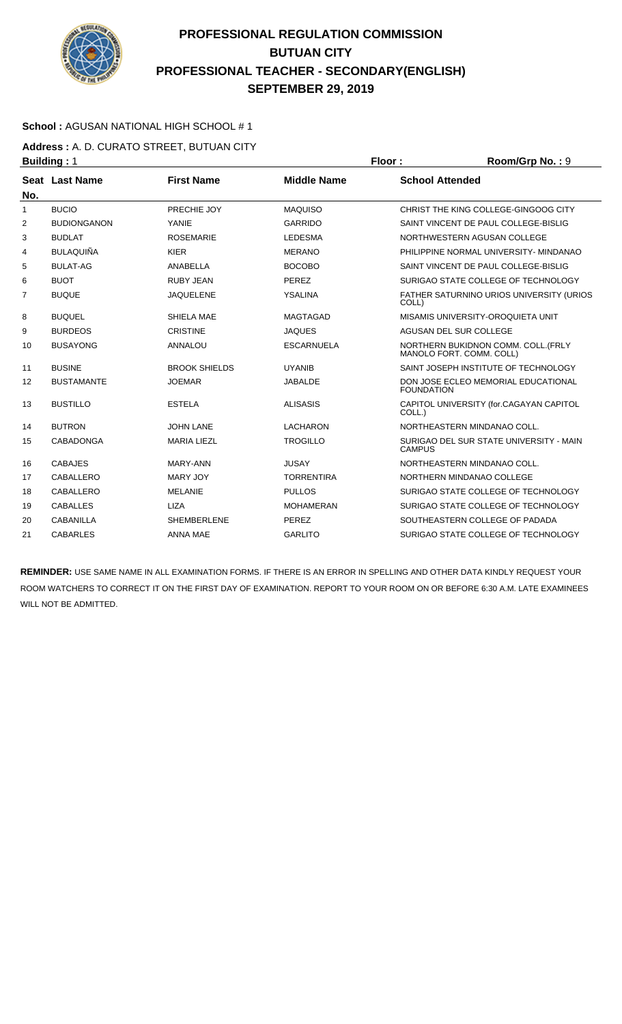

### **School :** AGUSAN NATIONAL HIGH SCHOOL # 1

**Address :** A. D. CURATO STREET, BUTUAN CITY **Building : 1 Floor : Room/Grp No. : 9** 

| No.            | Seat Last Name     | <b>First Name</b>    | <b>Middle Name</b> | <b>School Attended</b>                                          |
|----------------|--------------------|----------------------|--------------------|-----------------------------------------------------------------|
| 1              | <b>BUCIO</b>       | PRECHIE JOY          | <b>MAQUISO</b>     | CHRIST THE KING COLLEGE-GINGOOG CITY                            |
| 2              | <b>BUDIONGANON</b> | YANIE                | <b>GARRIDO</b>     | SAINT VINCENT DE PAUL COLLEGE-BISLIG                            |
| 3              | <b>BUDLAT</b>      | <b>ROSEMARIE</b>     | <b>LEDESMA</b>     | NORTHWESTERN AGUSAN COLLEGE                                     |
| 4              | <b>BULAQUIÑA</b>   | <b>KIER</b>          | <b>MERANO</b>      | PHILIPPINE NORMAL UNIVERSITY- MINDANAO                          |
| 5              | <b>BULAT-AG</b>    | ANABELLA             | <b>BOCOBO</b>      | SAINT VINCENT DE PAUL COLLEGE-BISLIG                            |
| 6              | <b>BUOT</b>        | <b>RUBY JEAN</b>     | <b>PEREZ</b>       | SURIGAO STATE COLLEGE OF TECHNOLOGY                             |
| $\overline{7}$ | <b>BUQUE</b>       | <b>JAQUELENE</b>     | <b>YSALINA</b>     | FATHER SATURNINO URIOS UNIVERSITY (URIOS<br>COLL)               |
| 8              | <b>BUQUEL</b>      | SHIELA MAE           | <b>MAGTAGAD</b>    | MISAMIS UNIVERSITY-OROQUIETA UNIT                               |
| 9              | <b>BURDEOS</b>     | <b>CRISTINE</b>      | <b>JAQUES</b>      | AGUSAN DEL SUR COLLEGE                                          |
| 10             | <b>BUSAYONG</b>    | ANNALOU              | <b>ESCARNUELA</b>  | NORTHERN BUKIDNON COMM. COLL. (FRLY<br>MANOLO FORT, COMM, COLL) |
| 11             | <b>BUSINE</b>      | <b>BROOK SHIELDS</b> | <b>UYANIB</b>      | SAINT JOSEPH INSTITUTE OF TECHNOLOGY                            |
| 12             | <b>BUSTAMANTE</b>  | <b>JOEMAR</b>        | <b>JABALDE</b>     | DON JOSE ECLEO MEMORIAL EDUCATIONAL<br><b>FOUNDATION</b>        |
| 13             | <b>BUSTILLO</b>    | <b>ESTELA</b>        | <b>ALISASIS</b>    | CAPITOL UNIVERSITY (for.CAGAYAN CAPITOL<br>COLL.)               |
| 14             | <b>BUTRON</b>      | <b>JOHN LANE</b>     | <b>LACHARON</b>    | NORTHEASTERN MINDANAO COLL.                                     |
| 15             | CABADONGA          | <b>MARIA LIEZL</b>   | <b>TROGILLO</b>    | SURIGAO DEL SUR STATE UNIVERSITY - MAIN<br><b>CAMPUS</b>        |
| 16             | <b>CABAJES</b>     | MARY-ANN             | <b>JUSAY</b>       | NORTHEASTERN MINDANAO COLL.                                     |
| 17             | CABALLERO          | MARY JOY             | <b>TORRENTIRA</b>  | NORTHERN MINDANAO COLLEGE                                       |
| 18             | CABALLERO          | <b>MELANIE</b>       | <b>PULLOS</b>      | SURIGAO STATE COLLEGE OF TECHNOLOGY                             |
| 19             | <b>CABALLES</b>    | <b>LIZA</b>          | <b>MOHAMERAN</b>   | SURIGAO STATE COLLEGE OF TECHNOLOGY                             |
| 20             | CABANILLA          | <b>SHEMBERLENE</b>   | <b>PEREZ</b>       | SOUTHEASTERN COLLEGE OF PADADA                                  |
| 21             | <b>CABARLES</b>    | <b>ANNA MAE</b>      | <b>GARLITO</b>     | SURIGAO STATE COLLEGE OF TECHNOLOGY                             |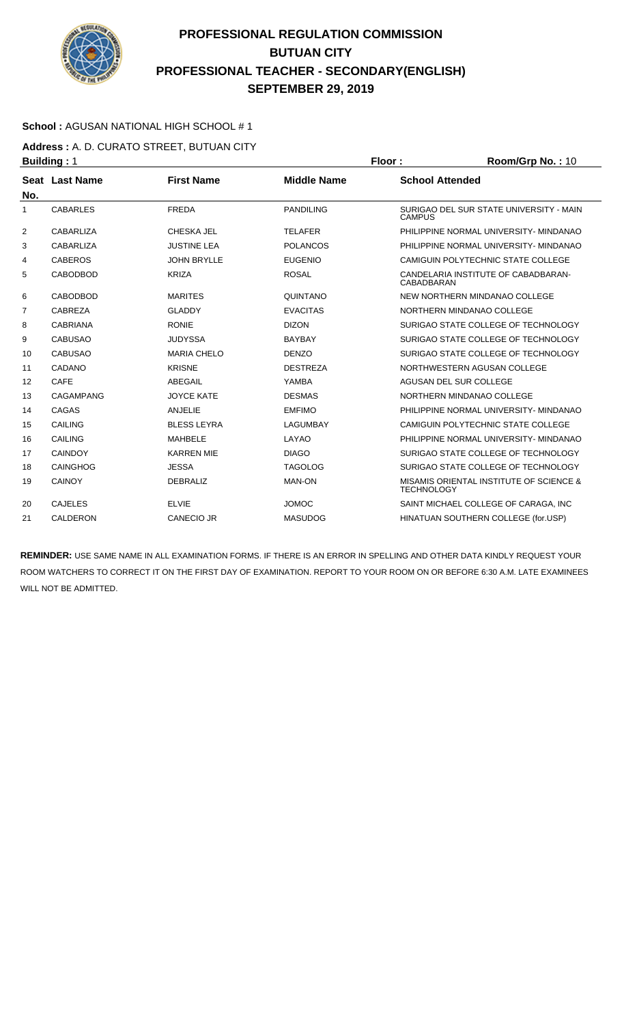

### **School :** AGUSAN NATIONAL HIGH SCHOOL # 1

**Address :** A. D. CURATO STREET, BUTUAN CITY **Building : 1 Floor : Room/Grp No. : 10** 

| No. | Seat Last Name   | <b>First Name</b>  | <b>Middle Name</b> | <b>School Attended</b>                                       |
|-----|------------------|--------------------|--------------------|--------------------------------------------------------------|
| 1   | <b>CABARLES</b>  | <b>FREDA</b>       | <b>PANDILING</b>   | SURIGAO DEL SUR STATE UNIVERSITY - MAIN<br><b>CAMPUS</b>     |
| 2   | CABARLIZA        | CHESKA JEL         | <b>TELAFER</b>     | PHILIPPINE NORMAL UNIVERSITY- MINDANAO                       |
| 3   | CABARLIZA        | <b>JUSTINE LEA</b> | <b>POLANCOS</b>    | PHILIPPINE NORMAL UNIVERSITY- MINDANAO                       |
| 4   | <b>CABEROS</b>   | <b>JOHN BRYLLE</b> | <b>EUGENIO</b>     | CAMIGUIN POLYTECHNIC STATE COLLEGE                           |
| 5   | <b>CABODBOD</b>  | <b>KRIZA</b>       | <b>ROSAL</b>       | CANDELARIA INSTITUTE OF CABADBARAN-<br>CABADBARAN            |
| 6   | <b>CABODBOD</b>  | <b>MARITES</b>     | QUINTANO           | NEW NORTHERN MINDANAO COLLEGE                                |
| 7   | CABREZA          | <b>GLADDY</b>      | <b>EVACITAS</b>    | NORTHERN MINDANAO COLLEGE                                    |
| 8   | <b>CABRIANA</b>  | <b>RONIE</b>       | <b>DIZON</b>       | SURIGAO STATE COLLEGE OF TECHNOLOGY                          |
| 9   | <b>CABUSAO</b>   | <b>JUDYSSA</b>     | <b>BAYBAY</b>      | SURIGAO STATE COLLEGE OF TECHNOLOGY                          |
| 10  | <b>CABUSAO</b>   | <b>MARIA CHELO</b> | <b>DENZO</b>       | SURIGAO STATE COLLEGE OF TECHNOLOGY                          |
| 11  | CADANO           | <b>KRISNE</b>      | <b>DESTREZA</b>    | NORTHWESTERN AGUSAN COLLEGE                                  |
| 12  | CAFE             | ABEGAIL            | YAMBA              | AGUSAN DEL SUR COLLEGE                                       |
| 13  | <b>CAGAMPANG</b> | <b>JOYCE KATE</b>  | <b>DESMAS</b>      | NORTHERN MINDANAO COLLEGE                                    |
| 14  | CAGAS            | <b>ANJELIE</b>     | <b>EMFIMO</b>      | PHILIPPINE NORMAL UNIVERSITY- MINDANAO                       |
| 15  | <b>CAILING</b>   | <b>BLESS LEYRA</b> | <b>LAGUMBAY</b>    | CAMIGUIN POLYTECHNIC STATE COLLEGE                           |
| 16  | CAILING          | MAHBELE            | LAYAO              | PHILIPPINE NORMAL UNIVERSITY- MINDANAO                       |
| 17  | <b>CAINDOY</b>   | <b>KARREN MIE</b>  | <b>DIAGO</b>       | SURIGAO STATE COLLEGE OF TECHNOLOGY                          |
| 18  | <b>CAINGHOG</b>  | <b>JESSA</b>       | <b>TAGOLOG</b>     | SURIGAO STATE COLLEGE OF TECHNOLOGY                          |
| 19  | <b>CAINOY</b>    | <b>DEBRALIZ</b>    | <b>MAN-ON</b>      | MISAMIS ORIENTAL INSTITUTE OF SCIENCE &<br><b>TECHNOLOGY</b> |
| 20  | <b>CAJELES</b>   | <b>ELVIE</b>       | <b>JOMOC</b>       | SAINT MICHAEL COLLEGE OF CARAGA, INC                         |
| 21  | <b>CALDERON</b>  | <b>CANECIO JR</b>  | <b>MASUDOG</b>     | HINATUAN SOUTHERN COLLEGE (for.USP)                          |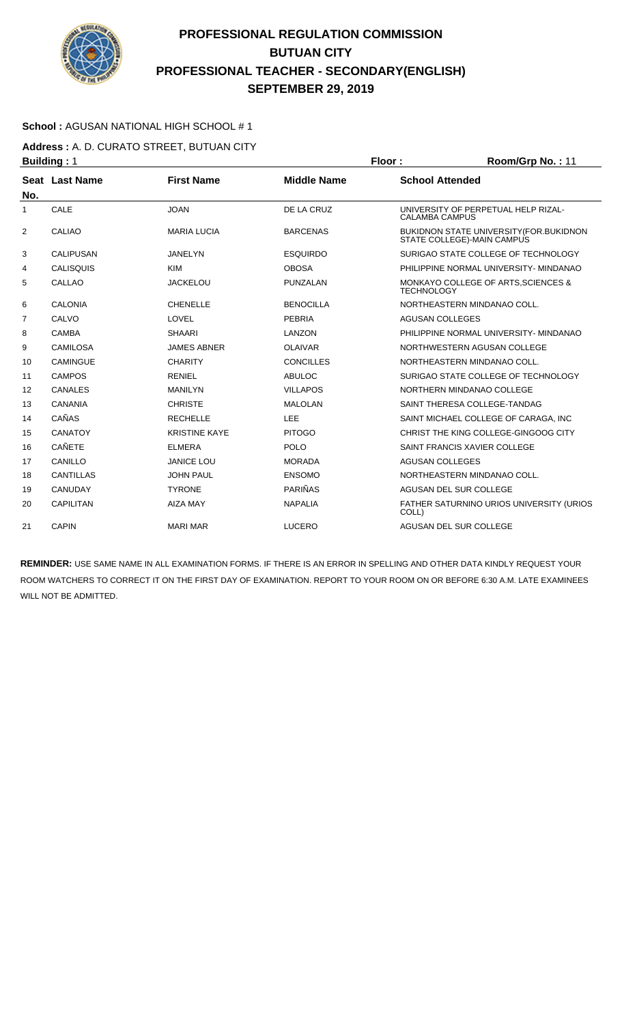

### **School :** AGUSAN NATIONAL HIGH SCHOOL # 1

**Address :** A. D. CURATO STREET, BUTUAN CITY **Building : 1 Floor : 8 <b>Floor** : **Room/Grp No. : 11** 

| No. | Seat Last Name   | <b>First Name</b>    | <b>Middle Name</b> | <b>School Attended</b>                                                 |
|-----|------------------|----------------------|--------------------|------------------------------------------------------------------------|
| 1   | CALE             | <b>JOAN</b>          | DE LA CRUZ         | UNIVERSITY OF PERPETUAL HELP RIZAL-<br><b>CALAMBA CAMPUS</b>           |
| 2   | <b>CALIAO</b>    | <b>MARIA LUCIA</b>   | <b>BARCENAS</b>    | BUKIDNON STATE UNIVERSITY (FOR. BUKIDNON<br>STATE COLLEGE)-MAIN CAMPUS |
| 3   | <b>CALIPUSAN</b> | <b>JANELYN</b>       | <b>ESQUIRDO</b>    | SURIGAO STATE COLLEGE OF TECHNOLOGY                                    |
| 4   | <b>CALISQUIS</b> | <b>KIM</b>           | <b>OBOSA</b>       | PHILIPPINE NORMAL UNIVERSITY- MINDANAO                                 |
| 5   | <b>CALLAO</b>    | <b>JACKELOU</b>      | PUNZALAN           | MONKAYO COLLEGE OF ARTS, SCIENCES &<br><b>TECHNOLOGY</b>               |
| 6   | <b>CALONIA</b>   | <b>CHENELLE</b>      | <b>BENOCILLA</b>   | NORTHEASTERN MINDANAO COLL.                                            |
| 7   | CALVO            | LOVEL                | <b>PEBRIA</b>      | <b>AGUSAN COLLEGES</b>                                                 |
| 8   | CAMBA            | <b>SHAARI</b>        | LANZON             | PHILIPPINE NORMAL UNIVERSITY- MINDANAO                                 |
| 9   | <b>CAMILOSA</b>  | <b>JAMES ABNER</b>   | <b>OLAIVAR</b>     | NORTHWESTERN AGUSAN COLLEGE                                            |
| 10  | <b>CAMINGUE</b>  | <b>CHARITY</b>       | <b>CONCILLES</b>   | NORTHEASTERN MINDANAO COLL.                                            |
| 11  | <b>CAMPOS</b>    | <b>RENIEL</b>        | <b>ABULOC</b>      | SURIGAO STATE COLLEGE OF TECHNOLOGY                                    |
| 12  | <b>CANALES</b>   | <b>MANILYN</b>       | <b>VILLAPOS</b>    | NORTHERN MINDANAO COLLEGE                                              |
| 13  | <b>CANANIA</b>   | <b>CHRISTE</b>       | <b>MALOLAN</b>     | SAINT THERESA COLLEGE-TANDAG                                           |
| 14  | CAÑAS            | <b>RECHELLE</b>      | LEE                | SAINT MICHAEL COLLEGE OF CARAGA, INC                                   |
| 15  | <b>CANATOY</b>   | <b>KRISTINE KAYE</b> | <b>PITOGO</b>      | CHRIST THE KING COLLEGE-GINGOOG CITY                                   |
| 16  | <b>CAÑETE</b>    | <b>ELMERA</b>        | POLO               | SAINT FRANCIS XAVIER COLLEGE                                           |
| 17  | CANILLO          | <b>JANICE LOU</b>    | <b>MORADA</b>      | <b>AGUSAN COLLEGES</b>                                                 |
| 18  | <b>CANTILLAS</b> | <b>JOHN PAUL</b>     | <b>ENSOMO</b>      | NORTHEASTERN MINDANAO COLL.                                            |
| 19  | CANUDAY          | <b>TYRONE</b>        | <b>PARIÑAS</b>     | AGUSAN DEL SUR COLLEGE                                                 |
| 20  | CAPILITAN        | <b>AIZA MAY</b>      | <b>NAPALIA</b>     | FATHER SATURNINO URIOS UNIVERSITY (URIOS<br>COLL)                      |
| 21  | <b>CAPIN</b>     | <b>MARI MAR</b>      | <b>LUCERO</b>      | AGUSAN DEL SUR COLLEGE                                                 |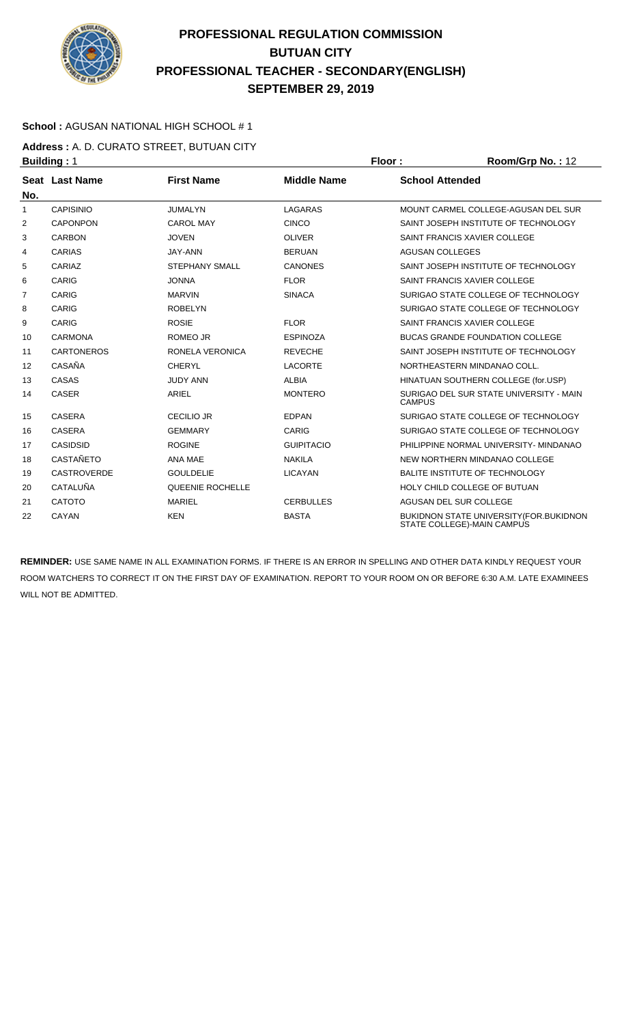

### **School :** AGUSAN NATIONAL HIGH SCHOOL # 1

**Address :** A. D. CURATO STREET, BUTUAN CITY **Building : 1 Floor : 8 <b>Floor** : **Room/Grp No. : 12** 

| No.          | Seat Last Name     | <b>First Name</b>     | <b>Middle Name</b> | <b>School Attended</b>                                                 |
|--------------|--------------------|-----------------------|--------------------|------------------------------------------------------------------------|
| $\mathbf{1}$ | <b>CAPISINIO</b>   | <b>JUMALYN</b>        | LAGARAS            | MOUNT CARMEL COLLEGE-AGUSAN DEL SUR                                    |
| 2            | <b>CAPONPON</b>    | <b>CAROL MAY</b>      | <b>CINCO</b>       | SAINT JOSEPH INSTITUTE OF TECHNOLOGY                                   |
| 3            | <b>CARBON</b>      | <b>JOVEN</b>          | <b>OLIVER</b>      | SAINT FRANCIS XAVIER COLLEGE                                           |
| 4            | CARIAS             | JAY-ANN               | <b>BERUAN</b>      | <b>AGUSAN COLLEGES</b>                                                 |
| 5            | CARIAZ             | <b>STEPHANY SMALL</b> | <b>CANONES</b>     | SAINT JOSEPH INSTITUTE OF TECHNOLOGY                                   |
| 6            | CARIG              | <b>JONNA</b>          | <b>FLOR</b>        | SAINT FRANCIS XAVIER COLLEGE                                           |
| 7            | CARIG              | <b>MARVIN</b>         | <b>SINACA</b>      | SURIGAO STATE COLLEGE OF TECHNOLOGY                                    |
| 8            | CARIG              | <b>ROBELYN</b>        |                    | SURIGAO STATE COLLEGE OF TECHNOLOGY                                    |
| 9            | CARIG              | <b>ROSIE</b>          | <b>FLOR</b>        | SAINT FRANCIS XAVIER COLLEGE                                           |
| 10           | <b>CARMONA</b>     | <b>ROMEO JR</b>       | <b>ESPINOZA</b>    | <b>BUCAS GRANDE FOUNDATION COLLEGE</b>                                 |
| 11           | <b>CARTONEROS</b>  | RONELA VERONICA       | <b>REVECHE</b>     | SAINT JOSEPH INSTITUTE OF TECHNOLOGY                                   |
| 12           | CASAÑA             | <b>CHERYL</b>         | <b>LACORTE</b>     | NORTHEASTERN MINDANAO COLL.                                            |
| 13           | CASAS              | <b>JUDY ANN</b>       | <b>ALBIA</b>       | HINATUAN SOUTHERN COLLEGE (for.USP)                                    |
| 14           | <b>CASER</b>       | <b>ARIEL</b>          | <b>MONTERO</b>     | SURIGAO DEL SUR STATE UNIVERSITY - MAIN<br><b>CAMPUS</b>               |
| 15           | CASERA             | <b>CECILIO JR</b>     | <b>EDPAN</b>       | SURIGAO STATE COLLEGE OF TECHNOLOGY                                    |
| 16           | <b>CASERA</b>      | <b>GEMMARY</b>        | CARIG              | SURIGAO STATE COLLEGE OF TECHNOLOGY                                    |
| 17           | CASIDSID           | <b>ROGINE</b>         | <b>GUIPITACIO</b>  | PHILIPPINE NORMAL UNIVERSITY- MINDANAO                                 |
| 18           | <b>CASTAÑETO</b>   | ANA MAE               | <b>NAKILA</b>      | NEW NORTHERN MINDANAO COLLEGE                                          |
| 19           | <b>CASTROVERDE</b> | <b>GOULDELIE</b>      | <b>LICAYAN</b>     | BALITE INSTITUTE OF TECHNOLOGY                                         |
| 20           | <b>CATALUÑA</b>    | QUEENIE ROCHELLE      |                    | HOLY CHILD COLLEGE OF BUTUAN                                           |
| 21           | <b>CATOTO</b>      | <b>MARIEL</b>         | <b>CERBULLES</b>   | AGUSAN DEL SUR COLLEGE                                                 |
| 22           | CAYAN              | <b>KEN</b>            | <b>BASTA</b>       | BUKIDNON STATE UNIVERSITY (FOR. BUKIDNON<br>STATE COLLEGE)-MAIN CAMPUS |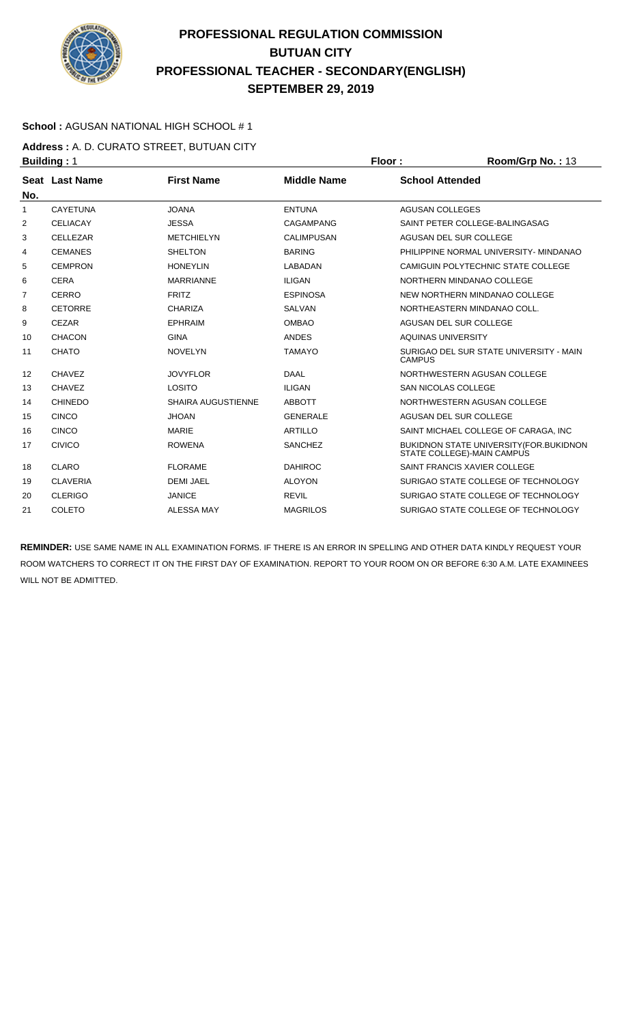

### **School :** AGUSAN NATIONAL HIGH SCHOOL # 1

**Address :** A. D. CURATO STREET, BUTUAN CITY **Building : 1 Floor : Room/Grp No. : 13** 

| No. | Seat Last Name  | <b>First Name</b>         | <b>Middle Name</b> | <b>School Attended</b>                                                       |
|-----|-----------------|---------------------------|--------------------|------------------------------------------------------------------------------|
| 1   | <b>CAYETUNA</b> | <b>JOANA</b>              | <b>ENTUNA</b>      | <b>AGUSAN COLLEGES</b>                                                       |
| 2   | <b>CELIACAY</b> | <b>JESSA</b>              | <b>CAGAMPANG</b>   | SAINT PETER COLLEGE-BALINGASAG                                               |
| 3   | CELLEZAR        | <b>METCHIELYN</b>         | <b>CALIMPUSAN</b>  | AGUSAN DEL SUR COLLEGE                                                       |
| 4   | <b>CEMANES</b>  | <b>SHELTON</b>            | <b>BARING</b>      | PHILIPPINE NORMAL UNIVERSITY- MINDANAO                                       |
| 5   | <b>CEMPRON</b>  | <b>HONEYLIN</b>           | LABADAN            | CAMIGUIN POLYTECHNIC STATE COLLEGE                                           |
| 6   | <b>CERA</b>     | <b>MARRIANNE</b>          | <b>ILIGAN</b>      | NORTHERN MINDANAO COLLEGE                                                    |
| 7   | <b>CERRO</b>    | <b>FRITZ</b>              | <b>ESPINOSA</b>    | NEW NORTHERN MINDANAO COLLEGE                                                |
| 8   | <b>CETORRE</b>  | CHARIZA                   | <b>SALVAN</b>      | NORTHEASTERN MINDANAO COLL.                                                  |
| 9   | <b>CEZAR</b>    | <b>EPHRAIM</b>            | <b>OMBAO</b>       | AGUSAN DEL SUR COLLEGE                                                       |
| 10  | <b>CHACON</b>   | <b>GINA</b>               | <b>ANDES</b>       | <b>AQUINAS UNIVERSITY</b>                                                    |
| 11  | <b>CHATO</b>    | <b>NOVELYN</b>            | <b>TAMAYO</b>      | SURIGAO DEL SUR STATE UNIVERSITY - MAIN<br><b>CAMPUS</b>                     |
| 12  | CHAVEZ          | <b>JOVYFLOR</b>           | <b>DAAL</b>        | NORTHWESTERN AGUSAN COLLEGE                                                  |
| 13  | <b>CHAVEZ</b>   | LOSITO                    | <b>ILIGAN</b>      | <b>SAN NICOLAS COLLEGE</b>                                                   |
| 14  | <b>CHINEDO</b>  | <b>SHAIRA AUGUSTIENNE</b> | <b>ABBOTT</b>      | NORTHWESTERN AGUSAN COLLEGE                                                  |
| 15  | CINCO           | <b>JHOAN</b>              | <b>GENERALE</b>    | AGUSAN DEL SUR COLLEGE                                                       |
| 16  | <b>CINCO</b>    | <b>MARIE</b>              | <b>ARTILLO</b>     | SAINT MICHAEL COLLEGE OF CARAGA. INC                                         |
| 17  | <b>CIVICO</b>   | <b>ROWENA</b>             | <b>SANCHEZ</b>     | <b>BUKIDNON STATE UNIVERSITY (FOR.BUKIDNON</b><br>STATE COLLEGE)-MAIN CAMPUS |
| 18  | CLARO           | <b>FLORAME</b>            | <b>DAHIROC</b>     | SAINT FRANCIS XAVIER COLLEGE                                                 |
| 19  | <b>CLAVERIA</b> | <b>DEMI JAEL</b>          | <b>ALOYON</b>      | SURIGAO STATE COLLEGE OF TECHNOLOGY                                          |
| 20  | <b>CLERIGO</b>  | <b>JANICE</b>             | <b>REVIL</b>       | SURIGAO STATE COLLEGE OF TECHNOLOGY                                          |
| 21  | COLETO          | <b>ALESSA MAY</b>         | <b>MAGRILOS</b>    | SURIGAO STATE COLLEGE OF TECHNOLOGY                                          |
|     |                 |                           |                    |                                                                              |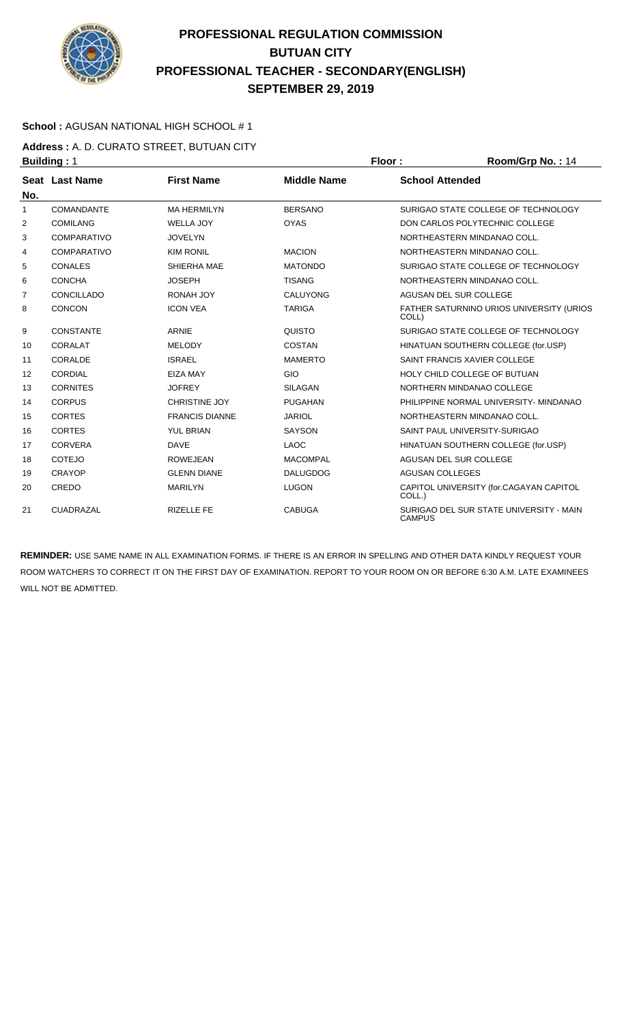

### **School :** AGUSAN NATIONAL HIGH SCHOOL # 1

**Address :** A. D. CURATO STREET, BUTUAN CITY **Building : 1 Floor : 8 <b>Floor** : **Room/Grp No. : 14** 

| No. | Seat Last Name     | <b>First Name</b>     | <b>Middle Name</b> | <b>School Attended</b>                                   |
|-----|--------------------|-----------------------|--------------------|----------------------------------------------------------|
| 1   | <b>COMANDANTE</b>  | <b>MA HERMILYN</b>    | <b>BERSANO</b>     | SURIGAO STATE COLLEGE OF TECHNOLOGY                      |
| 2   | <b>COMILANG</b>    | <b>WELLA JOY</b>      | <b>OYAS</b>        | DON CARLOS POLYTECHNIC COLLEGE                           |
| 3   | <b>COMPARATIVO</b> | <b>JOVELYN</b>        |                    | NORTHEASTERN MINDANAO COLL.                              |
| 4   | <b>COMPARATIVO</b> | <b>KIM RONIL</b>      | <b>MACION</b>      | NORTHEASTERN MINDANAO COLL.                              |
| 5   | <b>CONALES</b>     | SHIERHA MAE           | <b>MATONDO</b>     | SURIGAO STATE COLLEGE OF TECHNOLOGY                      |
| 6   | <b>CONCHA</b>      | <b>JOSEPH</b>         | <b>TISANG</b>      | NORTHEASTERN MINDANAO COLL.                              |
| 7   | CONCILLADO         | RONAH JOY             | CALUYONG           | AGUSAN DEL SUR COLLEGE                                   |
| 8   | <b>CONCON</b>      | <b>ICON VEA</b>       | <b>TARIGA</b>      | FATHER SATURNINO URIOS UNIVERSITY (URIOS<br>COLL)        |
| 9   | <b>CONSTANTE</b>   | <b>ARNIE</b>          | QUISTO             | SURIGAO STATE COLLEGE OF TECHNOLOGY                      |
| 10  | <b>CORALAT</b>     | <b>MELODY</b>         | <b>COSTAN</b>      | HINATUAN SOUTHERN COLLEGE (for.USP)                      |
| 11  | CORALDE            | <b>ISRAEL</b>         | <b>MAMERTO</b>     | SAINT FRANCIS XAVIER COLLEGE                             |
| 12  | <b>CORDIAL</b>     | <b>EIZA MAY</b>       | GIO                | HOLY CHILD COLLEGE OF BUTUAN                             |
| 13  | <b>CORNITES</b>    | <b>JOFREY</b>         | <b>SILAGAN</b>     | NORTHERN MINDANAO COLLEGE                                |
| 14  | <b>CORPUS</b>      | <b>CHRISTINE JOY</b>  | <b>PUGAHAN</b>     | PHILIPPINE NORMAL UNIVERSITY- MINDANAO                   |
| 15  | <b>CORTES</b>      | <b>FRANCIS DIANNE</b> | <b>JARIOL</b>      | NORTHEASTERN MINDANAO COLL.                              |
| 16  | <b>CORTES</b>      | <b>YUL BRIAN</b>      | <b>SAYSON</b>      | SAINT PAUL UNIVERSITY-SURIGAO                            |
| 17  | <b>CORVERA</b>     | <b>DAVE</b>           | <b>LAOC</b>        | HINATUAN SOUTHERN COLLEGE (for.USP)                      |
| 18  | <b>COTEJO</b>      | <b>ROWEJEAN</b>       | <b>MACOMPAL</b>    | AGUSAN DEL SUR COLLEGE                                   |
| 19  | <b>CRAYOP</b>      | <b>GLENN DIANE</b>    | <b>DALUGDOG</b>    | <b>AGUSAN COLLEGES</b>                                   |
| 20  | CREDO              | <b>MARILYN</b>        | <b>LUGON</b>       | CAPITOL UNIVERSITY (for.CAGAYAN CAPITOL<br>COLL.)        |
| 21  | CUADRAZAL          | <b>RIZELLE FE</b>     | <b>CABUGA</b>      | SURIGAO DEL SUR STATE UNIVERSITY - MAIN<br><b>CAMPUS</b> |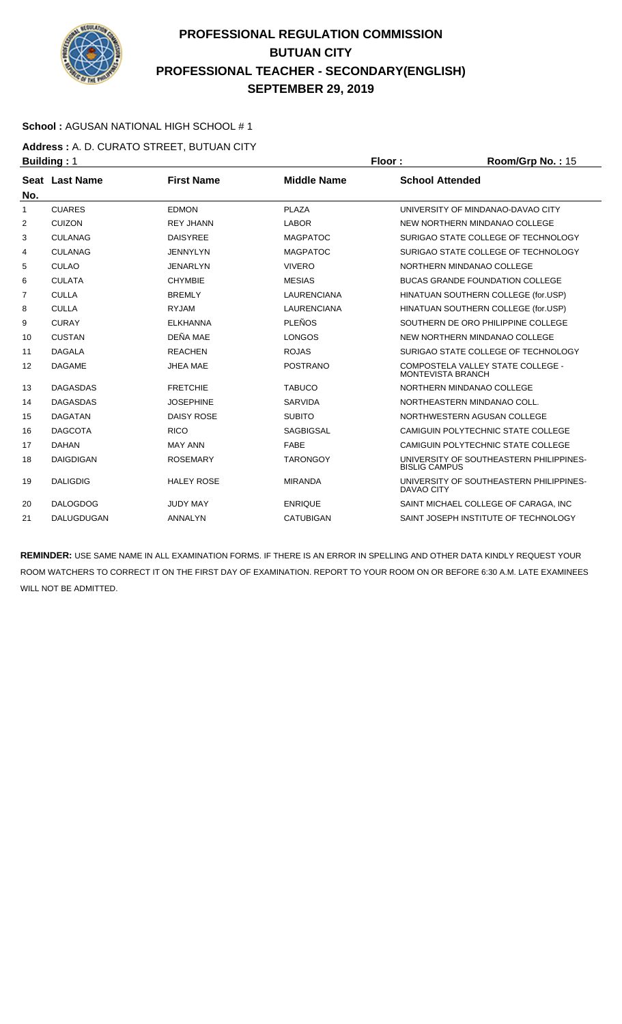

### **School :** AGUSAN NATIONAL HIGH SCHOOL # 1

**Address :** A. D. CURATO STREET, BUTUAN CITY **Building : 1 Floor : Room/Grp No. : 15** 

| No. | Seat Last Name    | <b>First Name</b> | <b>Middle Name</b> | <b>School Attended</b>                                          |
|-----|-------------------|-------------------|--------------------|-----------------------------------------------------------------|
| 1   | <b>CUARES</b>     | <b>EDMON</b>      | <b>PLAZA</b>       | UNIVERSITY OF MINDANAO-DAVAO CITY                               |
| 2   | <b>CUIZON</b>     | <b>REY JHANN</b>  | <b>LABOR</b>       | NEW NORTHERN MINDANAO COLLEGE                                   |
| 3   | <b>CULANAG</b>    | <b>DAISYREE</b>   | <b>MAGPATOC</b>    | SURIGAO STATE COLLEGE OF TECHNOLOGY                             |
| 4   | <b>CULANAG</b>    | <b>JENNYLYN</b>   | <b>MAGPATOC</b>    | SURIGAO STATE COLLEGE OF TECHNOLOGY                             |
| 5   | <b>CULAO</b>      | <b>JENARLYN</b>   | <b>VIVERO</b>      | NORTHERN MINDANAO COLLEGE                                       |
| 6   | <b>CULATA</b>     | <b>CHYMBIE</b>    | <b>MESIAS</b>      | <b>BUCAS GRANDE FOUNDATION COLLEGE</b>                          |
| 7   | <b>CULLA</b>      | <b>BREMLY</b>     | <b>LAURENCIANA</b> | HINATUAN SOUTHERN COLLEGE (for.USP)                             |
| 8   | <b>CULLA</b>      | <b>RYJAM</b>      | <b>LAURENCIANA</b> | HINATUAN SOUTHERN COLLEGE (for.USP)                             |
| 9   | <b>CURAY</b>      | <b>ELKHANNA</b>   | <b>PLEÑOS</b>      | SOUTHERN DE ORO PHILIPPINE COLLEGE                              |
| 10  | <b>CUSTAN</b>     | DEÑA MAE          | <b>LONGOS</b>      | NEW NORTHERN MINDANAO COLLEGE                                   |
| 11  | <b>DAGALA</b>     | <b>REACHEN</b>    | <b>ROJAS</b>       | SURIGAO STATE COLLEGE OF TECHNOLOGY                             |
| 12  | <b>DAGAME</b>     | <b>JHEA MAE</b>   | <b>POSTRANO</b>    | COMPOSTELA VALLEY STATE COLLEGE -<br>MONTEVISTA BRANCH          |
| 13  | <b>DAGASDAS</b>   | <b>FRETCHIE</b>   | <b>TABUCO</b>      | NORTHERN MINDANAO COLLEGE                                       |
| 14  | <b>DAGASDAS</b>   | <b>JOSEPHINE</b>  | <b>SARVIDA</b>     | NORTHEASTERN MINDANAO COLL.                                     |
| 15  | <b>DAGATAN</b>    | <b>DAISY ROSE</b> | <b>SUBITO</b>      | NORTHWESTERN AGUSAN COLLEGE                                     |
| 16  | <b>DAGCOTA</b>    | <b>RICO</b>       | <b>SAGBIGSAL</b>   | CAMIGUIN POLYTECHNIC STATE COLLEGE                              |
| 17  | <b>DAHAN</b>      | <b>MAY ANN</b>    | FABE               | CAMIGUIN POLYTECHNIC STATE COLLEGE                              |
| 18  | <b>DAIGDIGAN</b>  | <b>ROSEMARY</b>   | <b>TARONGOY</b>    | UNIVERSITY OF SOUTHEASTERN PHILIPPINES-<br><b>BISLIG CAMPUS</b> |
| 19  | <b>DALIGDIG</b>   | <b>HALEY ROSE</b> | <b>MIRANDA</b>     | UNIVERSITY OF SOUTHEASTERN PHILIPPINES-<br>DAVAO CITY           |
| 20  | <b>DALOGDOG</b>   | <b>JUDY MAY</b>   | <b>ENRIQUE</b>     | SAINT MICHAEL COLLEGE OF CARAGA. INC.                           |
| 21  | <b>DALUGDUGAN</b> | <b>ANNALYN</b>    | <b>CATUBIGAN</b>   | SAINT JOSEPH INSTITUTE OF TECHNOLOGY                            |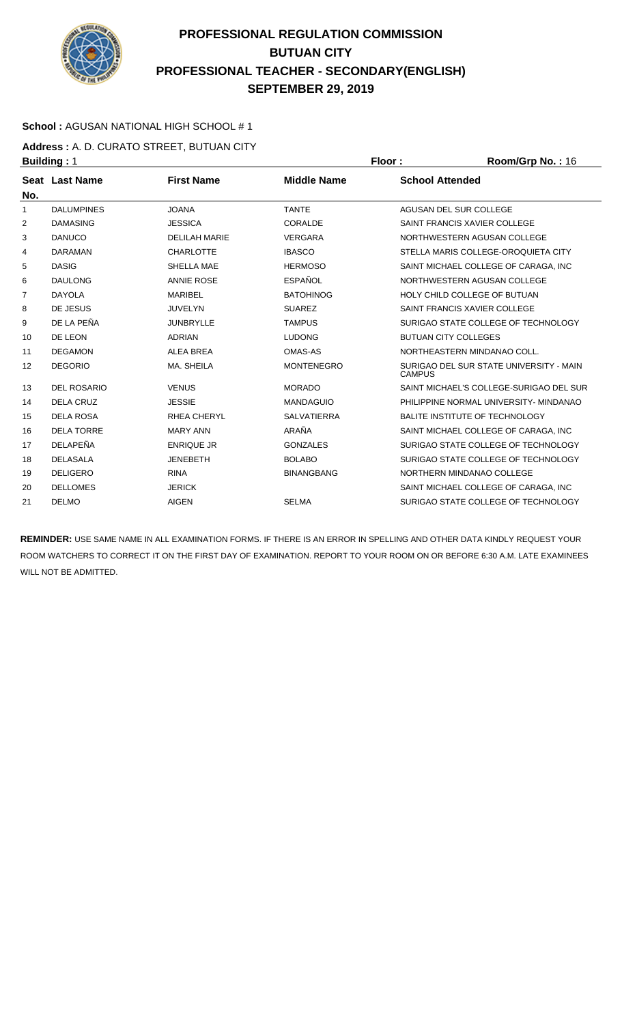

### **School :** AGUSAN NATIONAL HIGH SCHOOL # 1

**Address :** A. D. CURATO STREET, BUTUAN CITY **Building : 1 Floor : 8 <b>Floor : 8 Floor : 8 <b>Floor** : 8 **Room/Grp No. : 16** 

| Seat Last Name     | <b>First Name</b>    | <b>Middle Name</b> | <b>School Attended</b>                                   |
|--------------------|----------------------|--------------------|----------------------------------------------------------|
| <b>DALUMPINES</b>  | <b>JOANA</b>         | <b>TANTE</b>       | AGUSAN DEL SUR COLLEGE                                   |
| <b>DAMASING</b>    | <b>JESSICA</b>       | CORALDE            | SAINT FRANCIS XAVIER COLLEGE                             |
| <b>DANUCO</b>      | <b>DELILAH MARIE</b> | <b>VERGARA</b>     | NORTHWESTERN AGUSAN COLLEGE                              |
| <b>DARAMAN</b>     | <b>CHARLOTTE</b>     | <b>IBASCO</b>      | STELLA MARIS COLLEGE-OROQUIETA CITY                      |
| <b>DASIG</b>       | SHELLA MAE           | <b>HERMOSO</b>     | SAINT MICHAEL COLLEGE OF CARAGA. INC.                    |
| <b>DAULONG</b>     | <b>ANNIE ROSE</b>    | <b>FSPAÑOL</b>     | NORTHWESTERN AGUSAN COLLEGE                              |
| <b>DAYOLA</b>      | <b>MARIBEL</b>       | <b>BATOHINOG</b>   | HOLY CHILD COLLEGE OF BUTUAN                             |
| DE JESUS           | <b>JUVELYN</b>       | <b>SUAREZ</b>      | SAINT FRANCIS XAVIER COLLEGE                             |
| DE LA PEÑA         | <b>JUNBRYLLE</b>     | <b>TAMPUS</b>      | SURIGAO STATE COLLEGE OF TECHNOLOGY                      |
| DE LEON            | <b>ADRIAN</b>        | <b>LUDONG</b>      | <b>BUTUAN CITY COLLEGES</b>                              |
| <b>DEGAMON</b>     | <b>ALEA BREA</b>     | OMAS-AS            | NORTHEASTERN MINDANAO COLL.                              |
| <b>DEGORIO</b>     | MA, SHEILA           | <b>MONTENEGRO</b>  | SURIGAO DEL SUR STATE UNIVERSITY - MAIN<br><b>CAMPUS</b> |
| <b>DEL ROSARIO</b> | <b>VENUS</b>         | <b>MORADO</b>      | SAINT MICHAEL'S COLLEGE-SURIGAO DEL SUR                  |
| DELA CRUZ          | <b>JESSIE</b>        | <b>MANDAGUIO</b>   | PHILIPPINE NORMAL UNIVERSITY- MINDANAO                   |
| <b>DELA ROSA</b>   | <b>RHEA CHERYL</b>   | <b>SALVATIERRA</b> | BALITE INSTITUTE OF TECHNOLOGY                           |
| <b>DELA TORRE</b>  | <b>MARY ANN</b>      | ARAÑA              | SAINT MICHAEL COLLEGE OF CARAGA, INC                     |
| DELAPEÑA           | <b>ENRIQUE JR</b>    | <b>GONZALES</b>    | SURIGAO STATE COLLEGE OF TECHNOLOGY                      |
| <b>DELASALA</b>    | <b>JENEBETH</b>      | <b>BOLABO</b>      | SURIGAO STATE COLLEGE OF TECHNOLOGY                      |
| <b>DELIGERO</b>    | <b>RINA</b>          | <b>BINANGBANG</b>  | NORTHERN MINDANAO COLLEGE                                |
| <b>DELLOMES</b>    | <b>JERICK</b>        |                    | SAINT MICHAEL COLLEGE OF CARAGA. INC.                    |
| <b>DELMO</b>       | <b>AIGEN</b>         | <b>SELMA</b>       | SURIGAO STATE COLLEGE OF TECHNOLOGY                      |
|                    |                      |                    |                                                          |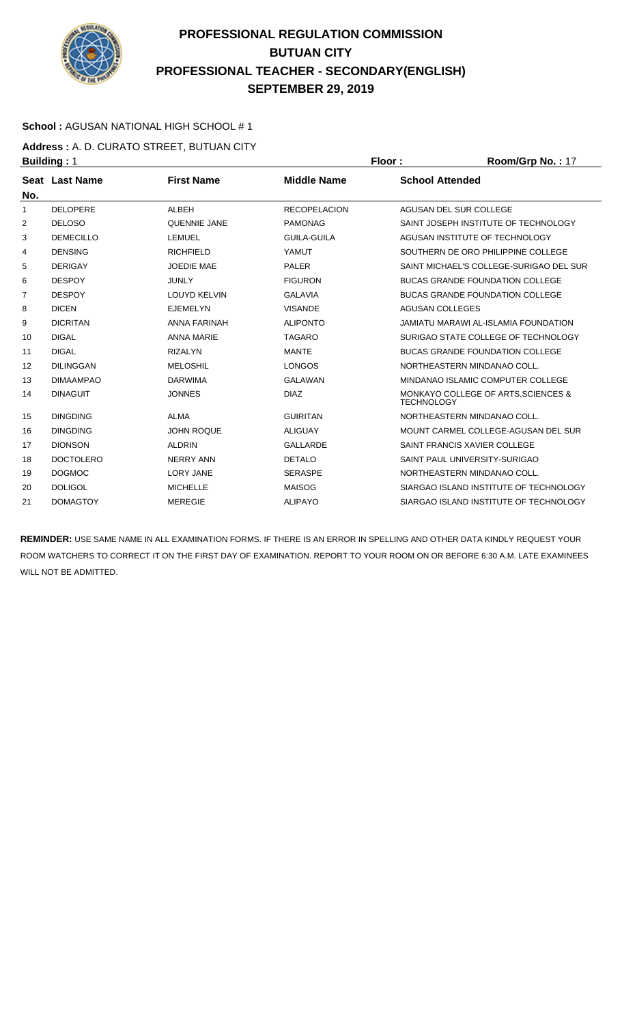

### **School :** AGUSAN NATIONAL HIGH SCHOOL # 1

**Address :** A. D. CURATO STREET, BUTUAN CITY **Building : 1 Floor : Room/Grp No. : 17** 

| <b>Seat Last Name</b> | <b>First Name</b>   | <b>Middle Name</b>  | <b>School Attended</b>                                   |
|-----------------------|---------------------|---------------------|----------------------------------------------------------|
| <b>DELOPERE</b>       | <b>ALBEH</b>        | <b>RECOPELACION</b> | AGUSAN DEL SUR COLLEGE                                   |
| <b>DELOSO</b>         | <b>QUENNIE JANE</b> | <b>PAMONAG</b>      | SAINT JOSEPH INSTITUTE OF TECHNOLOGY                     |
| <b>DEMECILLO</b>      | <b>LEMUEL</b>       | <b>GUILA-GUILA</b>  | AGUSAN INSTITUTE OF TECHNOLOGY                           |
| <b>DENSING</b>        | <b>RICHFIELD</b>    | YAMUT               | SOUTHERN DE ORO PHILIPPINE COLLEGE                       |
| <b>DERIGAY</b>        | <b>JOEDIE MAE</b>   | <b>PALER</b>        | SAINT MICHAEL'S COLLEGE-SURIGAO DEL SUR                  |
| <b>DESPOY</b>         | <b>JUNLY</b>        | <b>FIGURON</b>      | <b>BUCAS GRANDE FOUNDATION COLLEGE</b>                   |
| <b>DESPOY</b>         | <b>LOUYD KELVIN</b> | <b>GALAVIA</b>      | <b>BUCAS GRANDE FOUNDATION COLLEGE</b>                   |
| <b>DICEN</b>          | <b>EJEMELYN</b>     | <b>VISANDE</b>      | <b>AGUSAN COLLEGES</b>                                   |
| <b>DICRITAN</b>       | <b>ANNA FARINAH</b> | <b>ALIPONTO</b>     | <b>JAMIATU MARAWI AL-ISLAMIA FOUNDATION</b>              |
| <b>DIGAL</b>          | <b>ANNA MARIE</b>   | <b>TAGARO</b>       | SURIGAO STATE COLLEGE OF TECHNOLOGY                      |
| <b>DIGAL</b>          | <b>RIZALYN</b>      | <b>MANTE</b>        | <b>BUCAS GRANDE FOUNDATION COLLEGE</b>                   |
| <b>DILINGGAN</b>      | <b>MELOSHIL</b>     | <b>LONGOS</b>       | NORTHEASTERN MINDANAO COLL.                              |
| <b>DIMAAMPAO</b>      | <b>DARWIMA</b>      | GALAWAN             | MINDANAO ISLAMIC COMPUTER COLLEGE                        |
| <b>DINAGUIT</b>       | <b>JONNES</b>       | <b>DIAZ</b>         | MONKAYO COLLEGE OF ARTS, SCIENCES &<br><b>TECHNOLOGY</b> |
| <b>DINGDING</b>       | <b>ALMA</b>         | <b>GUIRITAN</b>     | NORTHEASTERN MINDANAO COLL.                              |
| <b>DINGDING</b>       | <b>JOHN ROQUE</b>   | <b>ALIGUAY</b>      | MOUNT CARMEL COLLEGE-AGUSAN DEL SUR                      |
| <b>DIONSON</b>        | <b>ALDRIN</b>       | <b>GALLARDE</b>     | SAINT FRANCIS XAVIER COLLEGE                             |
| <b>DOCTOLERO</b>      | <b>NERRY ANN</b>    | <b>DETALO</b>       | SAINT PAUL UNIVERSITY-SURIGAO                            |
| <b>DOGMOC</b>         | <b>LORY JANE</b>    | <b>SERASPE</b>      | NORTHEASTERN MINDANAO COLL.                              |
| <b>DOLIGOL</b>        | <b>MICHELLE</b>     | <b>MAISOG</b>       | SIARGAO ISLAND INSTITUTE OF TECHNOLOGY                   |
| <b>DOMAGTOY</b>       | <b>MEREGIE</b>      | <b>ALIPAYO</b>      | SIARGAO ISLAND INSTITUTE OF TECHNOLOGY                   |
|                       |                     |                     |                                                          |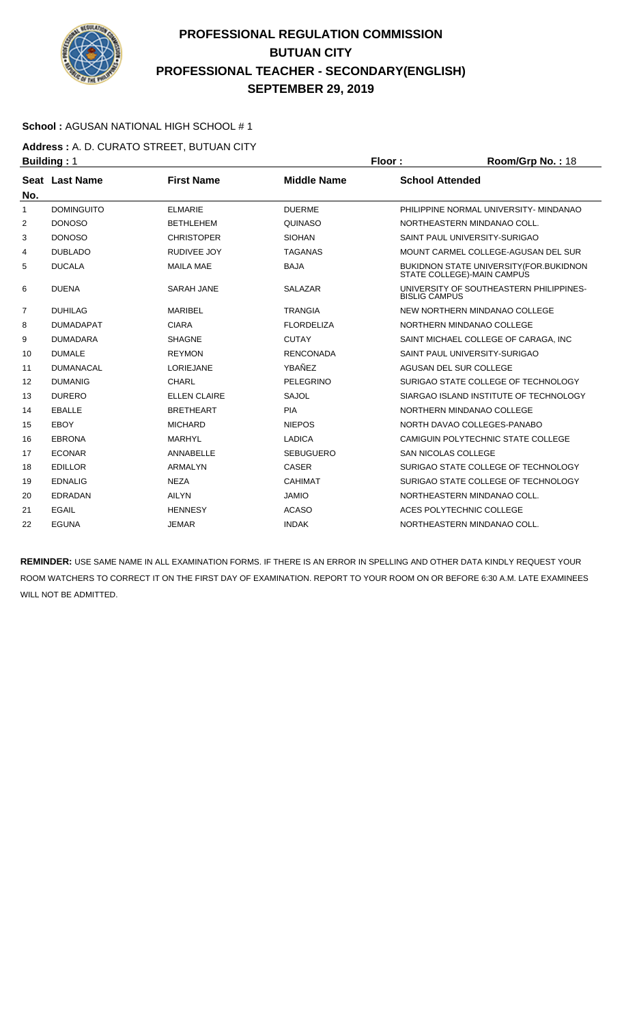

### **School :** AGUSAN NATIONAL HIGH SCHOOL # 1

**Address :** A. D. CURATO STREET, BUTUAN CITY **Building : 1 Floor : 8 <b>Floor : 8 Floor : 8 <b>Floor** : 8 **Room/Grp No. : 18** 

|                | <u> эмнинии г</u>     |                     |                    |                                                                       |
|----------------|-----------------------|---------------------|--------------------|-----------------------------------------------------------------------|
| No.            | <b>Seat Last Name</b> | <b>First Name</b>   | <b>Middle Name</b> | <b>School Attended</b>                                                |
| 1              | <b>DOMINGUITO</b>     | <b>ELMARIE</b>      | <b>DUERME</b>      | PHILIPPINE NORMAL UNIVERSITY- MINDANAO                                |
| 2              | <b>DONOSO</b>         | <b>BETHLEHEM</b>    | <b>QUINASO</b>     | NORTHEASTERN MINDANAO COLL.                                           |
| 3              | <b>DONOSO</b>         | <b>CHRISTOPER</b>   | <b>SIOHAN</b>      | SAINT PAUL UNIVERSITY-SURIGAO                                         |
| 4              | <b>DUBLADO</b>        | <b>RUDIVEE JOY</b>  | <b>TAGANAS</b>     | MOUNT CARMEL COLLEGE-AGUSAN DEL SUR                                   |
| 5              | <b>DUCALA</b>         | <b>MAILA MAE</b>    | <b>BAJA</b>        | BUKIDNON STATE UNIVERSITY (FOR.BUKIDNON<br>STATE COLLEGE)-MAIN CAMPUS |
| 6              | <b>DUENA</b>          | <b>SARAH JANE</b>   | <b>SALAZAR</b>     | UNIVERSITY OF SOUTHEASTERN PHILIPPINES-<br><b>BISLIG CAMPUS</b>       |
| $\overline{7}$ | <b>DUHILAG</b>        | <b>MARIBEL</b>      | <b>TRANGIA</b>     | NEW NORTHERN MINDANAO COLLEGE                                         |
| 8              | <b>DUMADAPAT</b>      | <b>CIARA</b>        | <b>FLORDELIZA</b>  | NORTHERN MINDANAO COLLEGE                                             |
| 9              | <b>DUMADARA</b>       | <b>SHAGNE</b>       | <b>CUTAY</b>       | SAINT MICHAEL COLLEGE OF CARAGA. INC.                                 |
| 10             | <b>DUMALE</b>         | <b>REYMON</b>       | <b>RENCONADA</b>   | SAINT PAUL UNIVERSITY-SURIGAO                                         |
| 11             | <b>DUMANACAL</b>      | <b>LORIEJANE</b>    | YBAÑEZ             | AGUSAN DEL SUR COLLEGE                                                |
| 12             | <b>DUMANIG</b>        | <b>CHARL</b>        | PELEGRINO          | SURIGAO STATE COLLEGE OF TECHNOLOGY                                   |
| 13             | <b>DURERO</b>         | <b>ELLEN CLAIRE</b> | SAJOL              | SIARGAO ISLAND INSTITUTE OF TECHNOLOGY                                |
| 14             | <b>EBALLE</b>         | <b>BRETHEART</b>    | <b>PIA</b>         | NORTHERN MINDANAO COLLEGE                                             |
| 15             | EBOY                  | <b>MICHARD</b>      | <b>NIEPOS</b>      | NORTH DAVAO COLLEGES-PANABO                                           |
| 16             | <b>EBRONA</b>         | <b>MARHYL</b>       | <b>LADICA</b>      | CAMIGUIN POLYTECHNIC STATE COLLEGE                                    |
| 17             | <b>ECONAR</b>         | ANNABELLE           | <b>SEBUGUERO</b>   | <b>SAN NICOLAS COLLEGE</b>                                            |
| 18             | <b>EDILLOR</b>        | <b>ARMALYN</b>      | <b>CASER</b>       | SURIGAO STATE COLLEGE OF TECHNOLOGY                                   |
| 19             | <b>EDNALIG</b>        | <b>NEZA</b>         | <b>CAHIMAT</b>     | SURIGAO STATE COLLEGE OF TECHNOLOGY                                   |
| 20             | <b>EDRADAN</b>        | <b>AILYN</b>        | <b>JAMIO</b>       | NORTHEASTERN MINDANAO COLL.                                           |
| 21             | <b>EGAIL</b>          | <b>HENNESY</b>      | <b>ACASO</b>       | ACES POLYTECHNIC COLLEGE                                              |
| 22             | <b>EGUNA</b>          | <b>JEMAR</b>        | <b>INDAK</b>       | NORTHEASTERN MINDANAO COLL.                                           |
|                |                       |                     |                    |                                                                       |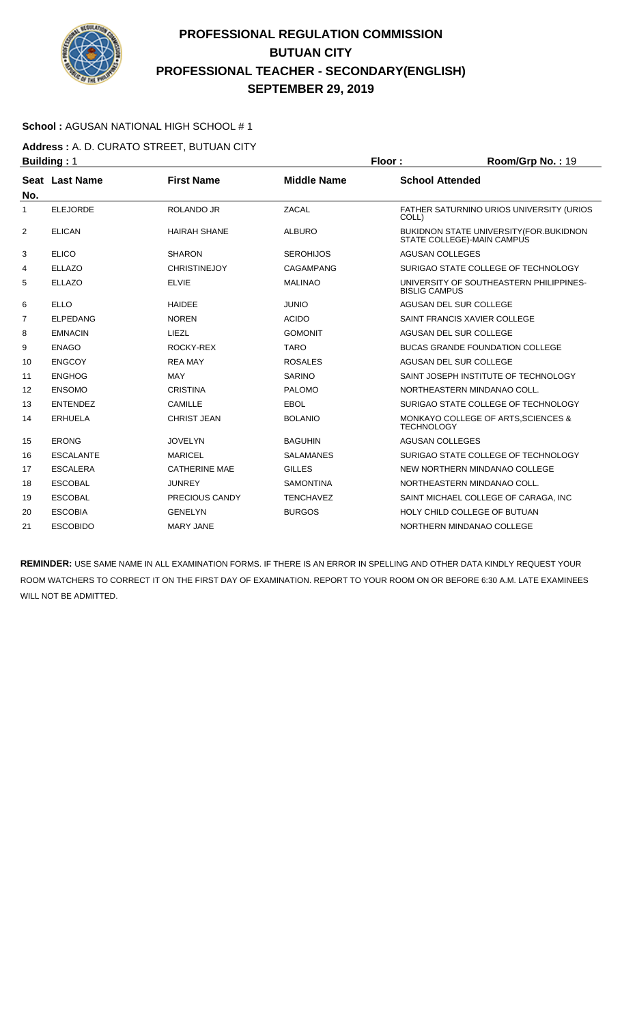

### **School :** AGUSAN NATIONAL HIGH SCHOOL # 1

**Address :** A. D. CURATO STREET, BUTUAN CITY **Building : 1 Floor : 8 <b>Floor** : **Room/Grp No. : 19** 

| No.            | Seat Last Name   | <b>First Name</b>     | <b>Middle Name</b> | <b>School Attended</b>                                                       |
|----------------|------------------|-----------------------|--------------------|------------------------------------------------------------------------------|
| 1              | <b>ELEJORDE</b>  | ROLANDO JR            | ZACAL              | FATHER SATURNINO URIOS UNIVERSITY (URIOS<br>COLL)                            |
| 2              | <b>ELICAN</b>    | <b>HAIRAH SHANE</b>   | <b>ALBURO</b>      | <b>BUKIDNON STATE UNIVERSITY (FOR.BUKIDNON</b><br>STATE COLLEGE)-MAIN CAMPUS |
| 3              | <b>ELICO</b>     | <b>SHARON</b>         | <b>SEROHIJOS</b>   | <b>AGUSAN COLLEGES</b>                                                       |
| 4              | <b>ELLAZO</b>    | <b>CHRISTINEJOY</b>   | CAGAMPANG          | SURIGAO STATE COLLEGE OF TECHNOLOGY                                          |
| 5              | <b>ELLAZO</b>    | <b>ELVIE</b>          | <b>MALINAO</b>     | UNIVERSITY OF SOUTHEASTERN PHILIPPINES-<br><b>BISLIG CAMPUS</b>              |
| 6              | <b>ELLO</b>      | <b>HAIDFF</b>         | <b>JUNIO</b>       | AGUSAN DEL SUR COLLEGE                                                       |
| $\overline{7}$ | <b>ELPEDANG</b>  | <b>NOREN</b>          | <b>ACIDO</b>       | SAINT FRANCIS XAVIER COLLEGE                                                 |
| 8              | <b>EMNACIN</b>   | LIEZL                 | <b>GOMONIT</b>     | AGUSAN DEL SUR COLLEGE                                                       |
| 9              | <b>ENAGO</b>     | ROCKY-REX             | <b>TARO</b>        | <b>BUCAS GRANDE FOUNDATION COLLEGE</b>                                       |
| 10             | <b>ENGCOY</b>    | <b>REA MAY</b>        | <b>ROSALES</b>     | AGUSAN DEL SUR COLLEGE                                                       |
| 11             | <b>ENGHOG</b>    | <b>MAY</b>            | <b>SARINO</b>      | SAINT JOSEPH INSTITUTE OF TECHNOLOGY                                         |
| 12             | <b>ENSOMO</b>    | <b>CRISTINA</b>       | <b>PALOMO</b>      | NORTHEASTERN MINDANAO COLL.                                                  |
| 13             | <b>ENTENDEZ</b>  | CAMILLE               | EBOL               | SURIGAO STATE COLLEGE OF TECHNOLOGY                                          |
| 14             | <b>ERHUELA</b>   | <b>CHRIST JEAN</b>    | <b>BOLANIO</b>     | MONKAYO COLLEGE OF ARTS, SCIENCES &<br><b>TECHNOLOGY</b>                     |
| 15             | <b>ERONG</b>     | <b>JOVELYN</b>        | <b>BAGUHIN</b>     | <b>AGUSAN COLLEGES</b>                                                       |
| 16             | <b>ESCALANTE</b> | <b>MARICEL</b>        | <b>SALAMANES</b>   | SURIGAO STATE COLLEGE OF TECHNOLOGY                                          |
| 17             | <b>ESCALERA</b>  | <b>CATHERINE MAE</b>  | <b>GILLES</b>      | NEW NORTHERN MINDANAO COLLEGE                                                |
| 18             | <b>ESCOBAL</b>   | <b>JUNREY</b>         | <b>SAMONTINA</b>   | NORTHEASTERN MINDANAO COLL.                                                  |
| 19             | <b>ESCOBAL</b>   | <b>PRECIOUS CANDY</b> | <b>TENCHAVEZ</b>   | SAINT MICHAEL COLLEGE OF CARAGA, INC                                         |
| 20             | <b>ESCOBIA</b>   | <b>GENELYN</b>        | <b>BURGOS</b>      | HOLY CHILD COLLEGE OF BUTUAN                                                 |
| 21             | <b>ESCOBIDO</b>  | <b>MARY JANE</b>      |                    | NORTHERN MINDANAO COLLEGE                                                    |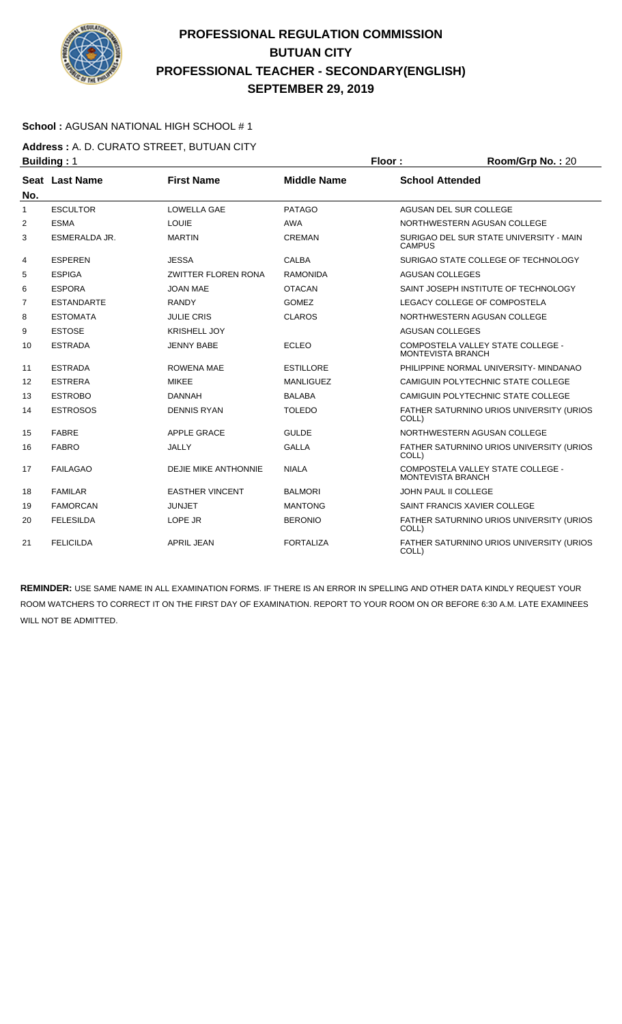

### **School :** AGUSAN NATIONAL HIGH SCHOOL # 1

**Address :** A. D. CURATO STREET, BUTUAN CITY **Building : 1 Floor : Room/Grp No. : 20** 

|                | - - - - - - - - <u>-</u> - - - - |                             |                    |                                                          |
|----------------|----------------------------------|-----------------------------|--------------------|----------------------------------------------------------|
| No.            | Seat Last Name                   | <b>First Name</b>           | <b>Middle Name</b> | <b>School Attended</b>                                   |
| 1              | <b>ESCULTOR</b>                  | <b>LOWELLA GAE</b>          | <b>PATAGO</b>      | AGUSAN DEL SUR COLLEGE                                   |
| 2              | <b>ESMA</b>                      | <b>LOUIE</b>                | <b>AWA</b>         | NORTHWESTERN AGUSAN COLLEGE                              |
| 3              | <b>ESMERALDA JR.</b>             | <b>MARTIN</b>               | <b>CREMAN</b>      | SURIGAO DEL SUR STATE UNIVERSITY - MAIN<br><b>CAMPUS</b> |
| 4              | <b>ESPEREN</b>                   | <b>JESSA</b>                | <b>CALBA</b>       | SURIGAO STATE COLLEGE OF TECHNOLOGY                      |
| 5              | <b>ESPIGA</b>                    | <b>ZWITTER FLOREN RONA</b>  | <b>RAMONIDA</b>    | <b>AGUSAN COLLEGES</b>                                   |
| 6              | <b>ESPORA</b>                    | <b>JOAN MAE</b>             | <b>OTACAN</b>      | SAINT JOSEPH INSTITUTE OF TECHNOLOGY                     |
| $\overline{7}$ | <b>ESTANDARTE</b>                | <b>RANDY</b>                | <b>GOMEZ</b>       | LEGACY COLLEGE OF COMPOSTELA                             |
| 8              | <b>ESTOMATA</b>                  | <b>JULIE CRIS</b>           | <b>CLAROS</b>      | NORTHWESTERN AGUSAN COLLEGE                              |
| 9              | <b>ESTOSE</b>                    | <b>KRISHELL JOY</b>         |                    | <b>AGUSAN COLLEGES</b>                                   |
| 10             | <b>ESTRADA</b>                   | <b>JENNY BABE</b>           | <b>ECLEO</b>       | COMPOSTELA VALLEY STATE COLLEGE -<br>MONTEVISTA BRANCH   |
| 11             | <b>ESTRADA</b>                   | <b>ROWENA MAE</b>           | <b>ESTILLORE</b>   | PHILIPPINE NORMAL UNIVERSITY- MINDANAO                   |
| 12             | <b>ESTRERA</b>                   | <b>MIKEE</b>                | <b>MANLIGUEZ</b>   | CAMIGUIN POLYTECHNIC STATE COLLEGE                       |
| 13             | <b>ESTROBO</b>                   | <b>DANNAH</b>               | <b>BALABA</b>      | CAMIGUIN POLYTECHNIC STATE COLLEGE                       |
| 14             | <b>ESTROSOS</b>                  | <b>DENNIS RYAN</b>          | <b>TOLEDO</b>      | FATHER SATURNINO URIOS UNIVERSITY (URIOS<br>COLL)        |
| 15             | <b>FABRE</b>                     | <b>APPLE GRACE</b>          | <b>GULDE</b>       | NORTHWESTERN AGUSAN COLLEGE                              |
| 16             | <b>FABRO</b>                     | <b>JALLY</b>                | <b>GALLA</b>       | FATHER SATURNINO URIOS UNIVERSITY (URIOS<br>COLL)        |
| 17             | <b>FAILAGAO</b>                  | <b>DEJIE MIKE ANTHONNIE</b> | <b>NIALA</b>       | COMPOSTELA VALLEY STATE COLLEGE -<br>MONTEVISTA BRANCH   |
| 18             | <b>FAMILAR</b>                   | <b>EASTHER VINCENT</b>      | <b>BALMORI</b>     | <b>JOHN PAUL II COLLEGE</b>                              |
| 19             | <b>FAMORCAN</b>                  | <b>JUNJET</b>               | <b>MANTONG</b>     | SAINT FRANCIS XAVIER COLLEGE                             |
| 20             | <b>FELESILDA</b>                 | LOPE JR                     | <b>BERONIO</b>     | FATHER SATURNINO URIOS UNIVERSITY (URIOS<br>COLL)        |
| 21             | <b>FELICILDA</b>                 | <b>APRIL JEAN</b>           | <b>FORTALIZA</b>   | FATHER SATURNINO URIOS UNIVERSITY (URIOS<br>COLL)        |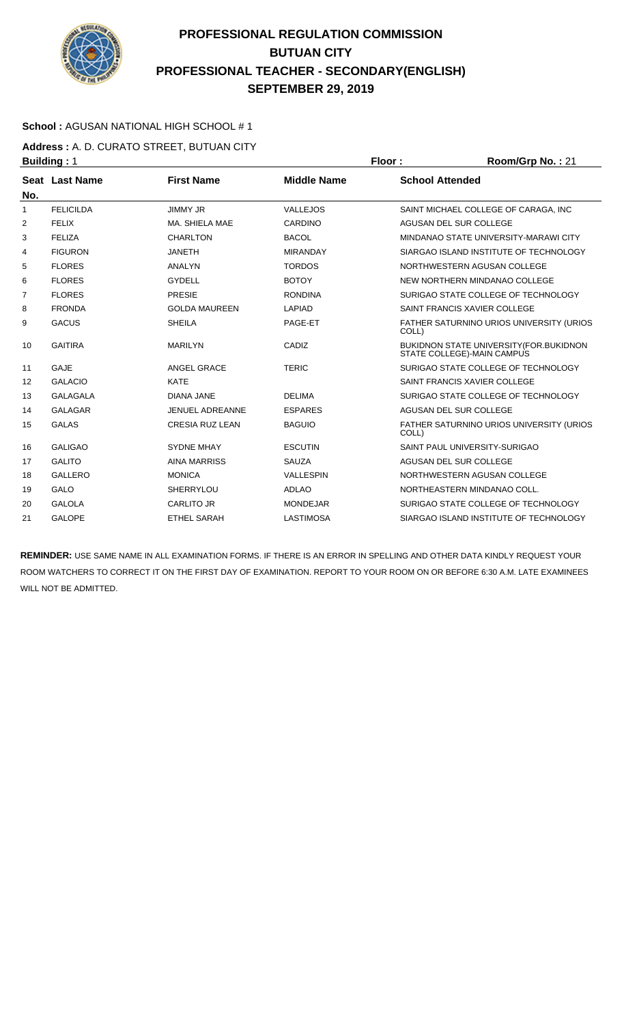

### **School :** AGUSAN NATIONAL HIGH SCHOOL # 1

**Address :** A. D. CURATO STREET, BUTUAN CITY **Building : 1 Floor : 8.1 <b>Floor : 8.1 Floor : 8.1 <b>Floor** : 8.21 **Room/Grp No. : 21** 

| No.            | <b>Seat Last Name</b> | <b>First Name</b>      | <b>Middle Name</b> | <b>School Attended</b>                                                        |
|----------------|-----------------------|------------------------|--------------------|-------------------------------------------------------------------------------|
| $\mathbf{1}$   | <b>FELICILDA</b>      | <b>JIMMY JR</b>        | VALLEJOS           | SAINT MICHAEL COLLEGE OF CARAGA. INC                                          |
| $\overline{2}$ | <b>FELIX</b>          | MA. SHIELA MAE         | CARDINO            | AGUSAN DEL SUR COLLEGE                                                        |
| 3              | <b>FELIZA</b>         | <b>CHARLTON</b>        | <b>BACOL</b>       | MINDANAO STATE UNIVERSITY-MARAWI CITY                                         |
| 4              | <b>FIGURON</b>        | <b>JANETH</b>          | <b>MIRANDAY</b>    | SIARGAO ISLAND INSTITUTE OF TECHNOLOGY                                        |
| 5              | <b>FLORES</b>         | <b>ANALYN</b>          | <b>TORDOS</b>      | NORTHWESTERN AGUSAN COLLEGE                                                   |
| 6              | <b>FLORES</b>         | <b>GYDELL</b>          | <b>BOTOY</b>       | NEW NORTHERN MINDANAO COLLEGE                                                 |
| 7              | <b>FLORES</b>         | <b>PRESIE</b>          | <b>RONDINA</b>     | SURIGAO STATE COLLEGE OF TECHNOLOGY                                           |
| 8              | <b>FRONDA</b>         | <b>GOLDA MAUREEN</b>   | <b>LAPIAD</b>      | SAINT FRANCIS XAVIER COLLEGE                                                  |
| 9              | <b>GACUS</b>          | <b>SHEILA</b>          | PAGE-ET            | FATHER SATURNINO URIOS UNIVERSITY (URIOS<br>COLL)                             |
| 10             | <b>GAITIRA</b>        | <b>MARILYN</b>         | CADIZ              | <b>BUKIDNON STATE UNIVERSITY (FOR. BUKIDNON</b><br>STATE COLLEGE)-MAIN CAMPUS |
| 11             | <b>GAJE</b>           | ANGEL GRACE            | <b>TERIC</b>       | SURIGAO STATE COLLEGE OF TECHNOLOGY                                           |
| 12             | <b>GALACIO</b>        | <b>KATE</b>            |                    | SAINT FRANCIS XAVIER COLLEGE                                                  |
| 13             | <b>GALAGALA</b>       | <b>DIANA JANE</b>      | <b>DELIMA</b>      | SURIGAO STATE COLLEGE OF TECHNOLOGY                                           |
| 14             | <b>GALAGAR</b>        | JENUEL ADREANNE        | <b>ESPARES</b>     | AGUSAN DEL SUR COLLEGE                                                        |
| 15             | <b>GALAS</b>          | <b>CRESIA RUZ LEAN</b> | <b>BAGUIO</b>      | FATHER SATURNINO URIOS UNIVERSITY (URIOS<br>COLL)                             |
| 16             | <b>GALIGAO</b>        | <b>SYDNE MHAY</b>      | <b>ESCUTIN</b>     | SAINT PAUL UNIVERSITY-SURIGAO                                                 |
| 17             | <b>GALITO</b>         | <b>AINA MARRISS</b>    | <b>SAUZA</b>       | <b>AGUSAN DEL SUR COLLEGE</b>                                                 |
| 18             | <b>GALLERO</b>        | <b>MONICA</b>          | <b>VALLESPIN</b>   | NORTHWESTERN AGUSAN COLLEGE                                                   |
| 19             | <b>GALO</b>           | <b>SHERRYLOU</b>       | <b>ADLAO</b>       | NORTHEASTERN MINDANAO COLL.                                                   |
| 20             | <b>GALOLA</b>         | <b>CARLITO JR</b>      | <b>MONDEJAR</b>    | SURIGAO STATE COLLEGE OF TECHNOLOGY                                           |
| 21             | <b>GALOPE</b>         | <b>ETHEL SARAH</b>     | <b>LASTIMOSA</b>   | SIARGAO ISLAND INSTITUTE OF TECHNOLOGY                                        |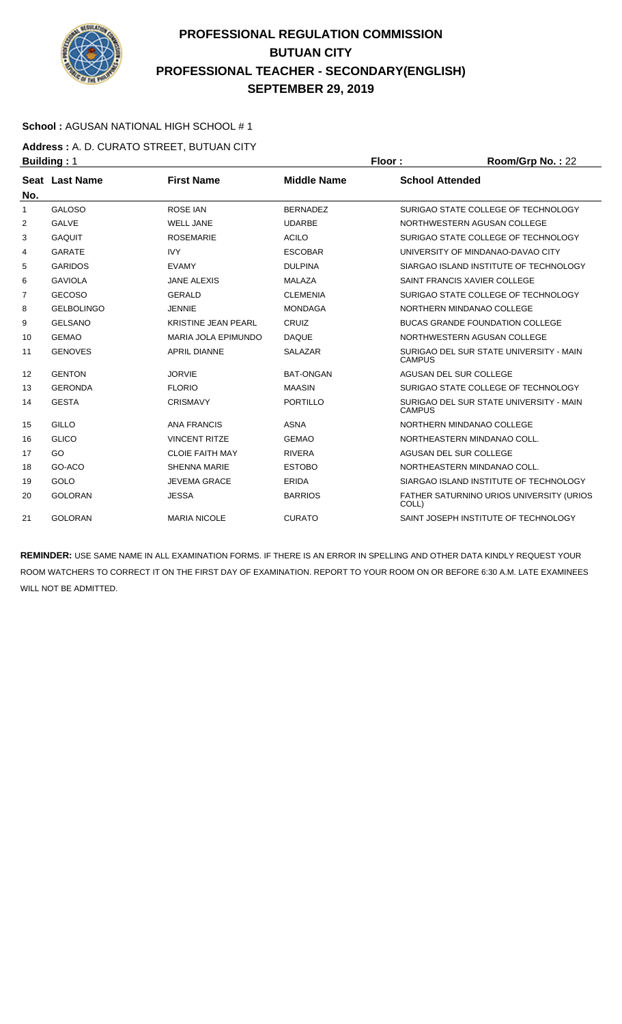

### **School :** AGUSAN NATIONAL HIGH SCHOOL # 1

**Address :** A. D. CURATO STREET, BUTUAN CITY **Building :** 1 **Floor : Room/Grp No. :** 22

| No.          | <b>Seat Last Name</b> | <b>First Name</b>          | <b>Middle Name</b> | <b>School Attended</b>                                   |
|--------------|-----------------------|----------------------------|--------------------|----------------------------------------------------------|
| $\mathbf{1}$ | <b>GALOSO</b>         | <b>ROSE IAN</b>            | <b>BERNADEZ</b>    | SURIGAO STATE COLLEGE OF TECHNOLOGY                      |
| 2            | <b>GALVE</b>          | <b>WELL JANE</b>           | <b>UDARBE</b>      | NORTHWESTERN AGUSAN COLLEGE                              |
| 3            | <b>GAQUIT</b>         | <b>ROSEMARIE</b>           | <b>ACILO</b>       | SURIGAO STATE COLLEGE OF TECHNOLOGY                      |
| 4            | <b>GARATE</b>         | <b>IVY</b>                 | <b>ESCOBAR</b>     | UNIVERSITY OF MINDANAO-DAVAO CITY                        |
| 5            | <b>GARIDOS</b>        | <b>EVAMY</b>               | <b>DULPINA</b>     | SIARGAO ISLAND INSTITUTE OF TECHNOLOGY                   |
| 6            | <b>GAVIOLA</b>        | <b>JANE ALEXIS</b>         | <b>MALAZA</b>      | SAINT FRANCIS XAVIER COLLEGE                             |
| 7            | <b>GECOSO</b>         | <b>GERALD</b>              | <b>CLEMENIA</b>    | SURIGAO STATE COLLEGE OF TECHNOLOGY                      |
| 8            | <b>GELBOLINGO</b>     | <b>JENNIE</b>              | <b>MONDAGA</b>     | NORTHERN MINDANAO COLLEGE                                |
| 9            | <b>GELSANO</b>        | <b>KRISTINE JEAN PEARL</b> | CRUIZ              | <b>BUCAS GRANDE FOUNDATION COLLEGE</b>                   |
| 10           | <b>GEMAO</b>          | <b>MARIA JOLA EPIMUNDO</b> | <b>DAQUE</b>       | NORTHWESTERN AGUSAN COLLEGE                              |
| 11           | <b>GENOVES</b>        | <b>APRIL DIANNE</b>        | <b>SALAZAR</b>     | SURIGAO DEL SUR STATE UNIVERSITY - MAIN<br><b>CAMPUS</b> |
| 12           | <b>GENTON</b>         | <b>JORVIE</b>              | <b>BAT-ONGAN</b>   | AGUSAN DEL SUR COLLEGE                                   |
| 13           | <b>GERONDA</b>        | <b>FLORIO</b>              | <b>MAASIN</b>      | SURIGAO STATE COLLEGE OF TECHNOLOGY                      |
| 14           | <b>GESTA</b>          | <b>CRISMAVY</b>            | <b>PORTILLO</b>    | SURIGAO DEL SUR STATE UNIVERSITY - MAIN<br><b>CAMPUS</b> |
| 15           | GILLO                 | <b>ANA FRANCIS</b>         | <b>ASNA</b>        | NORTHERN MINDANAO COLLEGE                                |
| 16           | <b>GLICO</b>          | <b>VINCENT RITZE</b>       | <b>GEMAO</b>       | NORTHEASTERN MINDANAO COLL.                              |
| 17           | GO                    | <b>CLOIE FAITH MAY</b>     | <b>RIVERA</b>      | AGUSAN DEL SUR COLLEGE                                   |
| 18           | GO-ACO                | <b>SHENNA MARIE</b>        | <b>ESTOBO</b>      | NORTHEASTERN MINDANAO COLL.                              |
| 19           | GOLO                  | <b>JEVEMA GRACE</b>        | <b>ERIDA</b>       | SIARGAO ISLAND INSTITUTE OF TECHNOLOGY                   |
| 20           | <b>GOLORAN</b>        | <b>JESSA</b>               | <b>BARRIOS</b>     | FATHER SATURNINO URIOS UNIVERSITY (URIOS<br>COLL)        |
| 21           | <b>GOLORAN</b>        | <b>MARIA NICOLE</b>        | <b>CURATO</b>      | SAINT JOSEPH INSTITUTE OF TECHNOLOGY                     |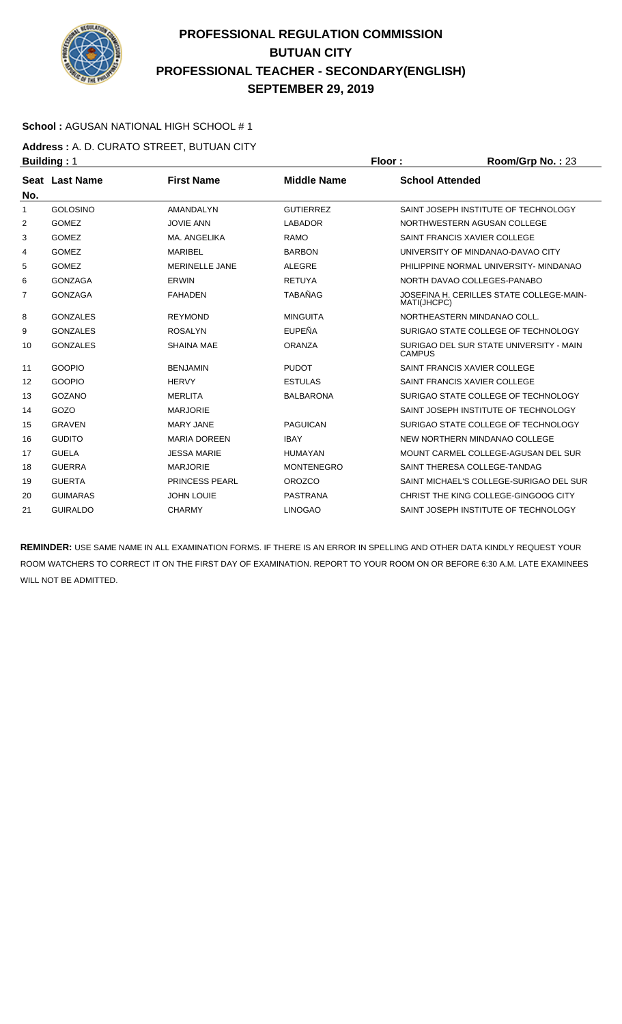

### **School :** AGUSAN NATIONAL HIGH SCHOOL # 1

**Address :** A. D. CURATO STREET, BUTUAN CITY **Building :** 1 **Floor : Room/Grp No. :** 23

| No.            | Seat Last Name  | <b>First Name</b>     | <b>Middle Name</b> | <b>School Attended</b>                                   |
|----------------|-----------------|-----------------------|--------------------|----------------------------------------------------------|
| 1              | <b>GOLOSINO</b> | AMANDALYN             | <b>GUTIERREZ</b>   | SAINT JOSEPH INSTITUTE OF TECHNOLOGY                     |
| 2              | <b>GOMEZ</b>    | <b>JOVIE ANN</b>      | <b>LABADOR</b>     | NORTHWESTERN AGUSAN COLLEGE                              |
| 3              | <b>GOMEZ</b>    | MA, ANGELIKA          | <b>RAMO</b>        | SAINT FRANCIS XAVIER COLLEGE                             |
| 4              | <b>GOMEZ</b>    | <b>MARIBEL</b>        | <b>BARBON</b>      | UNIVERSITY OF MINDANAO-DAVAO CITY                        |
| 5              | <b>GOMEZ</b>    | <b>MERINELLE JANE</b> | <b>ALEGRE</b>      | PHILIPPINE NORMAL UNIVERSITY- MINDANAO                   |
| 6              | <b>GONZAGA</b>  | <b>ERWIN</b>          | <b>RETUYA</b>      | NORTH DAVAO COLLEGES-PANABO                              |
| $\overline{7}$ | <b>GONZAGA</b>  | <b>FAHADEN</b>        | <b>TABAÑAG</b>     | JOSEFINA H. CERILLES STATE COLLEGE-MAIN-<br>MATI(JHCPC)  |
| 8              | <b>GONZALES</b> | <b>REYMOND</b>        | <b>MINGUITA</b>    | NORTHEASTERN MINDANAO COLL.                              |
| 9              | <b>GONZALES</b> | <b>ROSALYN</b>        | EUPEÑA             | SURIGAO STATE COLLEGE OF TECHNOLOGY                      |
| 10             | <b>GONZALES</b> | <b>SHAINA MAE</b>     | <b>ORANZA</b>      | SURIGAO DEL SUR STATE UNIVERSITY - MAIN<br><b>CAMPUS</b> |
| 11             | <b>GOOPIO</b>   | <b>BENJAMIN</b>       | <b>PUDOT</b>       | SAINT FRANCIS XAVIER COLLEGE                             |
| 12             | <b>GOOPIO</b>   | <b>HERVY</b>          | <b>ESTULAS</b>     | SAINT FRANCIS XAVIER COLLEGE                             |
| 13             | GOZANO          | MERLITA               | <b>BALBARONA</b>   | SURIGAO STATE COLLEGE OF TECHNOLOGY                      |
| 14             | GOZO            | <b>MARJORIE</b>       |                    | SAINT JOSEPH INSTITUTE OF TECHNOLOGY                     |
| 15             | <b>GRAVEN</b>   | <b>MARY JANE</b>      | <b>PAGUICAN</b>    | SURIGAO STATE COLLEGE OF TECHNOLOGY                      |
| 16             | <b>GUDITO</b>   | <b>MARIA DOREEN</b>   | <b>IBAY</b>        | NEW NORTHERN MINDANAO COLLEGE                            |
| 17             | <b>GUELA</b>    | <b>JESSA MARIE</b>    | <b>HUMAYAN</b>     | MOUNT CARMEL COLLEGE-AGUSAN DEL SUR                      |
| 18             | <b>GUERRA</b>   | <b>MARJORIE</b>       | <b>MONTENEGRO</b>  | SAINT THERESA COLLEGE-TANDAG                             |
| 19             | <b>GUERTA</b>   | <b>PRINCESS PEARL</b> | <b>OROZCO</b>      | SAINT MICHAEL'S COLLEGE-SURIGAO DEL SUR                  |
| 20             | <b>GUIMARAS</b> | <b>JOHN LOUIE</b>     | <b>PASTRANA</b>    | CHRIST THE KING COLLEGE-GINGOOG CITY                     |
| 21             | <b>GUIRALDO</b> | <b>CHARMY</b>         | <b>LINOGAO</b>     | SAINT JOSEPH INSTITUTE OF TECHNOLOGY                     |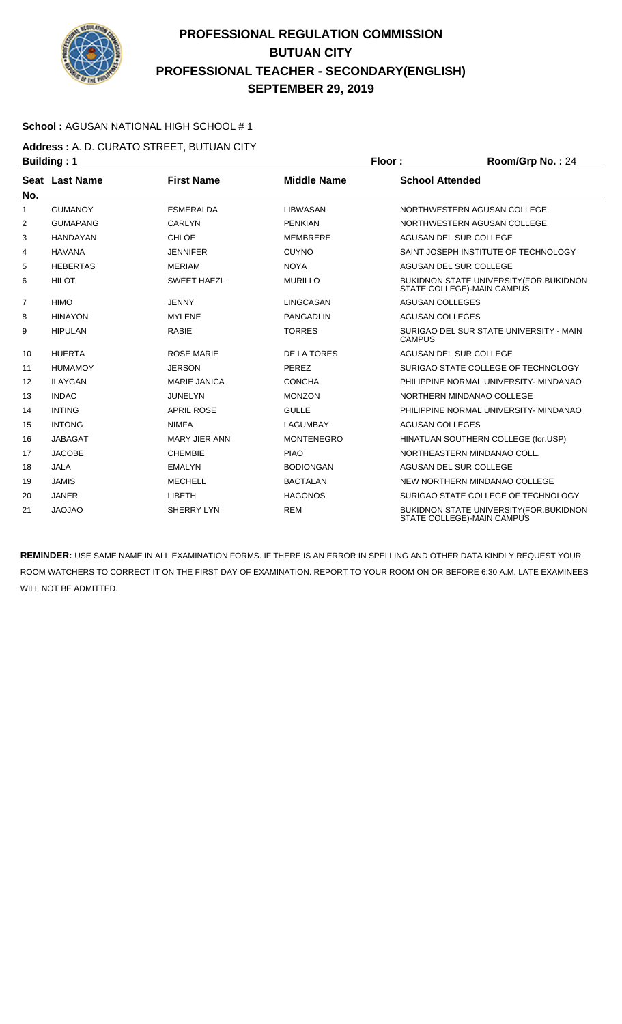

### **School :** AGUSAN NATIONAL HIGH SCHOOL # 1

**Address :** A. D. CURATO STREET, BUTUAN CITY **Building : 1 Floor : 8 <b>Floor** : **Room/Grp No. : 24** 

| No. | Seat Last Name  | <b>First Name</b>    | <b>Middle Name</b> | <b>School Attended</b>                                                 |
|-----|-----------------|----------------------|--------------------|------------------------------------------------------------------------|
| 1   | <b>GUMANOY</b>  | <b>ESMERALDA</b>     | <b>LIBWASAN</b>    | NORTHWESTERN AGUSAN COLLEGE                                            |
| 2   | <b>GUMAPANG</b> | CARLYN               | <b>PENKIAN</b>     | NORTHWESTERN AGUSAN COLLEGE                                            |
| 3   | <b>HANDAYAN</b> | <b>CHLOE</b>         | MEMBRERE           | AGUSAN DEL SUR COLLEGE                                                 |
| 4   | <b>HAVANA</b>   | <b>JENNIFER</b>      | <b>CUYNO</b>       | SAINT JOSEPH INSTITUTE OF TECHNOLOGY                                   |
| 5   | <b>HEBERTAS</b> | <b>MERIAM</b>        | <b>NOYA</b>        | AGUSAN DEL SUR COLLEGE                                                 |
| 6   | <b>HILOT</b>    | <b>SWEET HAEZL</b>   | <b>MURILLO</b>     | BUKIDNON STATE UNIVERSITY (FOR. BUKIDNON<br>STATE COLLEGE)-MAIN CAMPUS |
| 7   | <b>HIMO</b>     | <b>JENNY</b>         | LINGCASAN          | <b>AGUSAN COLLEGES</b>                                                 |
| 8   | <b>HINAYON</b>  | <b>MYLENE</b>        | <b>PANGADLIN</b>   | <b>AGUSAN COLLEGES</b>                                                 |
| 9   | <b>HIPULAN</b>  | <b>RABIE</b>         | <b>TORRES</b>      | SURIGAO DEL SUR STATE UNIVERSITY - MAIN<br><b>CAMPUS</b>               |
| 10  | <b>HUERTA</b>   | <b>ROSE MARIE</b>    | <b>DE LA TORES</b> | AGUSAN DEL SUR COLLEGE                                                 |
| 11  | <b>HUMAMOY</b>  | <b>JERSON</b>        | PEREZ              | SURIGAO STATE COLLEGE OF TECHNOLOGY                                    |
| 12  | <b>ILAYGAN</b>  | <b>MARIE JANICA</b>  | <b>CONCHA</b>      | PHILIPPINE NORMAL UNIVERSITY- MINDANAO                                 |
| 13  | <b>INDAC</b>    | <b>JUNELYN</b>       | <b>MONZON</b>      | NORTHERN MINDANAO COLLEGE                                              |
| 14  | <b>INTING</b>   | <b>APRIL ROSE</b>    | <b>GULLE</b>       | PHILIPPINE NORMAL UNIVERSITY- MINDANAO                                 |
| 15  | <b>INTONG</b>   | <b>NIMFA</b>         | LAGUMBAY           | <b>AGUSAN COLLEGES</b>                                                 |
| 16  | <b>JABAGAT</b>  | <b>MARY JIER ANN</b> | <b>MONTENEGRO</b>  | HINATUAN SOUTHERN COLLEGE (for.USP)                                    |
| 17  | <b>JACOBE</b>   | <b>CHEMBIE</b>       | <b>PIAO</b>        | NORTHEASTERN MINDANAO COLL.                                            |
| 18  | <b>JALA</b>     | <b>EMALYN</b>        | <b>BODIONGAN</b>   | AGUSAN DEL SUR COLLEGE                                                 |
| 19  | <b>JAMIS</b>    | <b>MECHELL</b>       | <b>BACTALAN</b>    | NEW NORTHERN MINDANAO COLLEGE                                          |
| 20  | <b>JANER</b>    | <b>LIBETH</b>        | <b>HAGONOS</b>     | SURIGAO STATE COLLEGE OF TECHNOLOGY                                    |
| 21  | <b>JAOJAO</b>   | SHERRY LYN           | <b>REM</b>         | BUKIDNON STATE UNIVERSITY (FOR. BUKIDNON<br>STATE COLLEGE)-MAIN CAMPUS |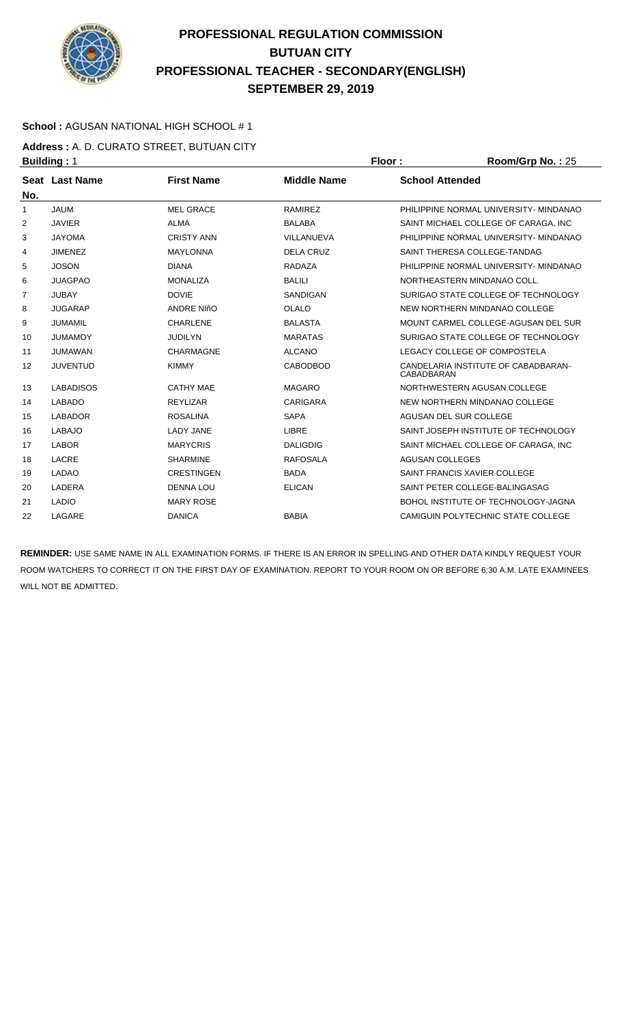

### **School :** AGUSAN NATIONAL HIGH SCHOOL # 1

**Address :** A. D. CURATO STREET, BUTUAN CITY **Building : 1 Floor : Room/Grp No. : 25** 

| No.            | Seat Last Name   | <b>First Name</b> | <b>Middle Name</b> | <b>School Attended</b>                                   |
|----------------|------------------|-------------------|--------------------|----------------------------------------------------------|
| 1              | <b>JAUM</b>      | <b>MEL GRACE</b>  | <b>RAMIREZ</b>     | PHILIPPINE NORMAL UNIVERSITY- MINDANAO                   |
| 2              | <b>JAVIER</b>    | <b>ALMA</b>       | <b>BALABA</b>      | SAINT MICHAEL COLLEGE OF CARAGA. INC                     |
| 3              | <b>JAYOMA</b>    | <b>CRISTY ANN</b> | VILLANUEVA         | PHILIPPINE NORMAL UNIVERSITY- MINDANAO                   |
| 4              | <b>JIMENEZ</b>   | <b>MAYLONNA</b>   | <b>DELA CRUZ</b>   | SAINT THERESA COLLEGE-TANDAG                             |
| 5              | <b>JOSON</b>     | <b>DIANA</b>      | <b>RADAZA</b>      | PHILIPPINE NORMAL UNIVERSITY- MINDANAO                   |
| 6              | <b>JUAGPAO</b>   | <b>MONALIZA</b>   | <b>BALILI</b>      | NORTHEASTERN MINDANAO COLL.                              |
| $\overline{7}$ | <b>JUBAY</b>     | <b>DOVIE</b>      | SANDIGAN           | SURIGAO STATE COLLEGE OF TECHNOLOGY                      |
| 8              | <b>JUGARAP</b>   | <b>ANDRE NIñO</b> | <b>OLALO</b>       | NEW NORTHERN MINDANAO COLLEGE                            |
| 9              | <b>JUMAMIL</b>   | <b>CHARLENE</b>   | <b>BALASTA</b>     | MOUNT CARMEL COLLEGE-AGUSAN DEL SUR                      |
| 10             | <b>JUMAMOY</b>   | <b>JUDILYN</b>    | <b>MARATAS</b>     | SURIGAO STATE COLLEGE OF TECHNOLOGY                      |
| 11             | <b>JUMAWAN</b>   | <b>CHARMAGNE</b>  | <b>ALCANO</b>      | LEGACY COLLEGE OF COMPOSTELA                             |
| 12             | <b>JUVENTUD</b>  | <b>KIMMY</b>      | <b>CABODBOD</b>    | CANDELARIA INSTITUTE OF CABADBARAN-<br><b>CABADBARAN</b> |
| 13             | <b>LABADISOS</b> | <b>CATHY MAE</b>  | <b>MAGARO</b>      | NORTHWESTERN AGUSAN COLLEGE                              |
| 14             | <b>LABADO</b>    | <b>REYLIZAR</b>   | <b>CARIGARA</b>    | NEW NORTHERN MINDANAO COLLEGE                            |
| 15             | <b>LABADOR</b>   | <b>ROSALINA</b>   | <b>SAPA</b>        | AGUSAN DEL SUR COLLEGE                                   |
| 16             | <b>LABAJO</b>    | <b>LADY JANE</b>  | <b>LIBRE</b>       | SAINT JOSEPH INSTITUTE OF TECHNOLOGY                     |
| 17             | <b>LABOR</b>     | <b>MARYCRIS</b>   | <b>DALIGDIG</b>    | SAINT MICHAEL COLLEGE OF CARAGA. INC                     |
| 18             | LACRE            | <b>SHARMINE</b>   | <b>RAFOSALA</b>    | <b>AGUSAN COLLEGES</b>                                   |
| 19             | <b>LADAO</b>     | <b>CRESTINGEN</b> | <b>BADA</b>        | SAINT FRANCIS XAVIER COLLEGE                             |
| 20             | LADERA           | <b>DENNA LOU</b>  | <b>ELICAN</b>      | SAINT PETER COLLEGE-BALINGASAG                           |
| 21             | <b>LADIO</b>     | <b>MARY ROSE</b>  |                    | BOHOL INSTITUTE OF TECHNOLOGY-JAGNA                      |
| 22             | LAGARE           | <b>DANICA</b>     | <b>BABIA</b>       | CAMIGUIN POLYTECHNIC STATE COLLEGE                       |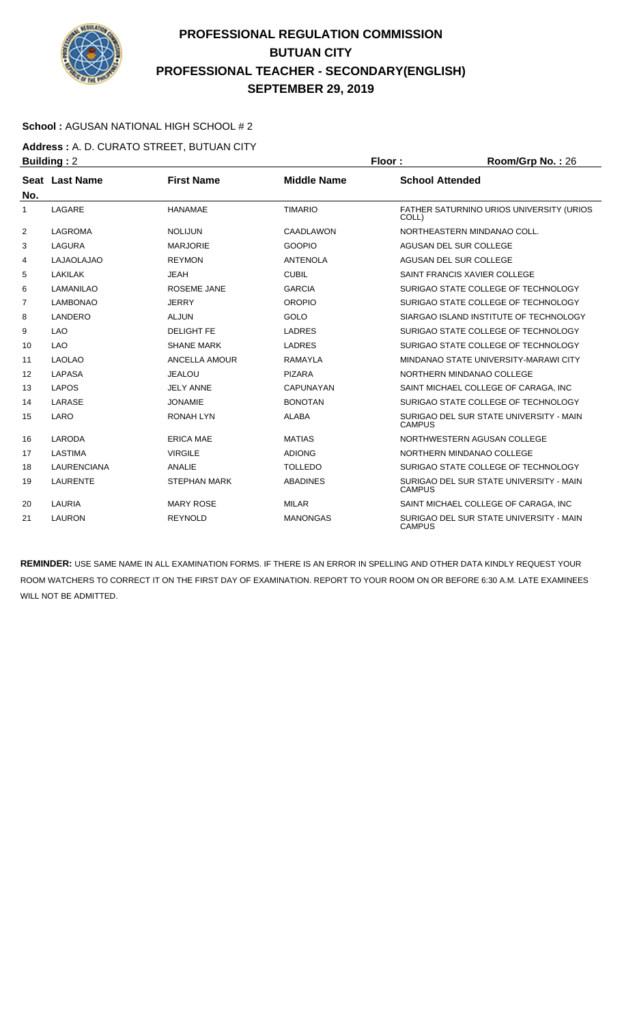

### **School :** AGUSAN NATIONAL HIGH SCHOOL # 2

**Address :** A. D. CURATO STREET, BUTUAN CITY **Building :** 2 **Floor : Room/Grp No. :** 26

| No.            | Seat Last Name     | <b>First Name</b>   | <b>Middle Name</b> | <b>School Attended</b>                                   |
|----------------|--------------------|---------------------|--------------------|----------------------------------------------------------|
| 1              | LAGARE             | <b>HANAMAE</b>      | <b>TIMARIO</b>     | FATHER SATURNINO URIOS UNIVERSITY (URIOS<br>COLL)        |
| 2              | <b>LAGROMA</b>     | <b>NOLIJUN</b>      | CAADLAWON          | NORTHEASTERN MINDANAO COLL.                              |
| 3              | <b>LAGURA</b>      | <b>MARJORIE</b>     | <b>GOOPIO</b>      | AGUSAN DEL SUR COLLEGE                                   |
| 4              | <b>LAJAOLAJAO</b>  | <b>REYMON</b>       | <b>ANTENOLA</b>    | AGUSAN DEL SUR COLLEGE                                   |
| 5              | <b>LAKILAK</b>     | <b>JEAH</b>         | <b>CUBIL</b>       | SAINT FRANCIS XAVIER COLLEGE                             |
| 6              | <b>LAMANILAO</b>   | ROSEME JANE         | <b>GARCIA</b>      | SURIGAO STATE COLLEGE OF TECHNOLOGY                      |
| $\overline{7}$ | <b>LAMBONAO</b>    | <b>JERRY</b>        | <b>OROPIO</b>      | SURIGAO STATE COLLEGE OF TECHNOLOGY                      |
| 8              | LANDERO            | <b>ALJUN</b>        | GOLO               | SIARGAO ISLAND INSTITUTE OF TECHNOLOGY                   |
| 9              | <b>LAO</b>         | <b>DELIGHT FE</b>   | <b>LADRES</b>      | SURIGAO STATE COLLEGE OF TECHNOLOGY                      |
| 10             | <b>LAO</b>         | <b>SHANE MARK</b>   | <b>LADRES</b>      | SURIGAO STATE COLLEGE OF TECHNOLOGY                      |
| 11             | <b>LAOLAO</b>      | ANCELLA AMOUR       | <b>RAMAYLA</b>     | MINDANAO STATE UNIVERSITY-MARAWI CITY                    |
| 12             | <b>LAPASA</b>      | <b>JEALOU</b>       | <b>PIZARA</b>      | NORTHERN MINDANAO COLLEGE                                |
| 13             | <b>LAPOS</b>       | <b>JELY ANNE</b>    | <b>CAPUNAYAN</b>   | SAINT MICHAEL COLLEGE OF CARAGA, INC                     |
| 14             | LARASE             | <b>JONAMIE</b>      | <b>BONOTAN</b>     | SURIGAO STATE COLLEGE OF TECHNOLOGY                      |
| 15             | LARO               | <b>RONAH LYN</b>    | <b>ALABA</b>       | SURIGAO DEL SUR STATE UNIVERSITY - MAIN<br><b>CAMPUS</b> |
| 16             | LARODA             | <b>ERICA MAE</b>    | <b>MATIAS</b>      | NORTHWESTERN AGUSAN COLLEGE                              |
| 17             | LASTIMA            | <b>VIRGILE</b>      | <b>ADIONG</b>      | NORTHERN MINDANAO COLLEGE                                |
| 18             | <b>LAURENCIANA</b> | <b>ANALIE</b>       | <b>TOLLEDO</b>     | SURIGAO STATE COLLEGE OF TECHNOLOGY                      |
| 19             | <b>LAURENTE</b>    | <b>STEPHAN MARK</b> | <b>ABADINES</b>    | SURIGAO DEL SUR STATE UNIVERSITY - MAIN<br><b>CAMPUS</b> |
| 20             | LAURIA             | <b>MARY ROSE</b>    | <b>MILAR</b>       | SAINT MICHAEL COLLEGE OF CARAGA, INC                     |
| 21             | LAURON             | <b>REYNOLD</b>      | <b>MANONGAS</b>    | SURIGAO DEL SUR STATE UNIVERSITY - MAIN<br><b>CAMPUS</b> |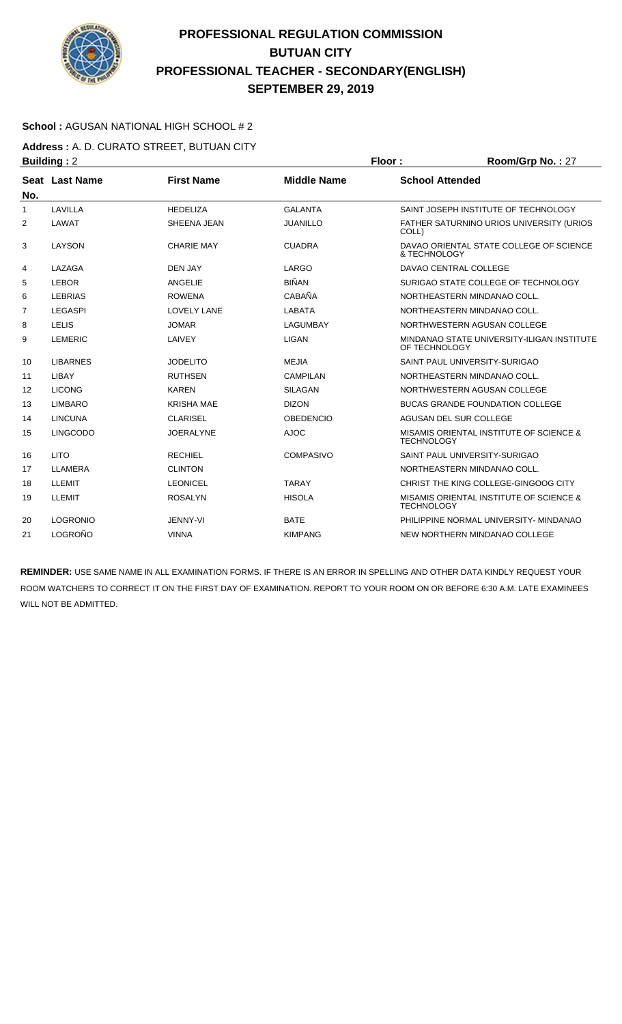

### **School :** AGUSAN NATIONAL HIGH SCHOOL # 2

**Address :** A. D. CURATO STREET, BUTUAN CITY **Building : 2 Floor : Room/Grp No. : 27** 

| No.          | Seat Last Name  | <b>First Name</b>  | <b>Middle Name</b> | <b>School Attended</b>                                       |
|--------------|-----------------|--------------------|--------------------|--------------------------------------------------------------|
| $\mathbf{1}$ | LAVILLA         | <b>HEDELIZA</b>    | <b>GALANTA</b>     | SAINT JOSEPH INSTITUTE OF TECHNOLOGY                         |
| 2            | LAWAT           | SHEENA JEAN        | <b>JUANILLO</b>    | FATHER SATURNINO URIOS UNIVERSITY (URIOS<br>COLL)            |
| 3            | LAYSON          | <b>CHARIE MAY</b>  | <b>CUADRA</b>      | DAVAO ORIENTAL STATE COLLEGE OF SCIENCE<br>& TECHNOLOGY      |
| 4            | LAZAGA          | <b>DEN JAY</b>     | LARGO              | DAVAO CENTRAL COLLEGE                                        |
| 5            | <b>LEBOR</b>    | ANGELIE            | <b>BIÑAN</b>       | SURIGAO STATE COLLEGE OF TECHNOLOGY                          |
| 6            | <b>LEBRIAS</b>  | <b>ROWENA</b>      | CABAÑA             | NORTHEASTERN MINDANAO COLL.                                  |
| 7            | <b>LEGASPI</b>  | <b>LOVELY LANE</b> | <b>LABATA</b>      | NORTHEASTERN MINDANAO COLL.                                  |
| 8            | <b>LELIS</b>    | <b>JOMAR</b>       | LAGUMBAY           | NORTHWESTERN AGUSAN COLLEGE                                  |
| 9            | <b>LEMERIC</b>  | LAIVEY             | LIGAN              | MINDANAO STATE UNIVERSITY-ILIGAN INSTITUTE<br>OF TECHNOLOGY  |
| 10           | <b>LIBARNES</b> | <b>JODELITO</b>    | <b>MEJIA</b>       | SAINT PAUL UNIVERSITY-SURIGAO                                |
| 11           | LIBAY           | <b>RUTHSEN</b>     | <b>CAMPILAN</b>    | NORTHEASTERN MINDANAO COLL.                                  |
| 12           | <b>LICONG</b>   | <b>KAREN</b>       | <b>SILAGAN</b>     | NORTHWESTERN AGUSAN COLLEGE                                  |
| 13           | <b>LIMBARO</b>  | <b>KRISHA MAE</b>  | <b>DIZON</b>       | <b>BUCAS GRANDE FOUNDATION COLLEGE</b>                       |
| 14           | <b>LINCUNA</b>  | <b>CLARISEL</b>    | <b>OBEDENCIO</b>   | AGUSAN DEL SUR COLLEGE                                       |
| 15           | <b>LINGCODO</b> | <b>JOERALYNE</b>   | <b>AJOC</b>        | MISAMIS ORIENTAL INSTITUTE OF SCIENCE &<br><b>TECHNOLOGY</b> |
| 16           | <b>LITO</b>     | <b>RECHIEL</b>     | <b>COMPASIVO</b>   | SAINT PAUL UNIVERSITY-SURIGAO                                |
| 17           | LLAMERA         | <b>CLINTON</b>     |                    | NORTHEASTERN MINDANAO COLL.                                  |
| 18           | LLEMIT          | <b>LEONICEL</b>    | <b>TARAY</b>       | CHRIST THE KING COLLEGE-GINGOOG CITY                         |
| 19           | <b>LLEMIT</b>   | <b>ROSALYN</b>     | <b>HISOLA</b>      | MISAMIS ORIENTAL INSTITUTE OF SCIENCE &<br><b>TECHNOLOGY</b> |
| 20           | <b>LOGRONIO</b> | <b>JENNY-VI</b>    | <b>BATE</b>        | PHILIPPINE NORMAL UNIVERSITY- MINDANAO                       |
| 21           | LOGROÑO         | <b>VINNA</b>       | <b>KIMPANG</b>     | NEW NORTHERN MINDANAO COLLEGE                                |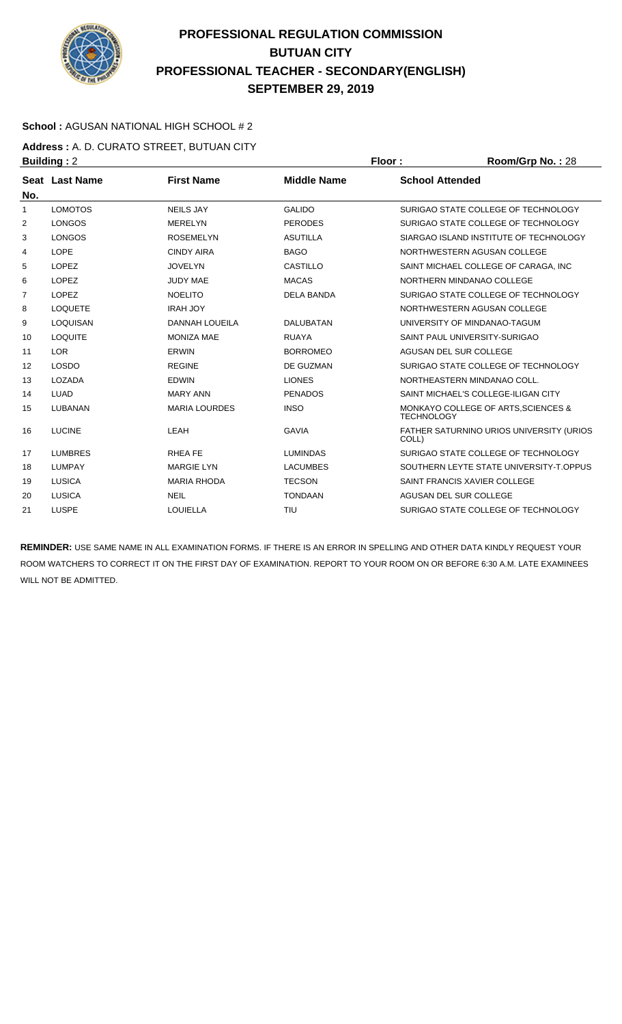

### **School :** AGUSAN NATIONAL HIGH SCHOOL # 2

**Address :** A. D. CURATO STREET, BUTUAN CITY **Building :** 2 **Floor : Room/Grp No. :** 28

| . <u>.</u>            |                       |                    |                                                          |
|-----------------------|-----------------------|--------------------|----------------------------------------------------------|
| <b>Seat Last Name</b> | <b>First Name</b>     | <b>Middle Name</b> | <b>School Attended</b>                                   |
| <b>LOMOTOS</b>        | <b>NEILS JAY</b>      | <b>GALIDO</b>      | SURIGAO STATE COLLEGE OF TECHNOLOGY                      |
| <b>LONGOS</b>         | <b>MERELYN</b>        | <b>PERODES</b>     | SURIGAO STATE COLLEGE OF TECHNOLOGY                      |
| <b>LONGOS</b>         | <b>ROSEMELYN</b>      | <b>ASUTILLA</b>    | SIARGAO ISLAND INSTITUTE OF TECHNOLOGY                   |
| <b>LOPE</b>           | <b>CINDY AIRA</b>     | <b>BAGO</b>        | NORTHWESTERN AGUSAN COLLEGE                              |
| <b>LOPEZ</b>          | <b>JOVELYN</b>        | <b>CASTILLO</b>    | SAINT MICHAEL COLLEGE OF CARAGA, INC                     |
| <b>LOPEZ</b>          | <b>JUDY MAE</b>       | <b>MACAS</b>       | NORTHERN MINDANAO COLLEGE                                |
| <b>LOPEZ</b>          | <b>NOELITO</b>        | <b>DELA BANDA</b>  | SURIGAO STATE COLLEGE OF TECHNOLOGY                      |
| <b>LOQUETE</b>        | <b>IRAH JOY</b>       |                    | NORTHWESTERN AGUSAN COLLEGE                              |
| <b>LOQUISAN</b>       | <b>DANNAH LOUEILA</b> | <b>DALUBATAN</b>   | UNIVERSITY OF MINDANAO-TAGUM                             |
| <b>LOQUITE</b>        | <b>MONIZA MAE</b>     | <b>RUAYA</b>       | SAINT PAUL UNIVERSITY-SURIGAO                            |
| LOR                   | <b>ERWIN</b>          | <b>BORROMEO</b>    | AGUSAN DEL SUR COLLEGE                                   |
| <b>LOSDO</b>          | <b>REGINE</b>         | DE GUZMAN          | SURIGAO STATE COLLEGE OF TECHNOLOGY                      |
| <b>LOZADA</b>         | <b>EDWIN</b>          | <b>LIONES</b>      | NORTHEASTERN MINDANAO COLL.                              |
| <b>LUAD</b>           | <b>MARY ANN</b>       | <b>PENADOS</b>     | SAINT MICHAEL'S COLLEGE-ILIGAN CITY                      |
| <b>LUBANAN</b>        | <b>MARIA LOURDES</b>  | <b>INSO</b>        | MONKAYO COLLEGE OF ARTS, SCIENCES &<br><b>TECHNOLOGY</b> |
| <b>LUCINE</b>         | LEAH                  | <b>GAVIA</b>       | FATHER SATURNINO URIOS UNIVERSITY (URIOS<br>COLL)        |
| <b>LUMBRES</b>        | <b>RHEAFE</b>         | <b>LUMINDAS</b>    | SURIGAO STATE COLLEGE OF TECHNOLOGY                      |
| <b>LUMPAY</b>         | <b>MARGIE LYN</b>     | <b>LACUMBES</b>    | SOUTHERN LEYTE STATE UNIVERSITY-T.OPPUS                  |
| LUSICA                | <b>MARIA RHODA</b>    | <b>TECSON</b>      | SAINT FRANCIS XAVIER COLLEGE                             |
| <b>LUSICA</b>         | <b>NEIL</b>           | <b>TONDAAN</b>     | AGUSAN DEL SUR COLLEGE                                   |
| <b>LUSPE</b>          | <b>LOUIELLA</b>       | TIU                | SURIGAO STATE COLLEGE OF TECHNOLOGY                      |
|                       |                       |                    |                                                          |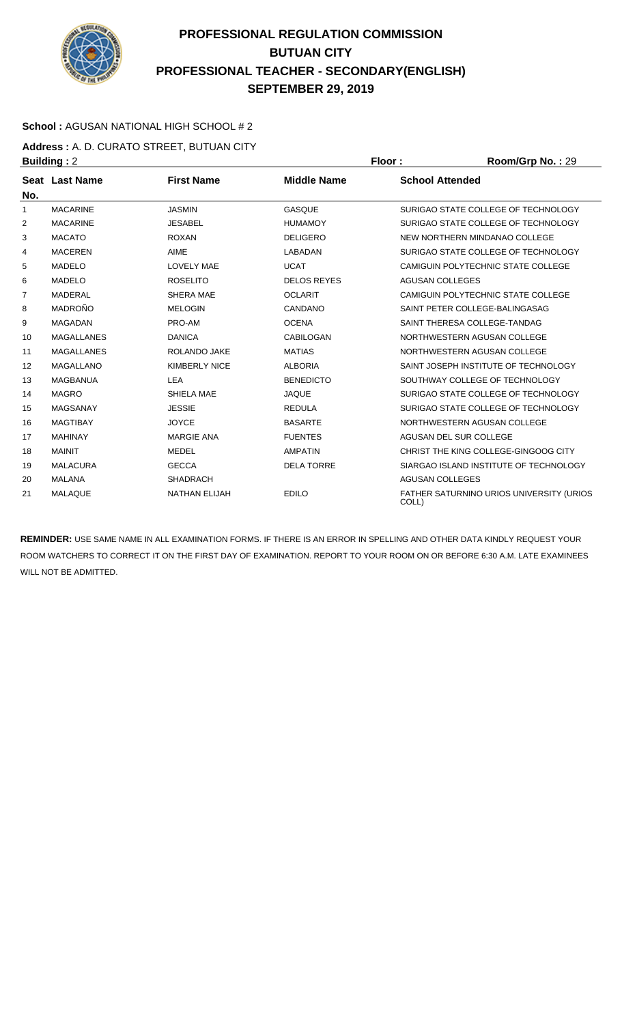

### **School :** AGUSAN NATIONAL HIGH SCHOOL # 2

**Address :** A. D. CURATO STREET, BUTUAN CITY **Building : 2 Floor : Room/Grp No. : 29** 

| No.            | <b>Seat Last Name</b> | <b>First Name</b>    | <b>Middle Name</b> | <b>School Attended</b>                            |
|----------------|-----------------------|----------------------|--------------------|---------------------------------------------------|
| 1              | <b>MACARINE</b>       | <b>JASMIN</b>        | <b>GASQUE</b>      | SURIGAO STATE COLLEGE OF TECHNOLOGY               |
| 2              | <b>MACARINE</b>       | <b>JESABEL</b>       | <b>HUMAMOY</b>     | SURIGAO STATE COLLEGE OF TECHNOLOGY               |
| 3              | <b>MACATO</b>         | <b>ROXAN</b>         | <b>DELIGERO</b>    | NEW NORTHERN MINDANAO COLLEGE                     |
| 4              | <b>MACEREN</b>        | AIME                 | LABADAN            | SURIGAO STATE COLLEGE OF TECHNOLOGY               |
| 5              | <b>MADELO</b>         | <b>LOVELY MAE</b>    | <b>UCAT</b>        | CAMIGUIN POLYTECHNIC STATE COLLEGE                |
| 6              | <b>MADELO</b>         | <b>ROSELITO</b>      | <b>DELOS REYES</b> | <b>AGUSAN COLLEGES</b>                            |
| $\overline{7}$ | <b>MADERAL</b>        | SHERA MAE            | <b>OCLARIT</b>     | CAMIGUIN POLYTECHNIC STATE COLLEGE                |
| 8              | <b>MADROÑO</b>        | <b>MELOGIN</b>       | CANDANO            | SAINT PETER COLLEGE-BALINGASAG                    |
| 9              | <b>MAGADAN</b>        | PRO-AM               | <b>OCENA</b>       | SAINT THERESA COLLEGE-TANDAG                      |
| 10             | <b>MAGALLANES</b>     | <b>DANICA</b>        | CABILOGAN          | NORTHWESTERN AGUSAN COLLEGE                       |
| 11             | <b>MAGALLANES</b>     | <b>ROLANDO JAKE</b>  | <b>MATIAS</b>      | NORTHWESTERN AGUSAN COLLEGE                       |
| 12             | <b>MAGALLANO</b>      | <b>KIMBERLY NICE</b> | <b>ALBORIA</b>     | SAINT JOSEPH INSTITUTE OF TECHNOLOGY              |
| 13             | <b>MAGBANUA</b>       | <b>LEA</b>           | <b>BENEDICTO</b>   | SOUTHWAY COLLEGE OF TECHNOLOGY                    |
| 14             | <b>MAGRO</b>          | SHIELA MAE           | <b>JAQUE</b>       | SURIGAO STATE COLLEGE OF TECHNOLOGY               |
| 15             | <b>MAGSANAY</b>       | <b>JESSIE</b>        | <b>REDULA</b>      | SURIGAO STATE COLLEGE OF TECHNOLOGY               |
| 16             | <b>MAGTIBAY</b>       | <b>JOYCE</b>         | <b>BASARTE</b>     | NORTHWESTERN AGUSAN COLLEGE                       |
| 17             | <b>MAHINAY</b>        | <b>MARGIE ANA</b>    | <b>FUENTES</b>     | AGUSAN DEL SUR COLLEGE                            |
| 18             | <b>MAINIT</b>         | <b>MEDEL</b>         | <b>AMPATIN</b>     | CHRIST THE KING COLLEGE-GINGOOG CITY              |
| 19             | <b>MALACURA</b>       | <b>GECCA</b>         | <b>DELA TORRE</b>  | SIARGAO ISLAND INSTITUTE OF TECHNOLOGY            |
| 20             | <b>MALANA</b>         | <b>SHADRACH</b>      |                    | <b>AGUSAN COLLEGES</b>                            |
| 21             | <b>MALAQUE</b>        | <b>NATHAN ELIJAH</b> | <b>EDILO</b>       | FATHER SATURNINO URIOS UNIVERSITY (URIOS<br>COLL) |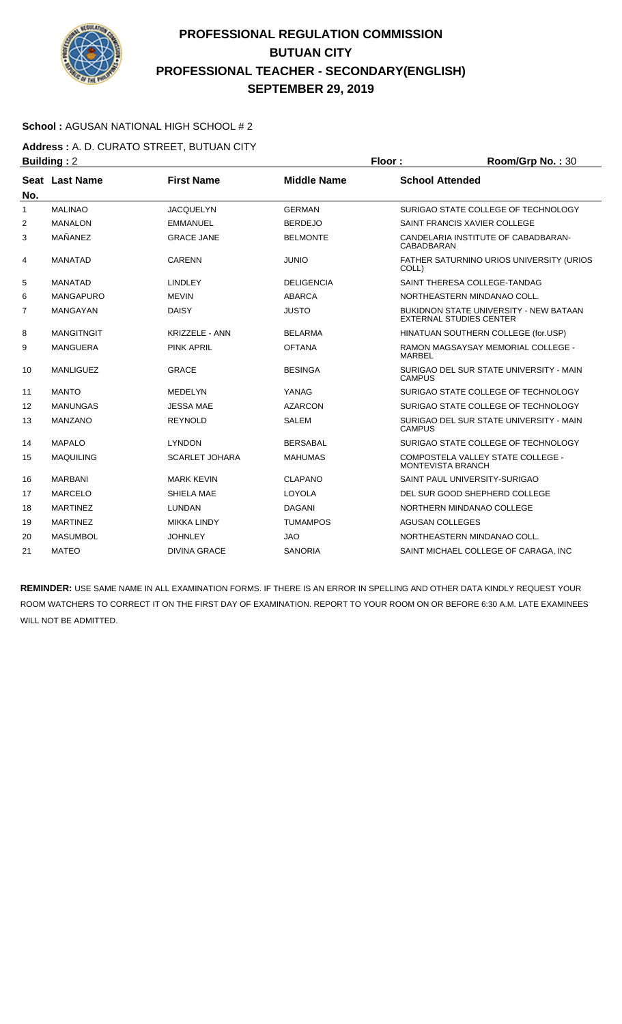

### **School :** AGUSAN NATIONAL HIGH SCHOOL # 2

**Address :** A. D. CURATO STREET, BUTUAN CITY **Building : 2 Floor : Room/Grp No. : 30** 

| No.            | Seat Last Name    | <b>First Name</b>     | <b>Middle Name</b> | <b>School Attended</b>                                                          |
|----------------|-------------------|-----------------------|--------------------|---------------------------------------------------------------------------------|
| 1              | <b>MALINAO</b>    | <b>JACQUELYN</b>      | <b>GERMAN</b>      | SURIGAO STATE COLLEGE OF TECHNOLOGY                                             |
| 2              | <b>MANALON</b>    | <b>EMMANUEL</b>       | <b>BERDEJO</b>     | SAINT FRANCIS XAVIER COLLEGE                                                    |
| 3              | MAÑANEZ           | <b>GRACE JANE</b>     | <b>BELMONTE</b>    | CANDELARIA INSTITUTE OF CABADBARAN-<br>CABADBARAN                               |
| 4              | <b>MANATAD</b>    | <b>CARENN</b>         | <b>JUNIO</b>       | FATHER SATURNINO URIOS UNIVERSITY (URIOS<br>COLL)                               |
| 5              | <b>MANATAD</b>    | <b>LINDLEY</b>        | <b>DELIGENCIA</b>  | SAINT THERESA COLLEGE-TANDAG                                                    |
| 6              | <b>MANGAPURO</b>  | <b>MEVIN</b>          | <b>ABARCA</b>      | NORTHEASTERN MINDANAO COLL.                                                     |
| $\overline{7}$ | <b>MANGAYAN</b>   | <b>DAISY</b>          | <b>JUSTO</b>       | <b>BUKIDNON STATE UNIVERSITY - NEW BATAAN</b><br><b>EXTERNAL STUDIES CENTER</b> |
| 8              | <b>MANGITNGIT</b> | <b>KRIZZELE - ANN</b> | <b>BELARMA</b>     | HINATUAN SOUTHERN COLLEGE (for.USP)                                             |
| 9              | <b>MANGUERA</b>   | <b>PINK APRIL</b>     | <b>OFTANA</b>      | <b>RAMON MAGSAYSAY MEMORIAL COLLEGE -</b><br><b>MARBEL</b>                      |
| 10             | <b>MANLIGUEZ</b>  | <b>GRACE</b>          | <b>BESINGA</b>     | SURIGAO DEL SUR STATE UNIVERSITY - MAIN<br><b>CAMPUS</b>                        |
| 11             | <b>MANTO</b>      | <b>MEDELYN</b>        | YANAG              | SURIGAO STATE COLLEGE OF TECHNOLOGY                                             |
| 12             | <b>MANUNGAS</b>   | <b>JESSA MAE</b>      | <b>AZARCON</b>     | SURIGAO STATE COLLEGE OF TECHNOLOGY                                             |
| 13             | <b>MANZANO</b>    | <b>REYNOLD</b>        | <b>SALEM</b>       | SURIGAO DEL SUR STATE UNIVERSITY - MAIN<br><b>CAMPUS</b>                        |
| 14             | <b>MAPALO</b>     | <b>LYNDON</b>         | <b>BERSABAL</b>    | SURIGAO STATE COLLEGE OF TECHNOLOGY                                             |
| 15             | <b>MAQUILING</b>  | <b>SCARLET JOHARA</b> | <b>MAHUMAS</b>     | COMPOSTELA VALLEY STATE COLLEGE -<br><b>MONTEVISTA BRANCH</b>                   |
| 16             | <b>MARBANI</b>    | <b>MARK KEVIN</b>     | <b>CLAPANO</b>     | SAINT PAUL UNIVERSITY-SURIGAO                                                   |
| 17             | <b>MARCELO</b>    | SHIELA MAE            | LOYOLA             | DEL SUR GOOD SHEPHERD COLLEGE                                                   |
| 18             | <b>MARTINEZ</b>   | LUNDAN                | <b>DAGANI</b>      | NORTHERN MINDANAO COLLEGE                                                       |
| 19             | <b>MARTINEZ</b>   | <b>MIKKA LINDY</b>    | <b>TUMAMPOS</b>    | <b>AGUSAN COLLEGES</b>                                                          |
| 20             | <b>MASUMBOL</b>   | <b>JOHNLEY</b>        | <b>JAO</b>         | NORTHEASTERN MINDANAO COLL.                                                     |
| 21             | <b>MATEO</b>      | <b>DIVINA GRACE</b>   | <b>SANORIA</b>     | SAINT MICHAEL COLLEGE OF CARAGA. INC                                            |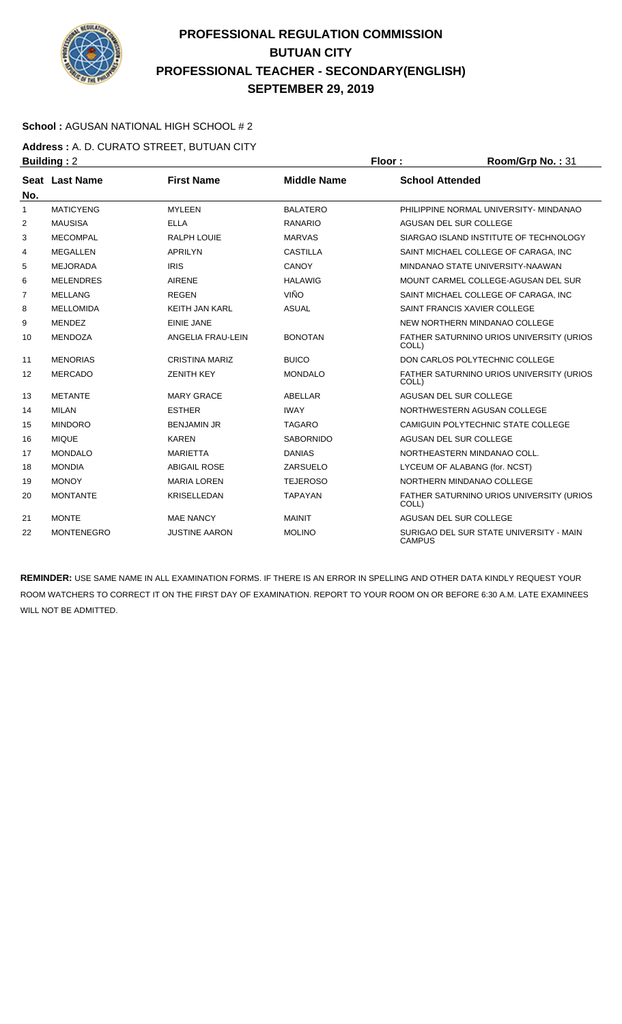

### **School :** AGUSAN NATIONAL HIGH SCHOOL # 2

**Address :** A. D. CURATO STREET, BUTUAN CITY **Building : 2 Floor : Floor : Room/Grp No. : 31** 

| No.            | Seat Last Name    | <b>First Name</b>     | <b>Middle Name</b> | <b>School Attended</b>                                   |
|----------------|-------------------|-----------------------|--------------------|----------------------------------------------------------|
| 1              | <b>MATICYENG</b>  | <b>MYLEEN</b>         | <b>BALATERO</b>    | PHILIPPINE NORMAL UNIVERSITY- MINDANAO                   |
| $\overline{2}$ | <b>MAUSISA</b>    | <b>ELLA</b>           | <b>RANARIO</b>     | AGUSAN DEL SUR COLLEGE                                   |
| 3              | <b>MECOMPAL</b>   | <b>RALPH LOUIE</b>    | <b>MARVAS</b>      | SIARGAO ISLAND INSTITUTE OF TECHNOLOGY                   |
| 4              | <b>MEGALLEN</b>   | <b>APRILYN</b>        | <b>CASTILLA</b>    | SAINT MICHAEL COLLEGE OF CARAGA. INC.                    |
| 5              | <b>MEJORADA</b>   | <b>IRIS</b>           | <b>CANOY</b>       | MINDANAO STATE UNIVERSITY-NAAWAN                         |
| 6              | <b>MELENDRES</b>  | <b>AIRENE</b>         | <b>HALAWIG</b>     | MOUNT CARMEL COLLEGE-AGUSAN DEL SUR                      |
| 7              | <b>MELLANG</b>    | <b>REGEN</b>          | <b>VIÑO</b>        | SAINT MICHAEL COLLEGE OF CARAGA. INC.                    |
| 8              | <b>MELLOMIDA</b>  | <b>KEITH JAN KARL</b> | <b>ASUAL</b>       | SAINT FRANCIS XAVIER COLLEGE                             |
| 9              | <b>MENDEZ</b>     | <b>EINIE JANE</b>     |                    | NEW NORTHERN MINDANAO COLLEGE                            |
| 10             | <b>MENDOZA</b>    | ANGELIA FRAU-LEIN     | <b>BONOTAN</b>     | FATHER SATURNINO URIOS UNIVERSITY (URIOS<br>COLL)        |
| 11             | <b>MENORIAS</b>   | <b>CRISTINA MARIZ</b> | <b>BUICO</b>       | DON CARLOS POLYTECHNIC COLLEGE                           |
| 12             | <b>MERCADO</b>    | <b>ZENITH KEY</b>     | <b>MONDALO</b>     | FATHER SATURNINO URIOS UNIVERSITY (URIOS<br>COLL)        |
| 13             | <b>METANTE</b>    | <b>MARY GRACE</b>     | ABELLAR            | <b>AGUSAN DEL SUR COLLEGE</b>                            |
| 14             | <b>MILAN</b>      | <b>ESTHER</b>         | <b>IWAY</b>        | NORTHWESTERN AGUSAN COLLEGE                              |
| 15             | <b>MINDORO</b>    | <b>BENJAMIN JR</b>    | <b>TAGARO</b>      | CAMIGUIN POLYTECHNIC STATE COLLEGE                       |
| 16             | <b>MIQUE</b>      | <b>KAREN</b>          | <b>SABORNIDO</b>   | AGUSAN DEL SUR COLLEGE                                   |
| 17             | <b>MONDALO</b>    | <b>MARIETTA</b>       | <b>DANIAS</b>      | NORTHEASTERN MINDANAO COLL.                              |
| 18             | <b>MONDIA</b>     | <b>ABIGAIL ROSE</b>   | ZARSUELO           | LYCEUM OF ALABANG (for. NCST)                            |
| 19             | <b>MONOY</b>      | <b>MARIA LOREN</b>    | <b>TEJEROSO</b>    | NORTHERN MINDANAO COLLEGE                                |
| 20             | <b>MONTANTE</b>   | <b>KRISELLEDAN</b>    | <b>TAPAYAN</b>     | FATHER SATURNINO URIOS UNIVERSITY (URIOS<br>COLL)        |
| 21             | <b>MONTE</b>      | <b>MAE NANCY</b>      | <b>MAINIT</b>      | AGUSAN DEL SUR COLLEGE                                   |
| 22             | <b>MONTENEGRO</b> | <b>JUSTINE AARON</b>  | <b>MOLINO</b>      | SURIGAO DEL SUR STATE UNIVERSITY - MAIN<br><b>CAMPUS</b> |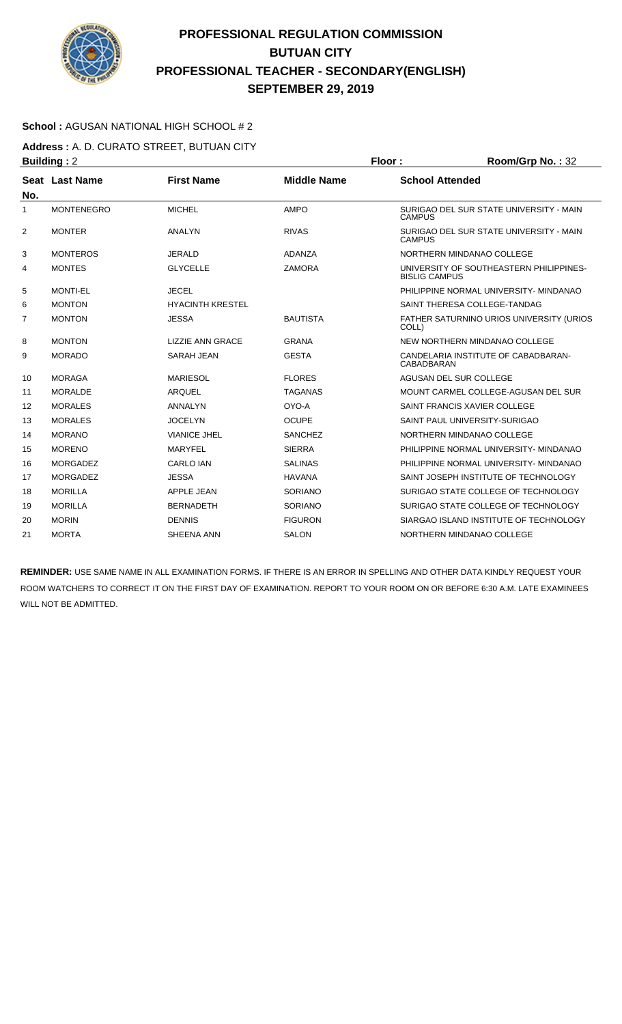

### **School :** AGUSAN NATIONAL HIGH SCHOOL # 2

**Address :** A. D. CURATO STREET, BUTUAN CITY **Building :** 2 **Floor : Room/Grp No. :** 32

| No. | Seat Last Name    | <b>First Name</b>       | <b>Middle Name</b> | <b>School Attended</b>                                          |
|-----|-------------------|-------------------------|--------------------|-----------------------------------------------------------------|
| 1   | <b>MONTENEGRO</b> | <b>MICHEL</b>           | <b>AMPO</b>        | SURIGAO DEL SUR STATE UNIVERSITY - MAIN<br><b>CAMPUS</b>        |
| 2   | <b>MONTER</b>     | <b>ANALYN</b>           | <b>RIVAS</b>       | SURIGAO DEL SUR STATE UNIVERSITY - MAIN<br><b>CAMPUS</b>        |
| 3   | <b>MONTEROS</b>   | <b>JERALD</b>           | ADANZA             | NORTHERN MINDANAO COLLEGE                                       |
| 4   | <b>MONTES</b>     | <b>GLYCELLE</b>         | <b>ZAMORA</b>      | UNIVERSITY OF SOUTHEASTERN PHILIPPINES-<br><b>BISLIG CAMPUS</b> |
| 5   | <b>MONTI-EL</b>   | <b>JECEL</b>            |                    | PHILIPPINE NORMAL UNIVERSITY- MINDANAO                          |
| 6   | <b>MONTON</b>     | <b>HYACINTH KRESTEL</b> |                    | SAINT THERESA COLLEGE-TANDAG                                    |
| 7   | <b>MONTON</b>     | <b>JESSA</b>            | <b>BAUTISTA</b>    | FATHER SATURNINO URIOS UNIVERSITY (URIOS<br>COLL)               |
| 8   | <b>MONTON</b>     | <b>LIZZIE ANN GRACE</b> | <b>GRANA</b>       | NEW NORTHERN MINDANAO COLLEGE                                   |
| 9   | <b>MORADO</b>     | <b>SARAH JEAN</b>       | <b>GESTA</b>       | CANDELARIA INSTITUTE OF CABADBARAN-<br>CABADBARAN               |
| 10  | <b>MORAGA</b>     | <b>MARIESOL</b>         | <b>FLORES</b>      | AGUSAN DEL SUR COLLEGE                                          |
| 11  | <b>MORALDE</b>    | <b>ARQUEL</b>           | <b>TAGANAS</b>     | MOUNT CARMEL COLLEGE-AGUSAN DEL SUR                             |
| 12  | <b>MORALES</b>    | <b>ANNALYN</b>          | OYO-A              | SAINT FRANCIS XAVIER COLLEGE                                    |
| 13  | <b>MORALES</b>    | <b>JOCELYN</b>          | <b>OCUPE</b>       | SAINT PAUL UNIVERSITY-SURIGAO                                   |
| 14  | <b>MORANO</b>     | <b>VIANICE JHEL</b>     | <b>SANCHEZ</b>     | NORTHERN MINDANAO COLLEGE                                       |
| 15  | <b>MORENO</b>     | <b>MARYFEL</b>          | <b>SIERRA</b>      | PHILIPPINE NORMAL UNIVERSITY- MINDANAO                          |
| 16  | <b>MORGADEZ</b>   | <b>CARLO IAN</b>        | <b>SALINAS</b>     | PHILIPPINE NORMAL UNIVERSITY- MINDANAO                          |
| 17  | <b>MORGADEZ</b>   | <b>JESSA</b>            | <b>HAVANA</b>      | SAINT JOSEPH INSTITUTE OF TECHNOLOGY                            |
| 18  | <b>MORILLA</b>    | <b>APPLE JEAN</b>       | SORIANO            | SURIGAO STATE COLLEGE OF TECHNOLOGY                             |
| 19  | <b>MORILLA</b>    | <b>BERNADETH</b>        | <b>SORIANO</b>     | SURIGAO STATE COLLEGE OF TECHNOLOGY                             |
| 20  | <b>MORIN</b>      | <b>DENNIS</b>           | <b>FIGURON</b>     | SIARGAO ISLAND INSTITUTE OF TECHNOLOGY                          |
| 21  | <b>MORTA</b>      | SHEENA ANN              | <b>SALON</b>       | NORTHERN MINDANAO COLLEGE                                       |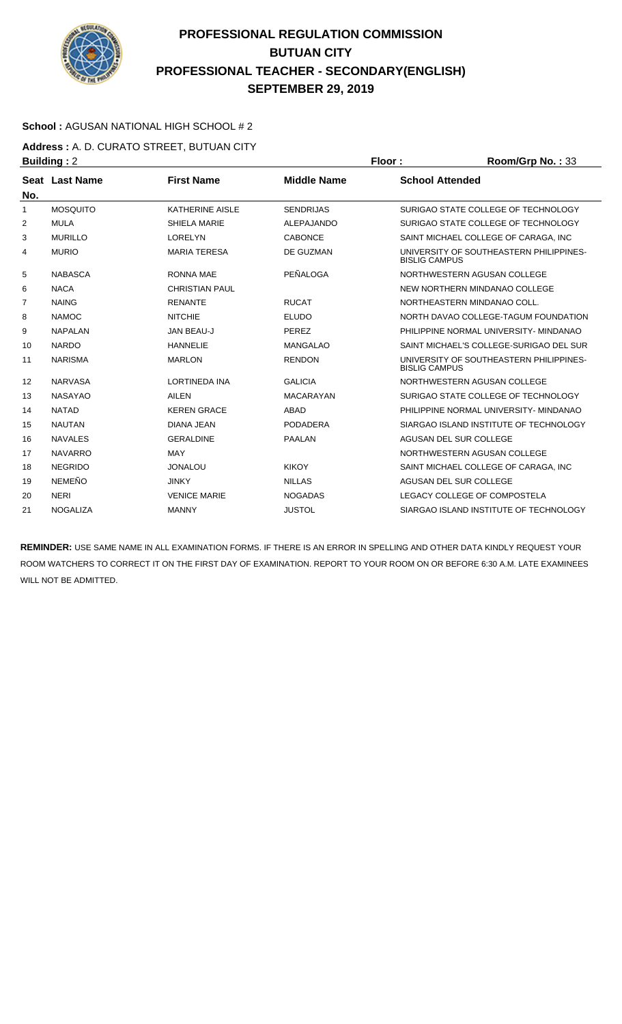

### **School :** AGUSAN NATIONAL HIGH SCHOOL # 2

**Address :** A. D. CURATO STREET, BUTUAN CITY **Building : 2 Floor : Room/Grp No. : 33** 

|              | . <u>.</u>            |                        |                    |                                                                 |
|--------------|-----------------------|------------------------|--------------------|-----------------------------------------------------------------|
| No.          | <b>Seat Last Name</b> | <b>First Name</b>      | <b>Middle Name</b> | <b>School Attended</b>                                          |
| $\mathbf{1}$ | <b>MOSQUITO</b>       | <b>KATHERINE AISLE</b> | <b>SENDRIJAS</b>   | SURIGAO STATE COLLEGE OF TECHNOLOGY                             |
| 2            | <b>MULA</b>           | <b>SHIELA MARIE</b>    | ALEPAJANDO         | SURIGAO STATE COLLEGE OF TECHNOLOGY                             |
| 3            | <b>MURILLO</b>        | <b>LORELYN</b>         | <b>CABONCE</b>     | SAINT MICHAEL COLLEGE OF CARAGA, INC                            |
| 4            | <b>MURIO</b>          | <b>MARIA TERESA</b>    | DE GUZMAN          | UNIVERSITY OF SOUTHEASTERN PHILIPPINES-<br><b>BISLIG CAMPUS</b> |
| 5            | <b>NABASCA</b>        | <b>RONNA MAE</b>       | PEÑALOGA           | NORTHWESTERN AGUSAN COLLEGE                                     |
| 6            | <b>NACA</b>           | <b>CHRISTIAN PAUL</b>  |                    | NEW NORTHERN MINDANAO COLLEGE                                   |
| 7            | <b>NAING</b>          | <b>RENANTE</b>         | <b>RUCAT</b>       | NORTHEASTERN MINDANAO COLL.                                     |
| 8            | <b>NAMOC</b>          | <b>NITCHIE</b>         | <b>ELUDO</b>       | NORTH DAVAO COLLEGE-TAGUM FOUNDATION                            |
| 9            | <b>NAPALAN</b>        | JAN BEAU-J             | PEREZ              | PHILIPPINE NORMAL UNIVERSITY- MINDANAO                          |
| 10           | <b>NARDO</b>          | <b>HANNELIE</b>        | <b>MANGALAO</b>    | SAINT MICHAEL'S COLLEGE-SURIGAO DEL SUR                         |
| 11           | <b>NARISMA</b>        | <b>MARLON</b>          | <b>RENDON</b>      | UNIVERSITY OF SOUTHEASTERN PHILIPPINES-<br><b>BISLIG CAMPUS</b> |
| 12           | <b>NARVASA</b>        | <b>LORTINEDA INA</b>   | <b>GALICIA</b>     | NORTHWESTERN AGUSAN COLLEGE                                     |
| 13           | <b>NASAYAO</b>        | <b>AILEN</b>           | <b>MACARAYAN</b>   | SURIGAO STATE COLLEGE OF TECHNOLOGY                             |
| 14           | <b>NATAD</b>          | <b>KEREN GRACE</b>     | ABAD               | PHILIPPINE NORMAL UNIVERSITY- MINDANAO                          |
| 15           | <b>NAUTAN</b>         | DIANA JEAN             | <b>PODADERA</b>    | SIARGAO ISLAND INSTITUTE OF TECHNOLOGY                          |
| 16           | <b>NAVALES</b>        | <b>GERALDINE</b>       | <b>PAALAN</b>      | AGUSAN DEL SUR COLLEGE                                          |
| 17           | <b>NAVARRO</b>        | <b>MAY</b>             |                    | NORTHWESTERN AGUSAN COLLEGE                                     |
| 18           | <b>NEGRIDO</b>        | <b>JONALOU</b>         | <b>KIKOY</b>       | SAINT MICHAEL COLLEGE OF CARAGA. INC.                           |
| 19           | <b>NEMEÑO</b>         | <b>JINKY</b>           | <b>NILLAS</b>      | AGUSAN DEL SUR COLLEGE                                          |
| 20           | <b>NERI</b>           | <b>VENICE MARIE</b>    | <b>NOGADAS</b>     | LEGACY COLLEGE OF COMPOSTELA                                    |
| 21           | <b>NOGALIZA</b>       | <b>MANNY</b>           | <b>JUSTOL</b>      | SIARGAO ISLAND INSTITUTE OF TECHNOLOGY                          |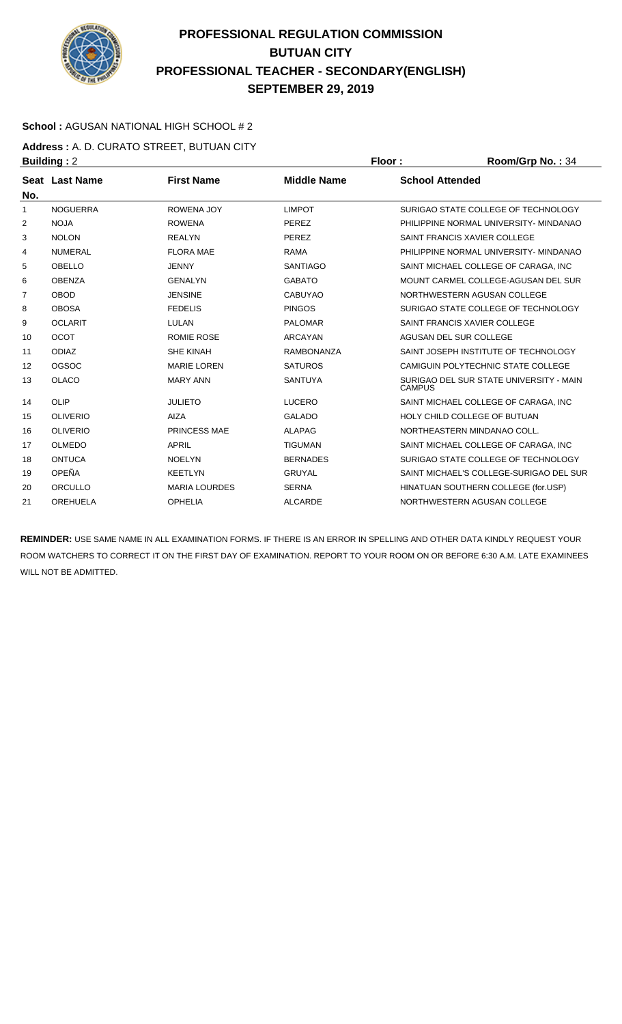

### **School :** AGUSAN NATIONAL HIGH SCHOOL # 2

**Address :** A. D. CURATO STREET, BUTUAN CITY **Building : 2 Floor : Floor : Room/Grp No. : 34** 

| No.            | <b>Seat Last Name</b> | <b>First Name</b>    | <b>Middle Name</b> | <b>School Attended</b>                                   |
|----------------|-----------------------|----------------------|--------------------|----------------------------------------------------------|
| 1              | <b>NOGUERRA</b>       | <b>ROWENA JOY</b>    | <b>LIMPOT</b>      | SURIGAO STATE COLLEGE OF TECHNOLOGY                      |
| 2              | <b>NOJA</b>           | <b>ROWENA</b>        | <b>PEREZ</b>       | PHILIPPINE NORMAL UNIVERSITY- MINDANAO                   |
| 3              | <b>NOLON</b>          | <b>REALYN</b>        | PEREZ              | SAINT FRANCIS XAVIER COLLEGE                             |
| 4              | <b>NUMERAL</b>        | <b>FLORA MAE</b>     | <b>RAMA</b>        | PHILIPPINE NORMAL UNIVERSITY- MINDANAO                   |
| 5              | <b>OBELLO</b>         | <b>JENNY</b>         | <b>SANTIAGO</b>    | SAINT MICHAEL COLLEGE OF CARAGA. INC.                    |
| 6              | <b>OBENZA</b>         | <b>GENALYN</b>       | <b>GABATO</b>      | MOUNT CARMEL COLLEGE-AGUSAN DEL SUR                      |
| $\overline{7}$ | <b>OBOD</b>           | <b>JENSINE</b>       | <b>CABUYAO</b>     | NORTHWESTERN AGUSAN COLLEGE                              |
| 8              | <b>OBOSA</b>          | <b>FEDELIS</b>       | <b>PINGOS</b>      | SURIGAO STATE COLLEGE OF TECHNOLOGY                      |
| 9              | <b>OCLARIT</b>        | LULAN                | <b>PALOMAR</b>     | SAINT FRANCIS XAVIER COLLEGE                             |
| 10             | <b>OCOT</b>           | <b>ROMIE ROSE</b>    | <b>ARCAYAN</b>     | AGUSAN DEL SUR COLLEGE                                   |
| 11             | <b>ODIAZ</b>          | <b>SHE KINAH</b>     | <b>RAMBONANZA</b>  | SAINT JOSEPH INSTITUTE OF TECHNOLOGY                     |
| 12             | OGSOC                 | <b>MARIE LOREN</b>   | <b>SATUROS</b>     | CAMIGUIN POLYTECHNIC STATE COLLEGE                       |
| 13             | OLACO                 | <b>MARY ANN</b>      | <b>SANTUYA</b>     | SURIGAO DEL SUR STATE UNIVERSITY - MAIN<br><b>CAMPUS</b> |
| 14             | OLIP                  | <b>JULIETO</b>       | <b>LUCERO</b>      | SAINT MICHAEL COLLEGE OF CARAGA, INC                     |
| 15             | <b>OLIVERIO</b>       | <b>AIZA</b>          | <b>GALADO</b>      | HOLY CHILD COLLEGE OF BUTUAN                             |
| 16             | <b>OLIVERIO</b>       | PRINCESS MAE         | <b>ALAPAG</b>      | NORTHEASTERN MINDANAO COLL.                              |
| 17             | <b>OLMEDO</b>         | <b>APRIL</b>         | <b>TIGUMAN</b>     | SAINT MICHAEL COLLEGE OF CARAGA. INC                     |
| 18             | <b>ONTUCA</b>         | <b>NOELYN</b>        | <b>BERNADES</b>    | SURIGAO STATE COLLEGE OF TECHNOLOGY                      |
| 19             | OPEÑA                 | <b>KEETLYN</b>       | <b>GRUYAL</b>      | SAINT MICHAEL'S COLLEGE-SURIGAO DEL SUR                  |
| 20             | <b>ORCULLO</b>        | <b>MARIA LOURDES</b> | <b>SERNA</b>       | HINATUAN SOUTHERN COLLEGE (for.USP)                      |
| 21             | <b>OREHUELA</b>       | <b>OPHELIA</b>       | <b>ALCARDE</b>     | NORTHWESTERN AGUSAN COLLEGE                              |
|                |                       |                      |                    |                                                          |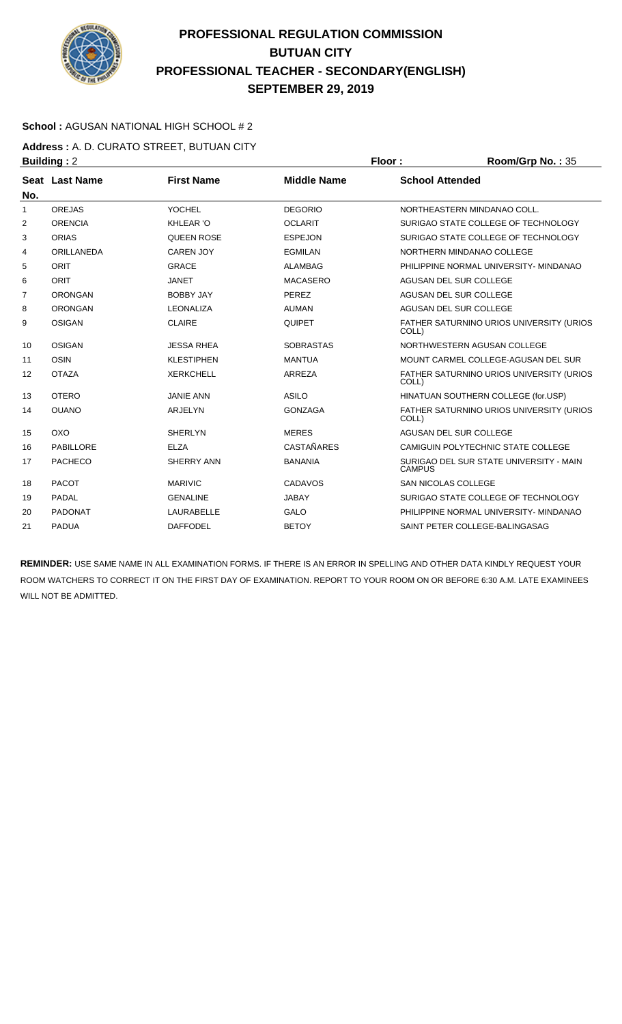

### **School :** AGUSAN NATIONAL HIGH SCHOOL # 2

**Address :** A. D. CURATO STREET, BUTUAN CITY **Building : 2 Floor : Room/Grp No. : 35** 

| No.            | Seat Last Name | <b>First Name</b> | <b>Middle Name</b> | <b>School Attended</b>                                   |
|----------------|----------------|-------------------|--------------------|----------------------------------------------------------|
| $\mathbf{1}$   | <b>OREJAS</b>  | <b>YOCHEL</b>     | <b>DEGORIO</b>     | NORTHEASTERN MINDANAO COLL.                              |
| 2              | <b>ORENCIA</b> | <b>KHLEAR 'O</b>  | <b>OCLARIT</b>     | SURIGAO STATE COLLEGE OF TECHNOLOGY                      |
| 3              | <b>ORIAS</b>   | <b>QUEEN ROSE</b> | <b>ESPEJON</b>     | SURIGAO STATE COLLEGE OF TECHNOLOGY                      |
| 4              | ORILLANEDA     | <b>CAREN JOY</b>  | <b>EGMILAN</b>     | NORTHERN MINDANAO COLLEGE                                |
| 5              | <b>ORIT</b>    | <b>GRACE</b>      | <b>ALAMBAG</b>     | PHILIPPINE NORMAL UNIVERSITY- MINDANAO                   |
| 6              | ORIT           | <b>JANET</b>      | <b>MACASERO</b>    | AGUSAN DEL SUR COLLEGE                                   |
| $\overline{7}$ | <b>ORONGAN</b> | <b>BOBBY JAY</b>  | PEREZ              | AGUSAN DEL SUR COLLEGE                                   |
| 8              | <b>ORONGAN</b> | <b>LEONALIZA</b>  | <b>AUMAN</b>       | AGUSAN DEL SUR COLLEGE                                   |
| 9              | <b>OSIGAN</b>  | <b>CLAIRE</b>     | QUIPET             | FATHER SATURNINO URIOS UNIVERSITY (URIOS<br>COLL)        |
| 10             | OSIGAN         | <b>JESSA RHEA</b> | <b>SOBRASTAS</b>   | NORTHWESTERN AGUSAN COLLEGE                              |
| 11             | <b>OSIN</b>    | <b>KLESTIPHEN</b> | <b>MANTUA</b>      | MOUNT CARMEL COLLEGE-AGUSAN DEL SUR                      |
| 12             | <b>OTAZA</b>   | <b>XERKCHELL</b>  | ARREZA             | FATHER SATURNINO URIOS UNIVERSITY (URIOS<br>COLL)        |
| 13             | <b>OTERO</b>   | <b>JANIE ANN</b>  | <b>ASILO</b>       | HINATUAN SOUTHERN COLLEGE (for.USP)                      |
| 14             | <b>OUANO</b>   | ARJELYN           | <b>GONZAGA</b>     | FATHER SATURNINO URIOS UNIVERSITY (URIOS<br>COLL)        |
| 15             | OXO            | <b>SHERLYN</b>    | <b>MERES</b>       | AGUSAN DEL SUR COLLEGE                                   |
| 16             | PABILLORE      | <b>ELZA</b>       | <b>CASTAÑARES</b>  | CAMIGUIN POLYTECHNIC STATE COLLEGE                       |
| 17             | <b>PACHECO</b> | SHERRY ANN        | <b>BANANIA</b>     | SURIGAO DEL SUR STATE UNIVERSITY - MAIN<br><b>CAMPUS</b> |
| 18             | <b>PACOT</b>   | <b>MARIVIC</b>    | CADAVOS            | <b>SAN NICOLAS COLLEGE</b>                               |
| 19             | <b>PADAL</b>   | <b>GENALINE</b>   | JABAY              | SURIGAO STATE COLLEGE OF TECHNOLOGY                      |
| 20             | <b>PADONAT</b> | <b>LAURABELLE</b> | <b>GALO</b>        | PHILIPPINE NORMAL UNIVERSITY- MINDANAO                   |
| 21             | <b>PADUA</b>   | <b>DAFFODEL</b>   | <b>BETOY</b>       | SAINT PETER COLLEGE-BALINGASAG                           |
|                |                |                   |                    |                                                          |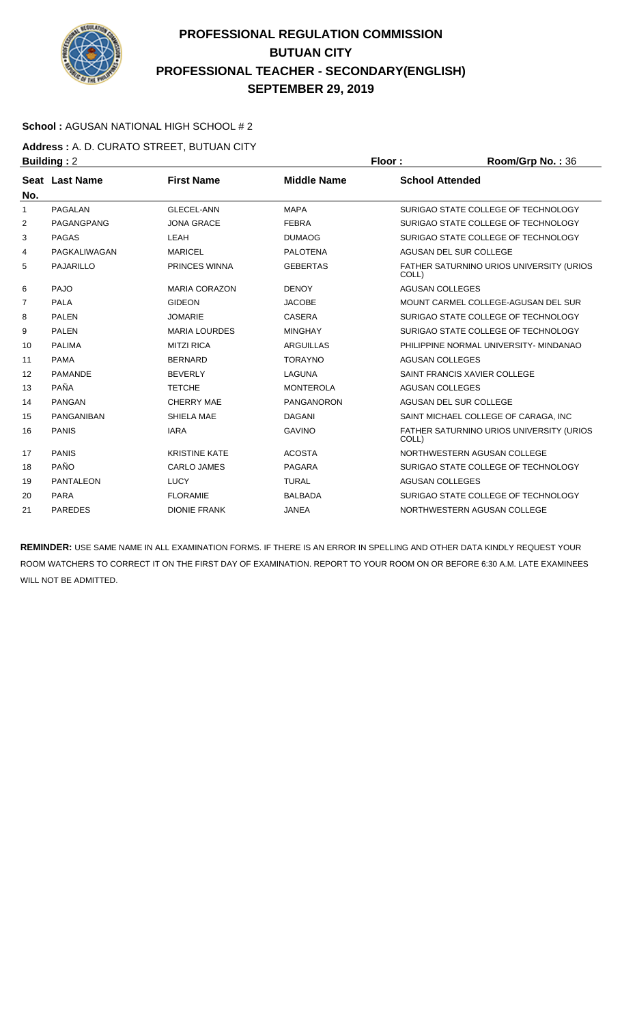

### **School :** AGUSAN NATIONAL HIGH SCHOOL # 2

**Address :** A. D. CURATO STREET, BUTUAN CITY **Building :** 2 **Floor : Room/Grp No. :** 36

| No.            | Seat Last Name    | <b>First Name</b>    | <b>Middle Name</b> | <b>School Attended</b>                            |
|----------------|-------------------|----------------------|--------------------|---------------------------------------------------|
| 1              | <b>PAGALAN</b>    | <b>GLECEL-ANN</b>    | <b>MAPA</b>        | SURIGAO STATE COLLEGE OF TECHNOLOGY               |
| 2              | PAGANGPANG        | <b>JONA GRACE</b>    | <b>FEBRA</b>       | SURIGAO STATE COLLEGE OF TECHNOLOGY               |
| 3              | <b>PAGAS</b>      | LEAH                 | <b>DUMAOG</b>      | SURIGAO STATE COLLEGE OF TECHNOLOGY               |
| 4              | PAGKALIWAGAN      | <b>MARICEL</b>       | <b>PALOTENA</b>    | AGUSAN DEL SUR COLLEGE                            |
| 5              | PAJARILLO         | <b>PRINCES WINNA</b> | <b>GEBERTAS</b>    | FATHER SATURNINO URIOS UNIVERSITY (URIOS<br>COLL) |
| 6              | <b>PAJO</b>       | <b>MARIA CORAZON</b> | <b>DENOY</b>       | <b>AGUSAN COLLEGES</b>                            |
| $\overline{7}$ | <b>PALA</b>       | <b>GIDEON</b>        | <b>JACOBE</b>      | MOUNT CARMEL COLLEGE-AGUSAN DEL SUR               |
| 8              | <b>PALEN</b>      | <b>JOMARIE</b>       | <b>CASERA</b>      | SURIGAO STATE COLLEGE OF TECHNOLOGY               |
| 9              | <b>PALEN</b>      | <b>MARIA LOURDES</b> | <b>MINGHAY</b>     | SURIGAO STATE COLLEGE OF TECHNOLOGY               |
| 10             | <b>PALIMA</b>     | <b>MITZI RICA</b>    | <b>ARGUILLAS</b>   | PHILIPPINE NORMAL UNIVERSITY- MINDANAO            |
| 11             | <b>PAMA</b>       | <b>BERNARD</b>       | <b>TORAYNO</b>     | <b>AGUSAN COLLEGES</b>                            |
| 12             | <b>PAMANDE</b>    | <b>BEVERLY</b>       | <b>LAGUNA</b>      | SAINT FRANCIS XAVIER COLLEGE                      |
| 13             | <b>PAÑA</b>       | <b>TETCHE</b>        | <b>MONTEROLA</b>   | AGUSAN COLLEGES                                   |
| 14             | <b>PANGAN</b>     | <b>CHERRY MAE</b>    | <b>PANGANORON</b>  | AGUSAN DEL SUR COLLEGE                            |
| 15             | <b>PANGANIBAN</b> | SHIELA MAE           | <b>DAGANI</b>      | SAINT MICHAEL COLLEGE OF CARAGA, INC              |
| 16             | <b>PANIS</b>      | <b>IARA</b>          | <b>GAVINO</b>      | FATHER SATURNINO URIOS UNIVERSITY (URIOS<br>COLL) |
| 17             | <b>PANIS</b>      | <b>KRISTINE KATE</b> | <b>ACOSTA</b>      | NORTHWESTERN AGUSAN COLLEGE                       |
| 18             | <b>PAÑO</b>       | <b>CARLO JAMES</b>   | <b>PAGARA</b>      | SURIGAO STATE COLLEGE OF TECHNOLOGY               |
| 19             | PANTALEON         | <b>LUCY</b>          | <b>TURAL</b>       | <b>AGUSAN COLLEGES</b>                            |
| 20             | <b>PARA</b>       | <b>FLORAMIE</b>      | <b>BALBADA</b>     | SURIGAO STATE COLLEGE OF TECHNOLOGY               |
| 21             | <b>PAREDES</b>    | <b>DIONIE FRANK</b>  | <b>JANEA</b>       | NORTHWESTERN AGUSAN COLLEGE                       |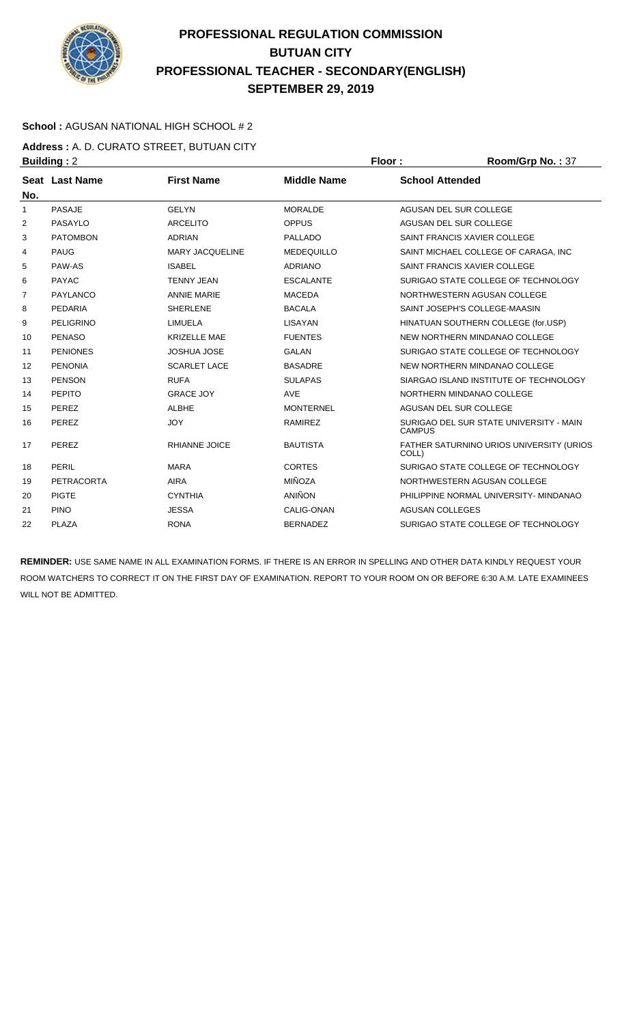

### **School :** AGUSAN NATIONAL HIGH SCHOOL # 2

**Address :** A. D. CURATO STREET, BUTUAN CITY **Building : 2 Floor : Ploor : Room/Grp No. : 37** 

| No. | Seat Last Name   | <b>First Name</b>      | <b>Middle Name</b> | <b>School Attended</b>                                   |
|-----|------------------|------------------------|--------------------|----------------------------------------------------------|
| 1   | <b>PASAJE</b>    | <b>GFI YN</b>          | <b>MORALDE</b>     | AGUSAN DEL SUR COLLEGE                                   |
| 2   | PASAYLO          | <b>ARCELITO</b>        | <b>OPPUS</b>       | AGUSAN DEL SUR COLLEGE                                   |
| 3   | <b>PATOMBON</b>  | <b>ADRIAN</b>          | <b>PALLADO</b>     | SAINT FRANCIS XAVIER COLLEGE                             |
| 4   | <b>PAUG</b>      | <b>MARY JACQUELINE</b> | <b>MEDEQUILLO</b>  | SAINT MICHAEL COLLEGE OF CARAGA. INC.                    |
| 5   | PAW-AS           | <b>ISABEL</b>          | <b>ADRIANO</b>     | SAINT FRANCIS XAVIER COLLEGE                             |
| 6   | <b>PAYAC</b>     | <b>TENNY JEAN</b>      | <b>ESCALANTE</b>   | SURIGAO STATE COLLEGE OF TECHNOLOGY                      |
| 7   | PAYLANCO         | <b>ANNIE MARIE</b>     | <b>MACEDA</b>      | NORTHWESTERN AGUSAN COLLEGE                              |
| 8   | <b>PEDARIA</b>   | <b>SHERLENE</b>        | <b>BACALA</b>      | SAINT JOSEPH'S COLLEGE-MAASIN                            |
| 9   | <b>PELIGRINO</b> | LIMUELA                | <b>LISAYAN</b>     | HINATUAN SOUTHERN COLLEGE (for.USP)                      |
| 10  | <b>PENASO</b>    | <b>KRIZELLE MAE</b>    | <b>FUENTES</b>     | NEW NORTHERN MINDANAO COLLEGE                            |
| 11  | <b>PENIONES</b>  | <b>JOSHUA JOSE</b>     | <b>GALAN</b>       | SURIGAO STATE COLLEGE OF TECHNOLOGY                      |
| 12  | <b>PENONIA</b>   | <b>SCARLET LACE</b>    | <b>BASADRE</b>     | NEW NORTHERN MINDANAO COLLEGE                            |
| 13  | <b>PENSON</b>    | <b>RUFA</b>            | <b>SULAPAS</b>     | SIARGAO ISLAND INSTITUTE OF TECHNOLOGY                   |
| 14  | PEPITO           | <b>GRACE JOY</b>       | <b>AVE</b>         | NORTHERN MINDANAO COLLEGE                                |
| 15  | PEREZ            | <b>ALBHE</b>           | <b>MONTERNEL</b>   | AGUSAN DEL SUR COLLEGE                                   |
| 16  | PEREZ            | <b>JOY</b>             | <b>RAMIREZ</b>     | SURIGAO DEL SUR STATE UNIVERSITY - MAIN<br><b>CAMPUS</b> |
| 17  | PEREZ            | <b>RHIANNE JOICE</b>   | <b>BAUTISTA</b>    | FATHER SATURNINO URIOS UNIVERSITY (URIOS<br>COLL)        |
| 18  | PERIL            | <b>MARA</b>            | <b>CORTES</b>      | SURIGAO STATE COLLEGE OF TECHNOLOGY                      |
| 19  | PETRACORTA       | AIRA                   | MIÑOZA             | NORTHWESTERN AGUSAN COLLEGE                              |
| 20  | <b>PIGTE</b>     | <b>CYNTHIA</b>         | <b>ANIÑON</b>      | PHILIPPINE NORMAL UNIVERSITY- MINDANAO                   |
| 21  | <b>PINO</b>      | <b>JESSA</b>           | CALIG-ONAN         | <b>AGUSAN COLLEGES</b>                                   |
| 22  | PLAZA            | <b>RONA</b>            | <b>BERNADEZ</b>    | SURIGAO STATE COLLEGE OF TECHNOLOGY                      |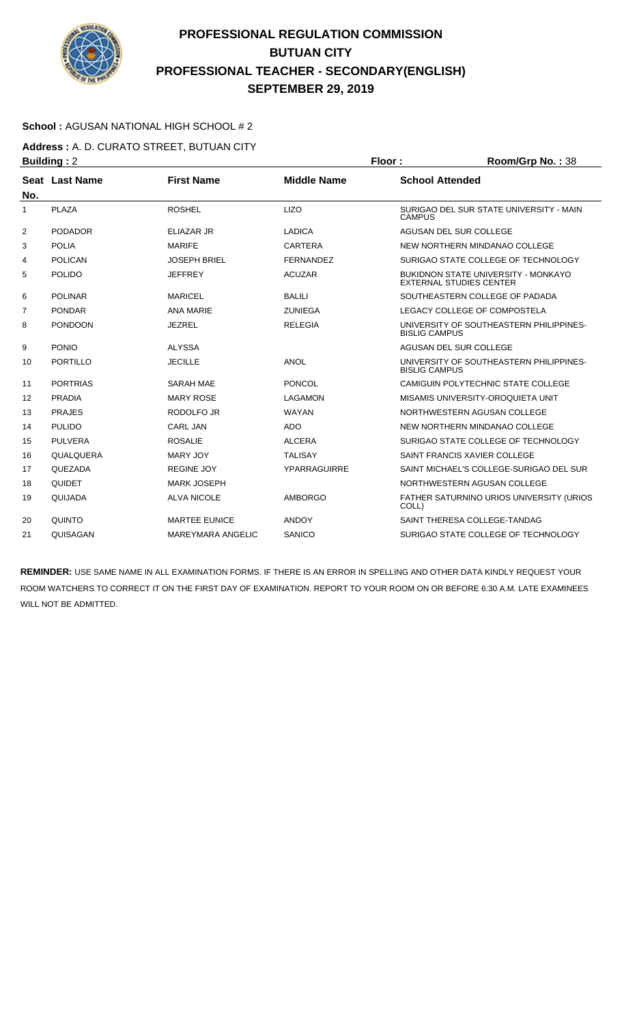

### **School :** AGUSAN NATIONAL HIGH SCHOOL # 2

**Address :** A. D. CURATO STREET, BUTUAN CITY **Building : 2 Floor : Floor : Room/Grp No. : 38** 

| No.            | Seat Last Name  | <b>First Name</b>        | <b>Middle Name</b>  | <b>School Attended</b>                                                       |
|----------------|-----------------|--------------------------|---------------------|------------------------------------------------------------------------------|
| 1              | PLAZA           | <b>ROSHEL</b>            | <b>LIZO</b>         | SURIGAO DEL SUR STATE UNIVERSITY - MAIN<br><b>CAMPUS</b>                     |
| 2              | <b>PODADOR</b>  | <b>ELIAZAR JR</b>        | <b>LADICA</b>       | AGUSAN DEL SUR COLLEGE                                                       |
| 3              | <b>POLIA</b>    | <b>MARIFE</b>            | <b>CARTERA</b>      | NEW NORTHERN MINDANAO COLLEGE                                                |
| 4              | <b>POLICAN</b>  | <b>JOSEPH BRIEL</b>      | <b>FERNANDEZ</b>    | SURIGAO STATE COLLEGE OF TECHNOLOGY                                          |
| 5              | <b>POLIDO</b>   | <b>JEFFREY</b>           | <b>ACUZAR</b>       | <b>BUKIDNON STATE UNIVERSITY - MONKAYO</b><br><b>EXTERNAL STUDIES CENTER</b> |
| 6              | <b>POLINAR</b>  | <b>MARICEL</b>           | <b>BALILI</b>       | SOUTHEASTERN COLLEGE OF PADADA                                               |
| $\overline{7}$ | <b>PONDAR</b>   | <b>ANA MARIE</b>         | <b>ZUNIEGA</b>      | LEGACY COLLEGE OF COMPOSTELA                                                 |
| 8              | <b>PONDOON</b>  | <b>JEZREL</b>            | <b>RELEGIA</b>      | UNIVERSITY OF SOUTHEASTERN PHILIPPINES-<br><b>BISLIG CAMPUS</b>              |
| 9              | <b>PONIO</b>    | <b>ALYSSA</b>            |                     | AGUSAN DEL SUR COLLEGE                                                       |
| 10             | PORTILLO        | <b>JECILLE</b>           | <b>ANOL</b>         | UNIVERSITY OF SOUTHEASTERN PHILIPPINES-<br><b>BISLIG CAMPUS</b>              |
| 11             | <b>PORTRIAS</b> | <b>SARAH MAE</b>         | <b>PONCOL</b>       | CAMIGUIN POLYTECHNIC STATE COLLEGE                                           |
| 12             | <b>PRADIA</b>   | <b>MARY ROSE</b>         | LAGAMON             | MISAMIS UNIVERSITY-OROQUIETA UNIT                                            |
| 13             | <b>PRAJES</b>   | RODOLFO JR               | <b>WAYAN</b>        | NORTHWESTERN AGUSAN COLLEGE                                                  |
| 14             | <b>PULIDO</b>   | <b>CARL JAN</b>          | <b>ADO</b>          | NEW NORTHERN MINDANAO COLLEGE                                                |
| 15             | <b>PULVERA</b>  | <b>ROSALIE</b>           | <b>ALCERA</b>       | SURIGAO STATE COLLEGE OF TECHNOLOGY                                          |
| 16             | QUALQUERA       | <b>MARY JOY</b>          | <b>TALISAY</b>      | SAINT FRANCIS XAVIER COLLEGE                                                 |
| 17             | QUEZADA         | <b>REGINE JOY</b>        | <b>YPARRAGUIRRE</b> | SAINT MICHAEL'S COLLEGE-SURIGAO DEL SUR                                      |
| 18             | <b>QUIDET</b>   | <b>MARK JOSEPH</b>       |                     | NORTHWESTERN AGUSAN COLLEGE                                                  |
| 19             | QUIJADA         | <b>ALVA NICOLE</b>       | <b>AMBORGO</b>      | FATHER SATURNINO URIOS UNIVERSITY (URIOS<br>COLL)                            |
| 20             | QUINTO          | <b>MARTEE EUNICE</b>     | <b>ANDOY</b>        | SAINT THERESA COLLEGE-TANDAG                                                 |
| 21             | QUISAGAN        | <b>MAREYMARA ANGELIC</b> | SANICO              | SURIGAO STATE COLLEGE OF TECHNOLOGY                                          |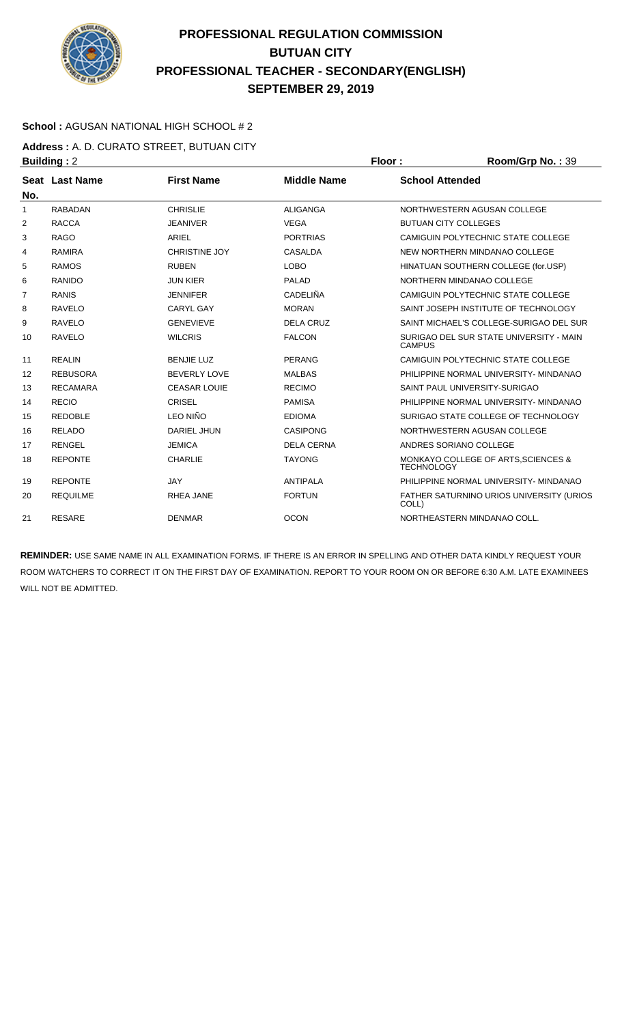

### **School :** AGUSAN NATIONAL HIGH SCHOOL # 2

**Address :** A. D. CURATO STREET, BUTUAN CITY **Building : 2 Floor : Room/Grp No. : 39** 

|              | $ -$            |                      |                    |                                                          |
|--------------|-----------------|----------------------|--------------------|----------------------------------------------------------|
| No.          | Seat Last Name  | <b>First Name</b>    | <b>Middle Name</b> | <b>School Attended</b>                                   |
| $\mathbf{1}$ | <b>RABADAN</b>  | <b>CHRISLIE</b>      | <b>ALIGANGA</b>    | NORTHWESTERN AGUSAN COLLEGE                              |
| 2            | <b>RACCA</b>    | <b>JEANIVER</b>      | <b>VEGA</b>        | <b>BUTUAN CITY COLLEGES</b>                              |
| 3            | <b>RAGO</b>     | ARIEL                | <b>PORTRIAS</b>    | CAMIGUIN POLYTECHNIC STATE COLLEGE                       |
| 4            | <b>RAMIRA</b>   | <b>CHRISTINE JOY</b> | <b>CASALDA</b>     | NEW NORTHERN MINDANAO COLLEGE                            |
| 5            | <b>RAMOS</b>    | <b>RUBEN</b>         | <b>LOBO</b>        | HINATUAN SOUTHERN COLLEGE (for.USP)                      |
| 6            | <b>RANIDO</b>   | <b>JUN KIER</b>      | <b>PALAD</b>       | NORTHERN MINDANAO COLLEGE                                |
| 7            | <b>RANIS</b>    | <b>JENNIFER</b>      | CADELIÑA           | CAMIGUIN POLYTECHNIC STATE COLLEGE                       |
| 8            | <b>RAVELO</b>   | <b>CARYL GAY</b>     | <b>MORAN</b>       | SAINT JOSEPH INSTITUTE OF TECHNOLOGY                     |
| 9            | <b>RAVELO</b>   | <b>GENEVIEVE</b>     | <b>DELA CRUZ</b>   | SAINT MICHAEL'S COLLEGE-SURIGAO DEL SUR                  |
| 10           | <b>RAVELO</b>   | <b>WILCRIS</b>       | <b>FALCON</b>      | SURIGAO DEL SUR STATE UNIVERSITY - MAIN<br><b>CAMPUS</b> |
| 11           | <b>REALIN</b>   | <b>BENJIE LUZ</b>    | <b>PERANG</b>      | CAMIGUIN POLYTECHNIC STATE COLLEGE                       |
| 12           | <b>REBUSORA</b> | <b>BEVERLY LOVE</b>  | <b>MALBAS</b>      | PHILIPPINE NORMAL UNIVERSITY- MINDANAO                   |
| 13           | <b>RECAMARA</b> | <b>CEASAR LOUIE</b>  | <b>RECIMO</b>      | SAINT PAUL UNIVERSITY-SURIGAO                            |
| 14           | <b>RECIO</b>    | <b>CRISEL</b>        | <b>PAMISA</b>      | PHILIPPINE NORMAL UNIVERSITY- MINDANAO                   |
| 15           | <b>REDOBLE</b>  | <b>LEO NIÑO</b>      | <b>EDIOMA</b>      | SURIGAO STATE COLLEGE OF TECHNOLOGY                      |
| 16           | <b>RELADO</b>   | <b>DARIEL JHUN</b>   | <b>CASIPONG</b>    | NORTHWESTERN AGUSAN COLLEGE                              |
| 17           | <b>RENGEL</b>   | <b>JEMICA</b>        | <b>DELA CERNA</b>  | ANDRES SORIANO COLLEGE                                   |
| 18           | <b>REPONTE</b>  | <b>CHARLIE</b>       | <b>TAYONG</b>      | MONKAYO COLLEGE OF ARTS, SCIENCES &<br><b>TECHNOLOGY</b> |
| 19           | <b>REPONTE</b>  | <b>JAY</b>           | <b>ANTIPALA</b>    | PHILIPPINE NORMAL UNIVERSITY- MINDANAO                   |
| 20           | <b>REQUILME</b> | <b>RHEA JANE</b>     | <b>FORTUN</b>      | FATHER SATURNINO URIOS UNIVERSITY (URIOS<br>COLL)        |
| 21           | <b>RESARE</b>   | <b>DENMAR</b>        | <b>OCON</b>        | NORTHEASTERN MINDANAO COLL.                              |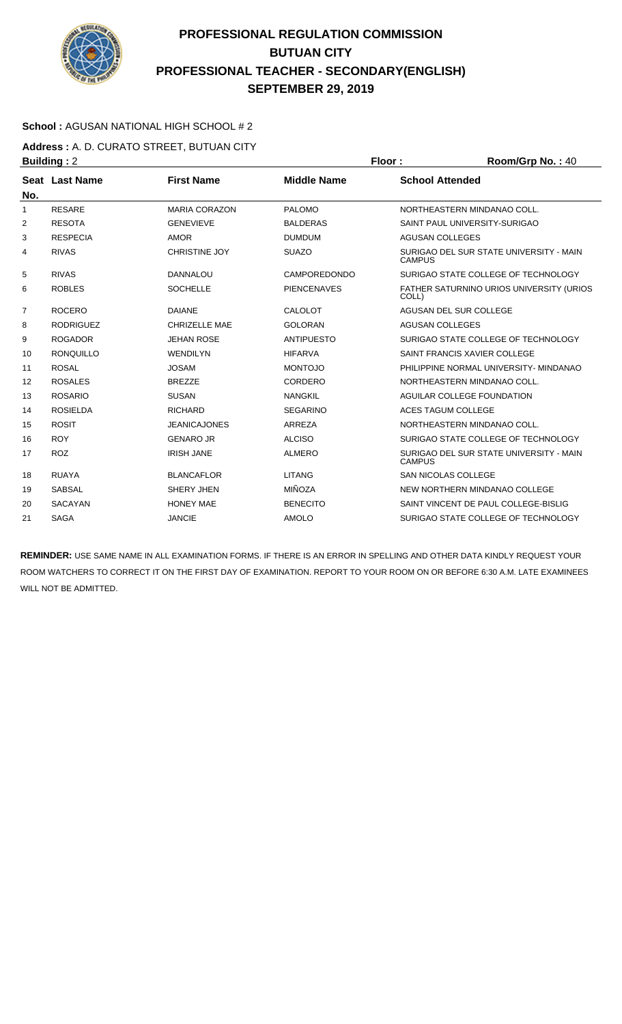

### **School :** AGUSAN NATIONAL HIGH SCHOOL # 2

**Address :** A. D. CURATO STREET, BUTUAN CITY **Building : 2 Floor : Room/Grp No. : 40** 

| No. | Seat Last Name   | <b>First Name</b>    | <b>Middle Name</b>  | <b>School Attended</b>                                   |
|-----|------------------|----------------------|---------------------|----------------------------------------------------------|
| 1   | <b>RESARE</b>    | <b>MARIA CORAZON</b> | PALOMO              | NORTHEASTERN MINDANAO COLL.                              |
| 2   | <b>RESOTA</b>    | <b>GENEVIEVE</b>     | <b>BALDERAS</b>     | SAINT PAUL UNIVERSITY-SURIGAO                            |
| 3   | <b>RESPECIA</b>  | <b>AMOR</b>          | <b>DUMDUM</b>       | <b>AGUSAN COLLEGES</b>                                   |
| 4   | <b>RIVAS</b>     | <b>CHRISTINE JOY</b> | <b>SUAZO</b>        | SURIGAO DEL SUR STATE UNIVERSITY - MAIN<br><b>CAMPUS</b> |
| 5   | <b>RIVAS</b>     | <b>DANNALOU</b>      | <b>CAMPOREDONDO</b> | SURIGAO STATE COLLEGE OF TECHNOLOGY                      |
| 6   | <b>ROBLES</b>    | <b>SOCHELLE</b>      | <b>PIENCENAVES</b>  | FATHER SATURNINO URIOS UNIVERSITY (URIOS<br>COLL)        |
| 7   | <b>ROCERO</b>    | <b>DAIANE</b>        | CALOLOT             | AGUSAN DEL SUR COLLEGE                                   |
| 8   | <b>RODRIGUEZ</b> | <b>CHRIZELLE MAE</b> | <b>GOLORAN</b>      | <b>AGUSAN COLLEGES</b>                                   |
| 9   | <b>ROGADOR</b>   | <b>JEHAN ROSE</b>    | <b>ANTIPUESTO</b>   | SURIGAO STATE COLLEGE OF TECHNOLOGY                      |
| 10  | <b>RONQUILLO</b> | <b>WENDILYN</b>      | <b>HIFARVA</b>      | SAINT FRANCIS XAVIER COLLEGE                             |
| 11  | <b>ROSAL</b>     | <b>JOSAM</b>         | <b>MONTOJO</b>      | PHILIPPINE NORMAL UNIVERSITY- MINDANAO                   |
| 12  | <b>ROSALES</b>   | <b>BREZZE</b>        | CORDERO             | NORTHEASTERN MINDANAO COLL.                              |
| 13  | <b>ROSARIO</b>   | <b>SUSAN</b>         | <b>NANGKIL</b>      | AGUILAR COLLEGE FOUNDATION                               |
| 14  | <b>ROSIELDA</b>  | <b>RICHARD</b>       | <b>SEGARINO</b>     | ACES TAGUM COLLEGE                                       |
| 15  | <b>ROSIT</b>     | <b>JEANICAJONES</b>  | ARREZA              | NORTHEASTERN MINDANAO COLL.                              |
| 16  | <b>ROY</b>       | <b>GENARO JR</b>     | <b>ALCISO</b>       | SURIGAO STATE COLLEGE OF TECHNOLOGY                      |
| 17  | <b>ROZ</b>       | <b>IRISH JANE</b>    | <b>ALMERO</b>       | SURIGAO DEL SUR STATE UNIVERSITY - MAIN<br><b>CAMPUS</b> |
| 18  | <b>RUAYA</b>     | <b>BLANCAFLOR</b>    | <b>LITANG</b>       | <b>SAN NICOLAS COLLEGE</b>                               |
| 19  | <b>SABSAL</b>    | SHERY JHEN           | <b>MIÑOZA</b>       | NEW NORTHERN MINDANAO COLLEGE                            |
| 20  | <b>SACAYAN</b>   | <b>HONEY MAE</b>     | <b>BENECITO</b>     | SAINT VINCENT DE PAUL COLLEGE-BISLIG                     |
| 21  | <b>SAGA</b>      | <b>JANCIE</b>        | <b>AMOLO</b>        | SURIGAO STATE COLLEGE OF TECHNOLOGY                      |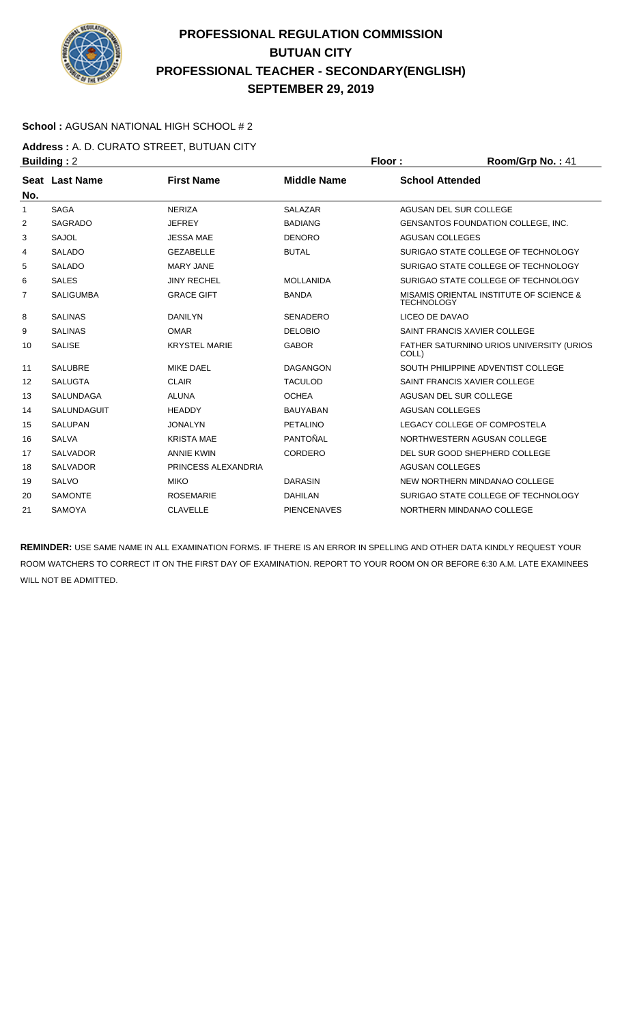

### **School :** AGUSAN NATIONAL HIGH SCHOOL # 2

**Address :** A. D. CURATO STREET, BUTUAN CITY **Building : 2 Floor : Ploor : Room/Grp No. : 41** 

| No. | Seat Last Name   | <b>First Name</b>    | <b>Middle Name</b> | <b>School Attended</b>                                       |
|-----|------------------|----------------------|--------------------|--------------------------------------------------------------|
| 1   | <b>SAGA</b>      | <b>NERIZA</b>        | <b>SALAZAR</b>     | AGUSAN DEL SUR COLLEGE                                       |
| 2   | <b>SAGRADO</b>   | <b>JEFREY</b>        | <b>BADIANG</b>     | <b>GENSANTOS FOUNDATION COLLEGE, INC.</b>                    |
| 3   | <b>SAJOL</b>     | <b>JESSA MAE</b>     | <b>DENORO</b>      | <b>AGUSAN COLLEGES</b>                                       |
| 4   | <b>SALADO</b>    | <b>GEZABELLE</b>     | <b>BUTAL</b>       | SURIGAO STATE COLLEGE OF TECHNOLOGY                          |
| 5   | <b>SALADO</b>    | <b>MARY JANE</b>     |                    | SURIGAO STATE COLLEGE OF TECHNOLOGY                          |
| 6   | <b>SALES</b>     | <b>JINY RECHEL</b>   | <b>MOLLANIDA</b>   | SURIGAO STATE COLLEGE OF TECHNOLOGY                          |
| 7   | <b>SALIGUMBA</b> | <b>GRACE GIFT</b>    | <b>BANDA</b>       | MISAMIS ORIENTAL INSTITUTE OF SCIENCE &<br><b>TECHNOLOGY</b> |
| 8   | <b>SALINAS</b>   | <b>DANILYN</b>       | <b>SENADERO</b>    | LICEO DE DAVAO                                               |
| 9   | <b>SALINAS</b>   | <b>OMAR</b>          | <b>DELOBIO</b>     | SAINT FRANCIS XAVIER COLLEGE                                 |
| 10  | <b>SALISE</b>    | <b>KRYSTEL MARIE</b> | <b>GABOR</b>       | FATHER SATURNINO URIOS UNIVERSITY (URIOS<br>COLL)            |
| 11  | <b>SALUBRE</b>   | <b>MIKE DAEL</b>     | <b>DAGANGON</b>    | SOUTH PHILIPPINE ADVENTIST COLLEGE                           |
| 12  | <b>SALUGTA</b>   | <b>CLAIR</b>         | <b>TACULOD</b>     | SAINT FRANCIS XAVIER COLLEGE                                 |
| 13  | <b>SALUNDAGA</b> | <b>ALUNA</b>         | <b>OCHEA</b>       | AGUSAN DEL SUR COLLEGE                                       |
| 14  | SALUNDAGUIT      | <b>HEADDY</b>        | <b>BAUYABAN</b>    | <b>AGUSAN COLLEGES</b>                                       |
| 15  | <b>SALUPAN</b>   | <b>JONALYN</b>       | <b>PETALINO</b>    | LEGACY COLLEGE OF COMPOSTELA                                 |
| 16  | <b>SALVA</b>     | <b>KRISTA MAE</b>    | PANTOÑAL           | NORTHWESTERN AGUSAN COLLEGE                                  |
| 17  | <b>SALVADOR</b>  | <b>ANNIE KWIN</b>    | <b>CORDERO</b>     | DEL SUR GOOD SHEPHERD COLLEGE                                |
| 18  | <b>SALVADOR</b>  | PRINCESS ALEXANDRIA  |                    | <b>AGUSAN COLLEGES</b>                                       |
| 19  | <b>SALVO</b>     | <b>MIKO</b>          | <b>DARASIN</b>     | NEW NORTHERN MINDANAO COLLEGE                                |
| 20  | <b>SAMONTE</b>   | <b>ROSEMARIE</b>     | <b>DAHILAN</b>     | SURIGAO STATE COLLEGE OF TECHNOLOGY                          |
| 21  | <b>SAMOYA</b>    | <b>CLAVELLE</b>      | <b>PIENCENAVES</b> | NORTHERN MINDANAO COLLEGE                                    |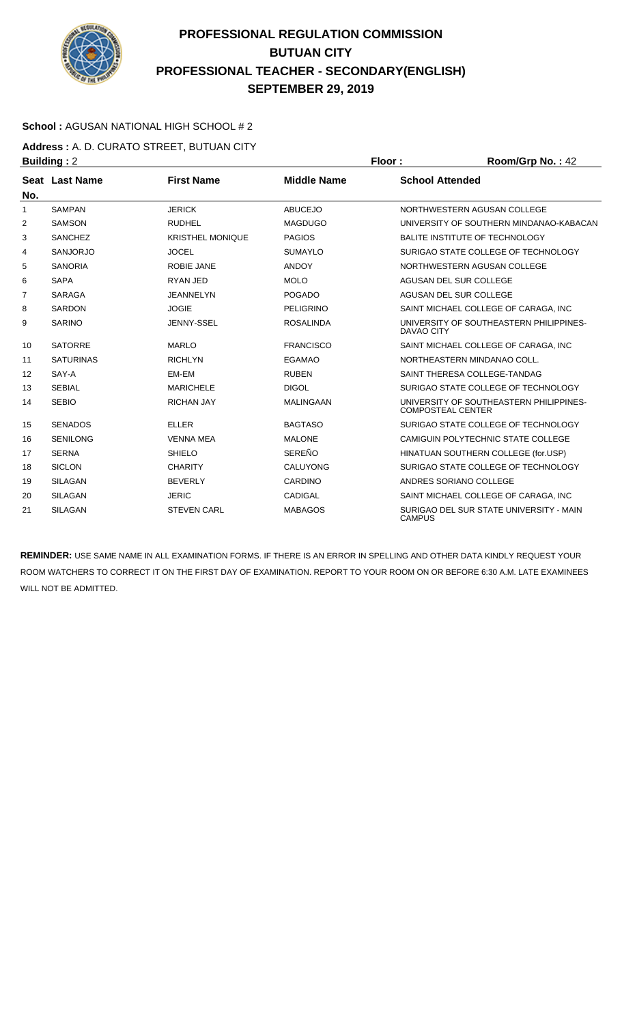

### **School :** AGUSAN NATIONAL HIGH SCHOOL # 2

**Address :** A. D. CURATO STREET, BUTUAN CITY **Building : 2 Floor : Room/Grp No. : 42** 

|                | Seat Last Name   | <b>First Name</b>       | <b>Middle Name</b> | <b>School Attended</b>                                              |
|----------------|------------------|-------------------------|--------------------|---------------------------------------------------------------------|
| No.            |                  |                         |                    |                                                                     |
| $\mathbf{1}$   | <b>SAMPAN</b>    | <b>JERICK</b>           | <b>ABUCEJO</b>     | NORTHWESTERN AGUSAN COLLEGE                                         |
| 2              | <b>SAMSON</b>    | <b>RUDHEL</b>           | <b>MAGDUGO</b>     | UNIVERSITY OF SOUTHERN MINDANAO-KABACAN                             |
| 3              | <b>SANCHEZ</b>   | <b>KRISTHEL MONIQUE</b> | <b>PAGIOS</b>      | <b>BALITE INSTITUTE OF TECHNOLOGY</b>                               |
| 4              | <b>SANJORJO</b>  | <b>JOCEL</b>            | <b>SUMAYLO</b>     | SURIGAO STATE COLLEGE OF TECHNOLOGY                                 |
| 5              | <b>SANORIA</b>   | <b>ROBIE JANE</b>       | <b>ANDOY</b>       | NORTHWESTERN AGUSAN COLLEGE                                         |
| 6              | <b>SAPA</b>      | RYAN JED                | <b>MOLO</b>        | AGUSAN DEL SUR COLLEGE                                              |
| $\overline{7}$ | <b>SARAGA</b>    | <b>JEANNELYN</b>        | <b>POGADO</b>      | AGUSAN DEL SUR COLLEGE                                              |
| 8              | <b>SARDON</b>    | <b>JOGIE</b>            | <b>PELIGRINO</b>   | SAINT MICHAEL COLLEGE OF CARAGA, INC                                |
| 9              | <b>SARINO</b>    | JENNY-SSEL              | <b>ROSALINDA</b>   | UNIVERSITY OF SOUTHEASTERN PHILIPPINES-<br><b>DAVAO CITY</b>        |
| 10             | <b>SATORRE</b>   | <b>MARLO</b>            | <b>FRANCISCO</b>   | SAINT MICHAEL COLLEGE OF CARAGA, INC                                |
| 11             | <b>SATURINAS</b> | <b>RICHLYN</b>          | <b>EGAMAO</b>      | NORTHEASTERN MINDANAO COLL.                                         |
| 12             | SAY-A            | EM-EM                   | <b>RUBEN</b>       | SAINT THERESA COLLEGE-TANDAG                                        |
| 13             | <b>SEBIAL</b>    | <b>MARICHELE</b>        | <b>DIGOL</b>       | SURIGAO STATE COLLEGE OF TECHNOLOGY                                 |
| 14             | <b>SEBIO</b>     | <b>RICHAN JAY</b>       | <b>MALINGAAN</b>   | UNIVERSITY OF SOUTHEASTERN PHILIPPINES-<br><b>COMPOSTEAL CENTER</b> |
| 15             | <b>SENADOS</b>   | <b>ELLER</b>            | <b>BAGTASO</b>     | SURIGAO STATE COLLEGE OF TECHNOLOGY                                 |
| 16             | <b>SENILONG</b>  | <b>VENNA MEA</b>        | <b>MALONE</b>      | CAMIGUIN POLYTECHNIC STATE COLLEGE                                  |
| 17             | <b>SERNA</b>     | <b>SHIELO</b>           | <b>SEREÑO</b>      | HINATUAN SOUTHERN COLLEGE (for.USP)                                 |
| 18             | <b>SICLON</b>    | <b>CHARITY</b>          | <b>CALUYONG</b>    | SURIGAO STATE COLLEGE OF TECHNOLOGY                                 |
| 19             | <b>SILAGAN</b>   | <b>BEVERLY</b>          | CARDINO            | ANDRES SORIANO COLLEGE                                              |
| 20             | <b>SILAGAN</b>   | <b>JERIC</b>            | CADIGAL            | SAINT MICHAEL COLLEGE OF CARAGA, INC                                |
| 21             | <b>SILAGAN</b>   | <b>STEVEN CARL</b>      | <b>MABAGOS</b>     | SURIGAO DEL SUR STATE UNIVERSITY - MAIN<br><b>CAMPUS</b>            |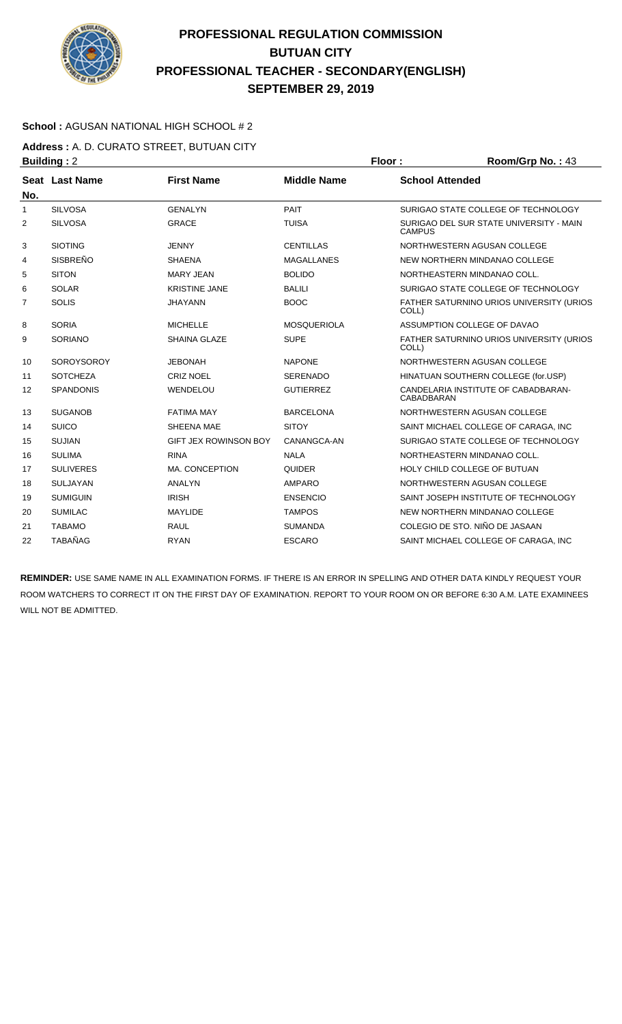

### **School :** AGUSAN NATIONAL HIGH SCHOOL # 2

**Address :** A. D. CURATO STREET, BUTUAN CITY **Building : 2 Floor : Room/Grp No. : 43** 

| No.            | Seat Last Name    | <b>First Name</b>            | <b>Middle Name</b> | <b>School Attended</b>                                    |
|----------------|-------------------|------------------------------|--------------------|-----------------------------------------------------------|
| $\mathbf{1}$   | <b>SILVOSA</b>    | <b>GENALYN</b>               | PAIT               | SURIGAO STATE COLLEGE OF TECHNOLOGY                       |
| $\overline{2}$ | <b>SILVOSA</b>    | <b>GRACE</b>                 | <b>TUISA</b>       | SURIGAO DEL SUR STATE UNIVERSITY - MAIN<br><b>CAMPUS</b>  |
| 3              | <b>SIOTING</b>    | <b>JENNY</b>                 | <b>CENTILLAS</b>   | NORTHWESTERN AGUSAN COLLEGE                               |
| 4              | <b>SISBREÑO</b>   | <b>SHAENA</b>                | <b>MAGALLANES</b>  | NEW NORTHERN MINDANAO COLLEGE                             |
| 5              | <b>SITON</b>      | <b>MARY JEAN</b>             | <b>BOLIDO</b>      | NORTHEASTERN MINDANAO COLL.                               |
| 6              | <b>SOLAR</b>      | <b>KRISTINE JANE</b>         | <b>BALILI</b>      | SURIGAO STATE COLLEGE OF TECHNOLOGY                       |
| $\overline{7}$ | <b>SOLIS</b>      | <b>JHAYANN</b>               | <b>BOOC</b>        | FATHER SATURNINO URIOS UNIVERSITY (URIOS<br>COLL)         |
| 8              | <b>SORIA</b>      | <b>MICHELLE</b>              | <b>MOSQUERIOLA</b> | ASSUMPTION COLLEGE OF DAVAO                               |
| 9              | <b>SORIANO</b>    | <b>SHAINA GLAZE</b>          | <b>SUPE</b>        | <b>FATHER SATURNINO URIOS UNIVERSITY (URIOS)</b><br>COLL) |
| 10             | <b>SOROYSOROY</b> | <b>JEBONAH</b>               | <b>NAPONE</b>      | NORTHWESTERN AGUSAN COLLEGE                               |
| 11             | <b>SOTCHEZA</b>   | <b>CRIZ NOEL</b>             | <b>SERENADO</b>    | HINATUAN SOUTHERN COLLEGE (for.USP)                       |
| 12             | <b>SPANDONIS</b>  | WENDELOU                     | <b>GUTIERREZ</b>   | CANDELARIA INSTITUTE OF CABADBARAN-<br><b>CABADBARAN</b>  |
| 13             | <b>SUGANOB</b>    | <b>FATIMA MAY</b>            | <b>BARCELONA</b>   | NORTHWESTERN AGUSAN COLLEGE                               |
| 14             | <b>SUICO</b>      | SHEENA MAE                   | <b>SITOY</b>       | SAINT MICHAEL COLLEGE OF CARAGA, INC                      |
| 15             | <b>SUJIAN</b>     | <b>GIFT JEX ROWINSON BOY</b> | CANANGCA-AN        | SURIGAO STATE COLLEGE OF TECHNOLOGY                       |
| 16             | <b>SULIMA</b>     | <b>RINA</b>                  | <b>NALA</b>        | NORTHEASTERN MINDANAO COLL.                               |
| 17             | <b>SULIVERES</b>  | MA. CONCEPTION               | <b>QUIDER</b>      | HOLY CHILD COLLEGE OF BUTUAN                              |
| 18             | <b>SULJAYAN</b>   | <b>ANALYN</b>                | <b>AMPARO</b>      | NORTHWESTERN AGUSAN COLLEGE                               |
| 19             | <b>SUMIGUIN</b>   | <b>IRISH</b>                 | <b>ENSENCIO</b>    | SAINT JOSEPH INSTITUTE OF TECHNOLOGY                      |
| 20             | <b>SUMILAC</b>    | <b>MAYLIDE</b>               | <b>TAMPOS</b>      | NEW NORTHERN MINDANAO COLLEGE                             |
| 21             | <b>TABAMO</b>     | <b>RAUL</b>                  | <b>SUMANDA</b>     | COLEGIO DE STO. NIÑO DE JASAAN                            |
| 22             | <b>TABAÑAG</b>    | <b>RYAN</b>                  | <b>ESCARO</b>      | SAINT MICHAEL COLLEGE OF CARAGA, INC                      |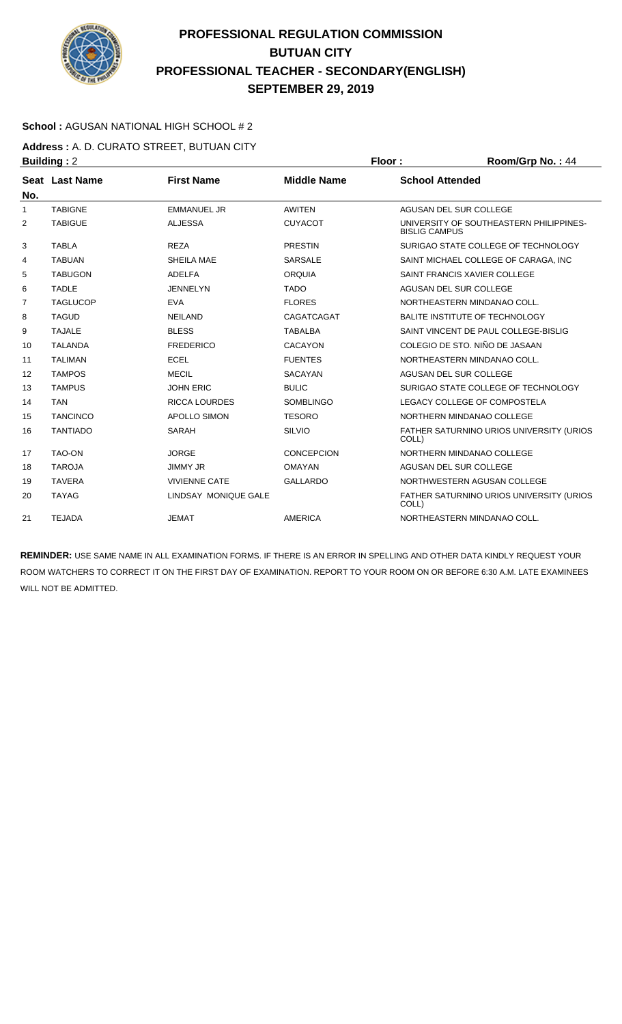

### **School :** AGUSAN NATIONAL HIGH SCHOOL # 2

**Address :** A. D. CURATO STREET, BUTUAN CITY **Building : 2 Floor : Floor : Room/Grp No. : 44** 

| No. | Seat Last Name  | <b>First Name</b>    | <b>Middle Name</b> | <b>School Attended</b>                                          |
|-----|-----------------|----------------------|--------------------|-----------------------------------------------------------------|
| 1   | <b>TABIGNE</b>  | <b>EMMANUEL JR</b>   | <b>AWITEN</b>      | AGUSAN DEL SUR COLLEGE                                          |
| 2   | <b>TABIGUE</b>  | <b>ALJESSA</b>       | <b>CUYACOT</b>     | UNIVERSITY OF SOUTHEASTERN PHILIPPINES-<br><b>BISLIG CAMPUS</b> |
| 3   | <b>TABLA</b>    | <b>REZA</b>          | <b>PRESTIN</b>     | SURIGAO STATE COLLEGE OF TECHNOLOGY                             |
| 4   | <b>TABUAN</b>   | SHEILA MAE           | <b>SARSALE</b>     | SAINT MICHAEL COLLEGE OF CARAGA, INC                            |
| 5   | <b>TABUGON</b>  | <b>ADELFA</b>        | <b>ORQUIA</b>      | SAINT FRANCIS XAVIER COLLEGE                                    |
| 6   | <b>TADLE</b>    | <b>JENNELYN</b>      | <b>TADO</b>        | AGUSAN DEL SUR COLLEGE                                          |
| 7   | <b>TAGLUCOP</b> | <b>EVA</b>           | <b>FLORES</b>      | NORTHEASTERN MINDANAO COLL.                                     |
| 8   | <b>TAGUD</b>    | <b>NEILAND</b>       | CAGATCAGAT         | <b>BALITE INSTITUTE OF TECHNOLOGY</b>                           |
| 9   | <b>TAJALE</b>   | <b>BLESS</b>         | <b>TABALBA</b>     | SAINT VINCENT DE PAUL COLLEGE-BISLIG                            |
| 10  | <b>TALANDA</b>  | <b>FREDERICO</b>     | <b>CACAYON</b>     | COLEGIO DE STO. NIÑO DE JASAAN                                  |
| 11  | <b>TALIMAN</b>  | <b>ECEL</b>          | <b>FUENTES</b>     | NORTHEASTERN MINDANAO COLL.                                     |
| 12  | <b>TAMPOS</b>   | <b>MECIL</b>         | <b>SACAYAN</b>     | AGUSAN DEL SUR COLLEGE                                          |
| 13  | <b>TAMPUS</b>   | <b>JOHN ERIC</b>     | <b>BULIC</b>       | SURIGAO STATE COLLEGE OF TECHNOLOGY                             |
| 14  | <b>TAN</b>      | <b>RICCA LOURDES</b> | <b>SOMBLINGO</b>   | LEGACY COLLEGE OF COMPOSTELA                                    |
| 15  | <b>TANCINCO</b> | <b>APOLLO SIMON</b>  | <b>TESORO</b>      | NORTHERN MINDANAO COLLEGE                                       |
| 16  | <b>TANTIADO</b> | <b>SARAH</b>         | <b>SILVIO</b>      | FATHER SATURNINO URIOS UNIVERSITY (URIOS<br>COLL)               |
| 17  | <b>TAO-ON</b>   | <b>JORGE</b>         | <b>CONCEPCION</b>  | NORTHERN MINDANAO COLLEGE                                       |
| 18  | <b>TAROJA</b>   | <b>JIMMY JR</b>      | <b>OMAYAN</b>      | AGUSAN DEL SUR COLLEGE                                          |
| 19  | <b>TAVERA</b>   | <b>VIVIENNE CATE</b> | <b>GALLARDO</b>    | NORTHWESTERN AGUSAN COLLEGE                                     |
| 20  | <b>TAYAG</b>    | LINDSAY MONIQUE GALE |                    | FATHER SATURNINO URIOS UNIVERSITY (URIOS<br>COLL)               |
| 21  | <b>TEJADA</b>   | <b>JEMAT</b>         | AMERICA            | NORTHEASTERN MINDANAO COLL.                                     |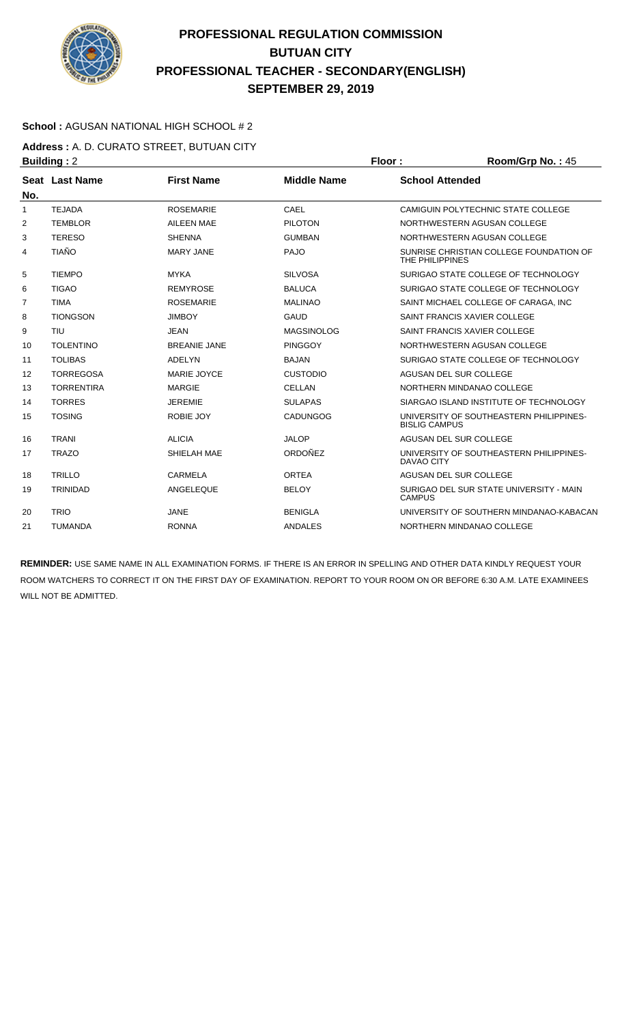

### **School :** AGUSAN NATIONAL HIGH SCHOOL # 2

**Address :** A. D. CURATO STREET, BUTUAN CITY **Building : 2 Floor : Room/Grp No. : 45** 

|                | . <u>.</u>        |                     |                    |                                                                 |
|----------------|-------------------|---------------------|--------------------|-----------------------------------------------------------------|
| No.            | Seat Last Name    | <b>First Name</b>   | <b>Middle Name</b> | <b>School Attended</b>                                          |
| $\mathbf{1}$   | <b>TEJADA</b>     | <b>ROSEMARIE</b>    | CAEL               | CAMIGUIN POLYTECHNIC STATE COLLEGE                              |
| 2              | <b>TEMBLOR</b>    | <b>AILEEN MAE</b>   | <b>PILOTON</b>     | NORTHWESTERN AGUSAN COLLEGE                                     |
| 3              | <b>TERESO</b>     | <b>SHENNA</b>       | <b>GUMBAN</b>      | NORTHWESTERN AGUSAN COLLEGE                                     |
| 4              | <b>TIAÑO</b>      | <b>MARY JANE</b>    | PAJO               | SUNRISE CHRISTIAN COLLEGE FOUNDATION OF<br>THE PHILIPPINES      |
| 5              | <b>TIEMPO</b>     | <b>MYKA</b>         | <b>SILVOSA</b>     | SURIGAO STATE COLLEGE OF TECHNOLOGY                             |
| 6              | <b>TIGAO</b>      | <b>REMYROSE</b>     | <b>BALUCA</b>      | SURIGAO STATE COLLEGE OF TECHNOLOGY                             |
| $\overline{7}$ | <b>TIMA</b>       | <b>ROSEMARIE</b>    | <b>MALINAO</b>     | SAINT MICHAEL COLLEGE OF CARAGA. INC.                           |
| 8              | <b>TIONGSON</b>   | <b>JIMBOY</b>       | <b>GAUD</b>        | SAINT FRANCIS XAVIER COLLEGE                                    |
| 9              | <b>TIU</b>        | <b>JEAN</b>         | <b>MAGSINOLOG</b>  | SAINT FRANCIS XAVIER COLLEGE                                    |
| 10             | <b>TOLENTINO</b>  | <b>BREANIE JANE</b> | <b>PINGGOY</b>     | NORTHWESTERN AGUSAN COLLEGE                                     |
| 11             | <b>TOLIBAS</b>    | ADELYN              | <b>BAJAN</b>       | SURIGAO STATE COLLEGE OF TECHNOLOGY                             |
| 12             | <b>TORREGOSA</b>  | MARIE JOYCE         | <b>CUSTODIO</b>    | AGUSAN DEL SUR COLLEGE                                          |
| 13             | <b>TORRENTIRA</b> | <b>MARGIE</b>       | <b>CELLAN</b>      | NORTHERN MINDANAO COLLEGE                                       |
| 14             | <b>TORRES</b>     | <b>JEREMIE</b>      | <b>SULAPAS</b>     | SIARGAO ISLAND INSTITUTE OF TECHNOLOGY                          |
| 15             | <b>TOSING</b>     | <b>ROBIE JOY</b>    | <b>CADUNGOG</b>    | UNIVERSITY OF SOUTHEASTERN PHILIPPINES-<br><b>BISLIG CAMPUS</b> |
| 16             | <b>TRANI</b>      | <b>ALICIA</b>       | <b>JALOP</b>       | AGUSAN DEL SUR COLLEGE                                          |
| 17             | <b>TRAZO</b>      | SHIELAH MAE         | ORDOÑEZ            | UNIVERSITY OF SOUTHEASTERN PHILIPPINES-<br>DAVAO CITY           |
| 18             | <b>TRILLO</b>     | CARMELA             | <b>ORTEA</b>       | AGUSAN DEL SUR COLLEGE                                          |
| 19             | <b>TRINIDAD</b>   | ANGELEQUE           | <b>BELOY</b>       | SURIGAO DEL SUR STATE UNIVERSITY - MAIN<br><b>CAMPUS</b>        |
| 20             | <b>TRIO</b>       | JANE                | <b>BENIGLA</b>     | UNIVERSITY OF SOUTHERN MINDANAO-KABACAN                         |
| 21             | <b>TUMANDA</b>    | <b>RONNA</b>        | <b>ANDALES</b>     | NORTHERN MINDANAO COLLEGE                                       |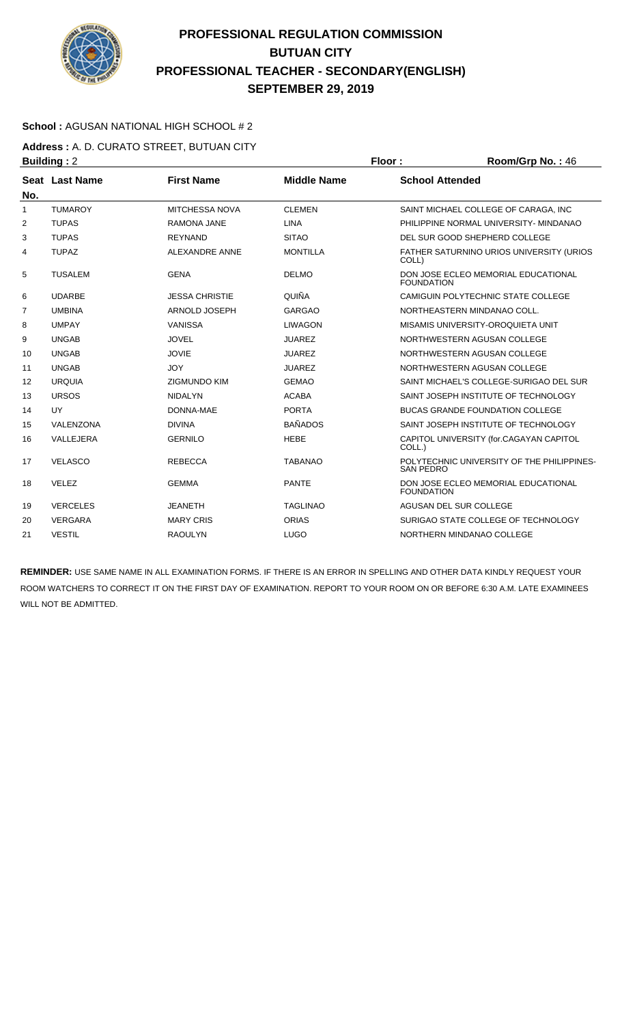

### **School :** AGUSAN NATIONAL HIGH SCHOOL # 2

**Address :** A. D. CURATO STREET, BUTUAN CITY **Building : 2 Floor : Ploor : Room/Grp No. : 46** 

|                | Pununiyi <i>-</i> |                       |                    | …∪∪…∞…∪ ……                                                     |
|----------------|-------------------|-----------------------|--------------------|----------------------------------------------------------------|
| No.            | Seat Last Name    | <b>First Name</b>     | <b>Middle Name</b> | <b>School Attended</b>                                         |
| $\mathbf{1}$   | <b>TUMAROY</b>    | <b>MITCHESSA NOVA</b> | <b>CLEMEN</b>      | SAINT MICHAEL COLLEGE OF CARAGA. INC                           |
| 2              | <b>TUPAS</b>      | <b>RAMONA JANE</b>    | <b>LINA</b>        | PHILIPPINE NORMAL UNIVERSITY- MINDANAO                         |
| 3              | <b>TUPAS</b>      | <b>REYNAND</b>        | <b>SITAO</b>       | DEL SUR GOOD SHEPHERD COLLEGE                                  |
| 4              | <b>TUPAZ</b>      | <b>ALEXANDRE ANNE</b> | <b>MONTILLA</b>    | FATHER SATURNINO URIOS UNIVERSITY (URIOS<br>COLL)              |
| 5              | <b>TUSALEM</b>    | <b>GENA</b>           | <b>DELMO</b>       | DON JOSE ECLEO MEMORIAL EDUCATIONAL<br><b>FOUNDATION</b>       |
| 6              | <b>UDARBE</b>     | <b>JESSA CHRISTIE</b> | QUIÑA              | CAMIGUIN POLYTECHNIC STATE COLLEGE                             |
| $\overline{7}$ | <b>UMBINA</b>     | ARNOLD JOSEPH         | <b>GARGAO</b>      | NORTHEASTERN MINDANAO COLL.                                    |
| 8              | <b>UMPAY</b>      | <b>VANISSA</b>        | <b>LIWAGON</b>     | MISAMIS UNIVERSITY-OROQUIETA UNIT                              |
| 9              | <b>UNGAB</b>      | <b>JOVEL</b>          | <b>JUAREZ</b>      | NORTHWESTERN AGUSAN COLLEGE                                    |
| 10             | <b>UNGAB</b>      | <b>JOVIE</b>          | <b>JUAREZ</b>      | NORTHWESTERN AGUSAN COLLEGE                                    |
| 11             | <b>UNGAB</b>      | <b>JOY</b>            | <b>JUAREZ</b>      | NORTHWESTERN AGUSAN COLLEGE                                    |
| 12             | <b>URQUIA</b>     | <b>ZIGMUNDO KIM</b>   | <b>GEMAO</b>       | SAINT MICHAEL'S COLLEGE-SURIGAO DEL SUR                        |
| 13             | <b>URSOS</b>      | <b>NIDALYN</b>        | <b>ACABA</b>       | SAINT JOSEPH INSTITUTE OF TECHNOLOGY                           |
| 14             | <b>UY</b>         | DONNA-MAE             | <b>PORTA</b>       | <b>BUCAS GRANDE FOUNDATION COLLEGE</b>                         |
| 15             | VALENZONA         | <b>DIVINA</b>         | <b>BAÑADOS</b>     | SAINT JOSEPH INSTITUTE OF TECHNOLOGY                           |
| 16             | VALLEJERA         | <b>GERNILO</b>        | <b>HEBE</b>        | CAPITOL UNIVERSITY (for.CAGAYAN CAPITOL<br>COLL.)              |
| 17             | <b>VELASCO</b>    | <b>REBECCA</b>        | <b>TABANAO</b>     | POLYTECHNIC UNIVERSITY OF THE PHILIPPINES-<br><b>SAN PEDRO</b> |
| 18             | <b>VELEZ</b>      | <b>GEMMA</b>          | <b>PANTE</b>       | DON JOSE ECLEO MEMORIAL EDUCATIONAL<br><b>FOUNDATION</b>       |
| 19             | <b>VERCELES</b>   | <b>JEANETH</b>        | <b>TAGLINAO</b>    | AGUSAN DEL SUR COLLEGE                                         |
| 20             | <b>VERGARA</b>    | <b>MARY CRIS</b>      | <b>ORIAS</b>       | SURIGAO STATE COLLEGE OF TECHNOLOGY                            |
| 21             | <b>VESTIL</b>     | <b>RAOULYN</b>        | <b>LUGO</b>        | NORTHERN MINDANAO COLLEGE                                      |